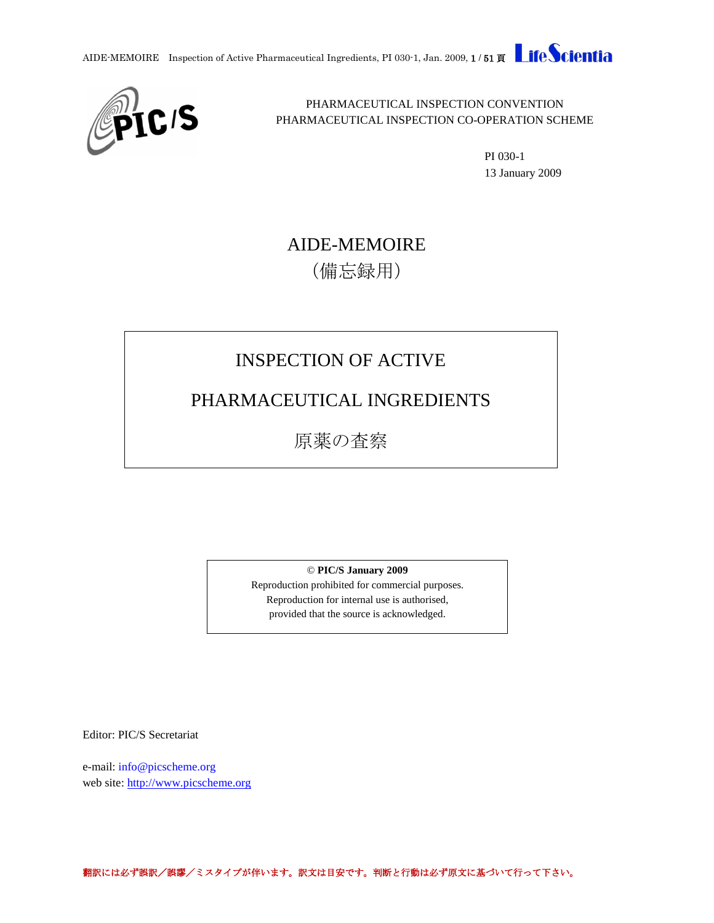



PHARMACEUTICAL INSPECTION CONVENTION PHARMACEUTICAL INSPECTION CO-OPERATION SCHEME

> PI 030-1 13 January 2009

# AIDE-MEMOIRE (備忘録用)

# INSPECTION OF ACTIVE

# PHARMACEUTICAL INGREDIENTS

原薬の査察

© **PIC/S January 2009**

Reproduction prohibited for commercial purposes. Reproduction for internal use is authorised, provided that the source is acknowledged.

Editor: PIC/S Secretariat

e-mail: info@picscheme.org web site: [http://www.picscheme.org](http://www.picscheme.org/)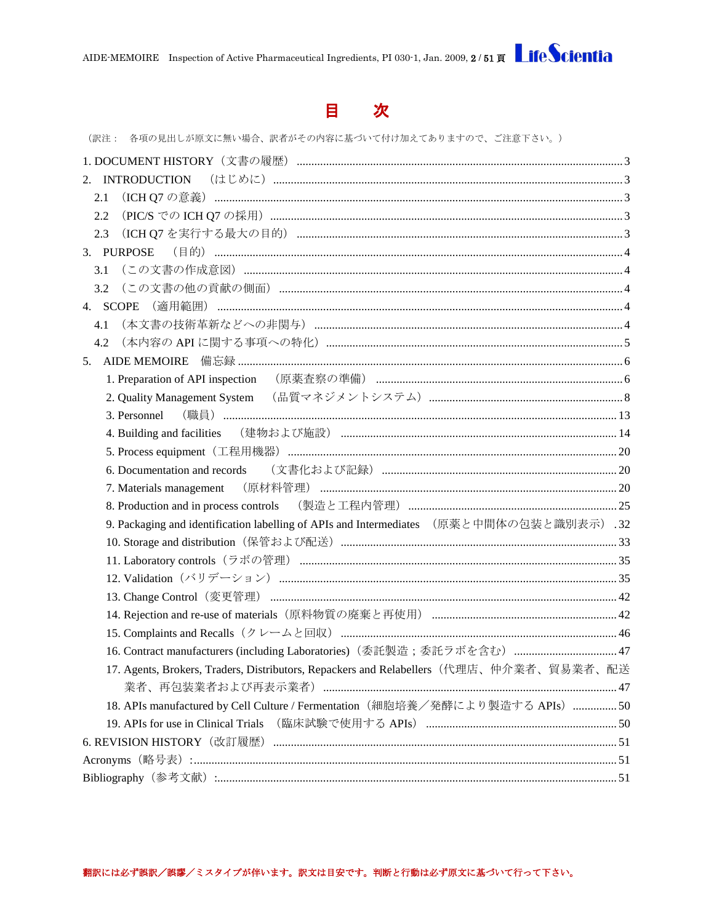

(訳注: 各項の見出しが原文に無い場合、訳者がその内容に基づいて付け加えてありますので、ご注意下さい。)

| 2.1                                                                                      |  |
|------------------------------------------------------------------------------------------|--|
| 2.2                                                                                      |  |
| 2.3                                                                                      |  |
|                                                                                          |  |
| 3.1                                                                                      |  |
| 3.2                                                                                      |  |
| 4. SCOPE                                                                                 |  |
| 4.1                                                                                      |  |
| 4.2                                                                                      |  |
|                                                                                          |  |
| 1. Preparation of API inspection (原薬査察の準備) …………………………………………………………………………………………6           |  |
|                                                                                          |  |
| 3. Personnel                                                                             |  |
| 4. Building and facilities (建物および施設) …………………………………………………………………………………………14                |  |
|                                                                                          |  |
|                                                                                          |  |
|                                                                                          |  |
|                                                                                          |  |
| 9. Packaging and identification labelling of APIs and Intermediates (原薬と中間体の包装と識別表示) .32 |  |
|                                                                                          |  |
|                                                                                          |  |
|                                                                                          |  |
|                                                                                          |  |
|                                                                                          |  |
|                                                                                          |  |
| 16. Contract manufacturers (including Laboratories) (委託製造;委託ラボを含む)  47                   |  |
| 17. Agents, Brokers, Traders, Distributors, Repackers and Relabellers (代理店、仲介業者、貿易業者、配送  |  |
|                                                                                          |  |
| 18. APIs manufactured by Cell Culture / Fermentation (細胞培養/発酵により製造する APIs) 50            |  |
| 19. APIs for use in Clinical Trials (臨床試験で使用する APIs) ……………………………………………………………50           |  |
|                                                                                          |  |
|                                                                                          |  |
|                                                                                          |  |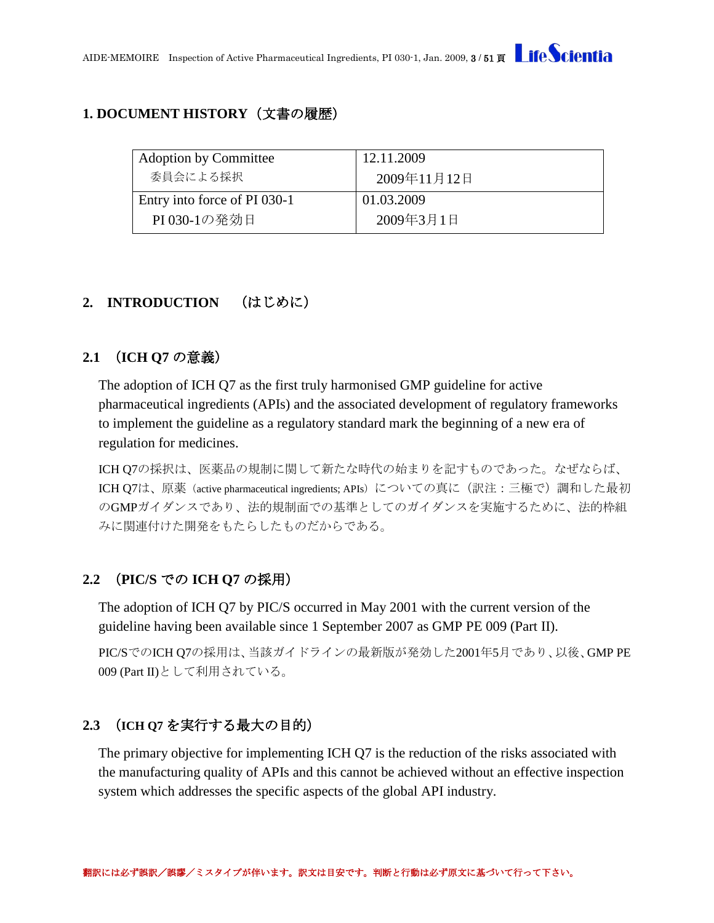## <span id="page-2-0"></span>**1. DOCUMENT HISTORY**(文書の履歴)

| <b>Adoption by Committee</b> | 12.11.2009  |
|------------------------------|-------------|
| 委員会による採択                     | 2009年11月12日 |
| Entry into force of PI 030-1 | 01.03.2009  |
| PI030-1の発効日                  | 2009年3月1日   |

# <span id="page-2-1"></span>**2. INTRODUCTION** (はじめに)

## <span id="page-2-2"></span>**2.1** (**ICH Q7** の意義)

The adoption of ICH Q7 as the first truly harmonised GMP guideline for active pharmaceutical ingredients (APIs) and the associated development of regulatory frameworks to implement the guideline as a regulatory standard mark the beginning of a new era of regulation for medicines.

ICH Q7の採択は、医薬品の規制に関して新たな時代の始まりを記すものであった。なぜならば、 ICH O7は、原薬(active pharmaceutical ingredients; APIs)についての真に(訳注:三極で)調和した最初 のGMPガイダンスであり、法的規制面での基準としてのガイダンスを実施するために、法的枠組 みに関連付けた開発をもたらしたものだからである。

# <span id="page-2-3"></span>**2.2** (**PIC/S** での **ICH Q7** の採用)

The adoption of ICH Q7 by PIC/S occurred in May 2001 with the current version of the guideline having been available since 1 September 2007 as GMP PE 009 (Part II).

PIC/SでのICH Q7の採用は、当該ガイドラインの最新版が発効した2001年5月であり、以後、GMP PE 009 (Part II)として利用されている。

# <span id="page-2-4"></span>**2.3** (**ICH Q7** を実行する最大の目的)

The primary objective for implementing ICH Q7 is the reduction of the risks associated with the manufacturing quality of APIs and this cannot be achieved without an effective inspection system which addresses the specific aspects of the global API industry.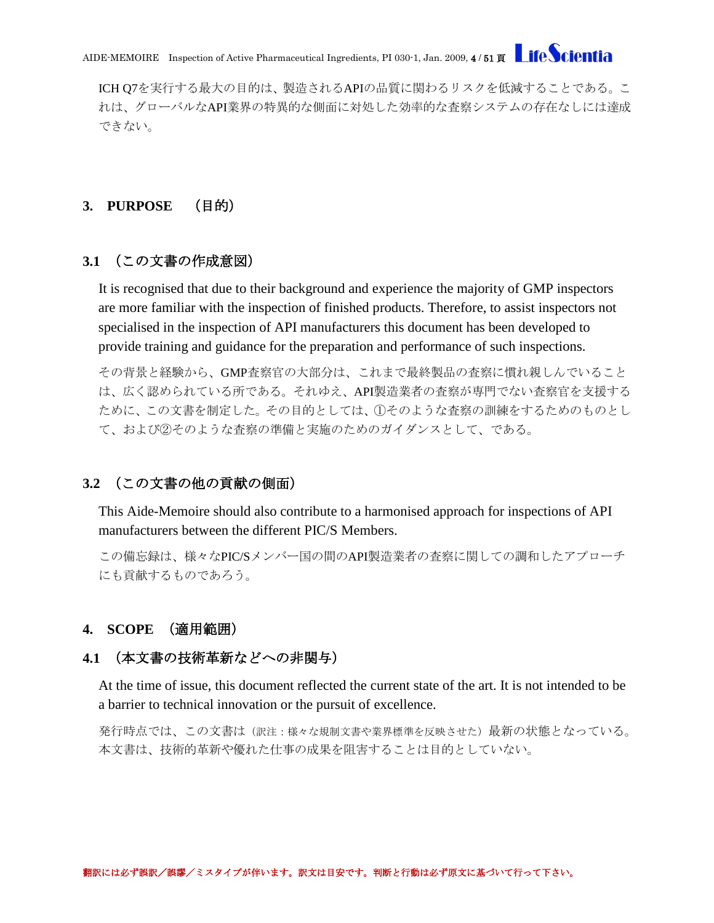ICH Q7を実行する最大の目的は、製造されるAPIの品質に関わるリスクを低減することである。こ れは、グローバルなAPI業界の特異的な側面に対処した効率的な査察システムの存在なしには達成 できない。

## <span id="page-3-0"></span>**3. PURPOSE** (目的)

## <span id="page-3-1"></span>**3.1** (この文書の作成意図)

It is recognised that due to their background and experience the majority of GMP inspectors are more familiar with the inspection of finished products. Therefore, to assist inspectors not specialised in the inspection of API manufacturers this document has been developed to provide training and guidance for the preparation and performance of such inspections.

その背景と経験から、GMP査察官の大部分は、これまで最終製品の査察に慣れ親しんでいること は、広く認められている所である。それゆえ、API製造業者の査察が専門でない査察官を支援する ために、この文書を制定した。その目的としては、①そのような査察の訓練をするためのものとし て、および②そのような査察の準備と実施のためのガイダンスとして、である。

### <span id="page-3-2"></span>**3.2** (この文書の他の貢献の側面)

This Aide-Memoire should also contribute to a harmonised approach for inspections of API manufacturers between the different PIC/S Members.

この備忘録は、様々なPIC/Sメンバー国の間のAPI製造業者の査察に関しての調和したアプローチ にも貢献するものであろう。

### <span id="page-3-3"></span>**4. SCOPE** (適用範囲)

#### <span id="page-3-4"></span>**4.1** (本文書の技術革新などへの非関与)

At the time of issue, this document reflected the current state of the art. It is not intended to be a barrier to technical innovation or the pursuit of excellence.

発行時点では、この文書は(訳注:様々な規制文書や業界標準を反映させた)最新の状態となっている。 本文書は、技術的革新や優れた仕事の成果を阻害することは目的としていない。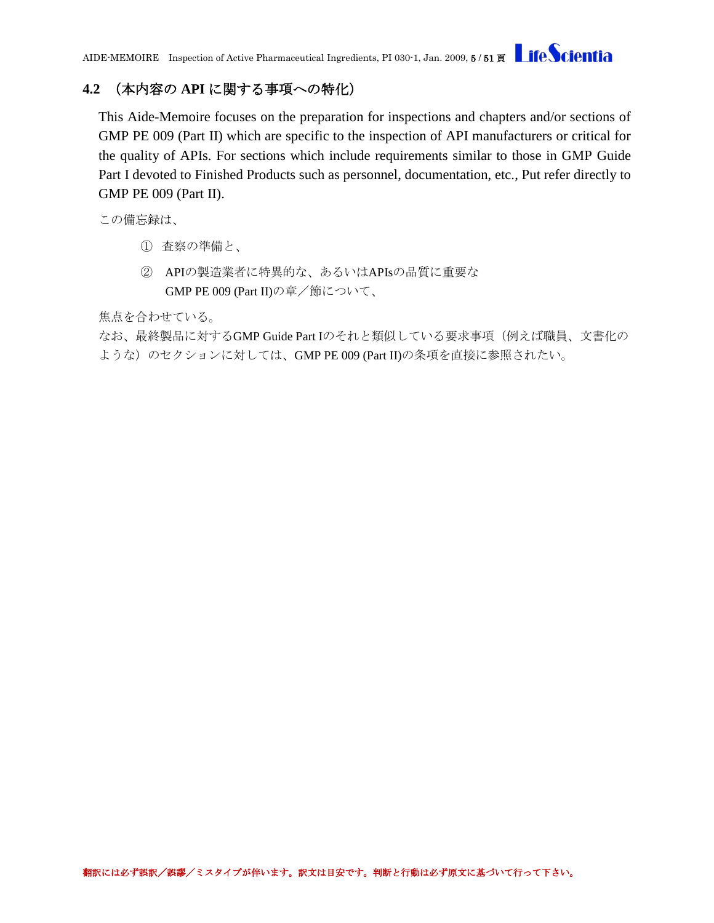## <span id="page-4-0"></span>**4.2** (本内容の **API** に関する事項への特化)

This Aide-Memoire focuses on the preparation for inspections and chapters and/or sections of GMP PE 009 (Part II) which are specific to the inspection of API manufacturers or critical for the quality of APIs. For sections which include requirements similar to those in GMP Guide Part I devoted to Finished Products such as personnel, documentation, etc., Put refer directly to GMP PE 009 (Part II).

この備忘録は、

- ① 査察の準備と、
- ② APIの製造業者に特異的な、あるいはAPIsの品質に重要な GMP PE 009 (Part II)の章/節について、

焦点を合わせている。

なお、最終製品に対するGMP Guide Part Iのそれと類似している要求事項(例えば職員、文書化の ような)のセクションに対しては、GMP PE 009 (Part II)の条項を直接に参照されたい。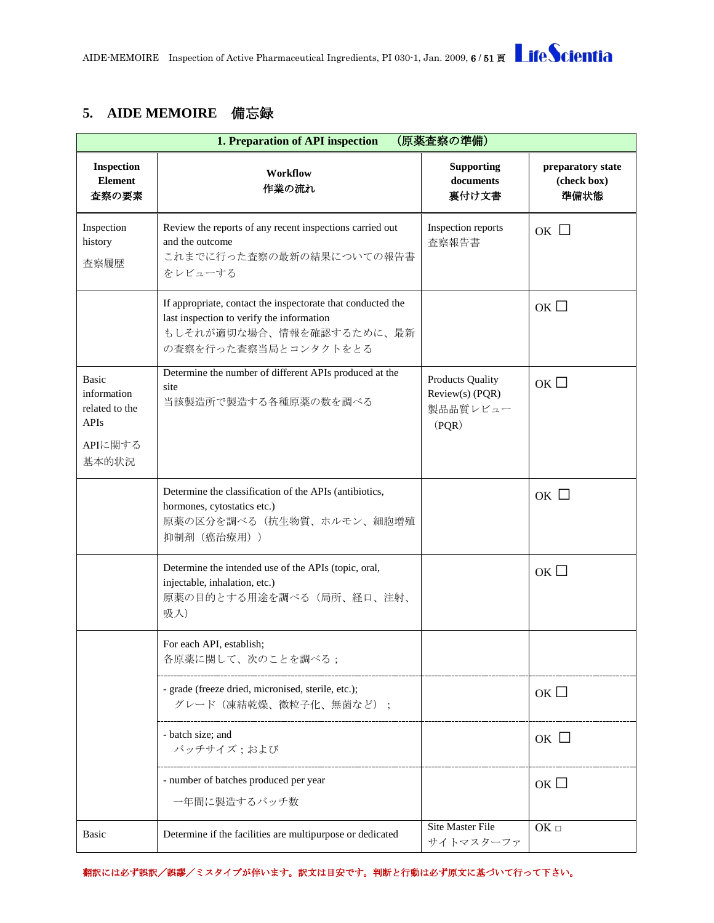## <span id="page-5-0"></span>**5. AIDE MEMOIRE** 備忘録

<span id="page-5-1"></span>

|                                                                                  | (原薬査察の準備)<br>1. Preparation of API inspection                                                                                                                |                                                                 |                                          |  |  |
|----------------------------------------------------------------------------------|--------------------------------------------------------------------------------------------------------------------------------------------------------------|-----------------------------------------------------------------|------------------------------------------|--|--|
| <b>Inspection</b><br><b>Element</b><br>査察の要素                                     | <b>Workflow</b><br>作業の流れ                                                                                                                                     | <b>Supporting</b><br>documents<br>裏付け文書                         | preparatory state<br>(check box)<br>準備状態 |  |  |
| Inspection<br>history<br>査察履歴                                                    | Review the reports of any recent inspections carried out<br>and the outcome<br>これまでに行った査察の最新の結果についての報告書<br>をレビューする                                           | Inspection reports<br>査察報告書                                     | OK $\Box$                                |  |  |
|                                                                                  | If appropriate, contact the inspectorate that conducted the<br>last inspection to verify the information<br>もしそれが適切な場合、情報を確認するために、最新<br>の査察を行った査察当局とコンタクトをとる |                                                                 | ок $\square$                             |  |  |
| <b>Basic</b><br>information<br>related to the<br><b>APIs</b><br>APIに関する<br>基本的状況 | Determine the number of different APIs produced at the<br>site<br>当該製造所で製造する各種原薬の数を調べる                                                                       | <b>Products Quality</b><br>Review(s) (PQR)<br>製品品質レビュー<br>(PQR) | ок $\square$                             |  |  |
|                                                                                  | Determine the classification of the APIs (antibiotics,<br>hormones, cytostatics etc.)<br>原薬の区分を調べる(抗生物質、ホルモン、細胞増殖<br>抑制剤 (癌治療用))                             |                                                                 | ок $\Box$                                |  |  |
|                                                                                  | Determine the intended use of the APIs (topic, oral,<br>injectable, inhalation, etc.)<br>原薬の目的とする用途を調べる(局所、経口、注射、<br>吸入)                                     |                                                                 | ок $\square$                             |  |  |
|                                                                                  | For each API, establish;<br>各原薬に関して、次のことを調べる;                                                                                                                |                                                                 |                                          |  |  |
|                                                                                  | - grade (freeze dried, micronised, sterile, etc.);<br>グレード (凍結乾燥、微粒子化、無菌など);                                                                                 |                                                                 | ОК $\square$                             |  |  |
|                                                                                  | - batch size; and<br>バッチサイズ;および                                                                                                                              |                                                                 | ок $\Box$                                |  |  |
|                                                                                  | - number of batches produced per year<br>一年間に製造するバッチ数                                                                                                        |                                                                 | ок $\square$                             |  |  |
| Basic                                                                            | Determine if the facilities are multipurpose or dedicated                                                                                                    | <b>Site Master File</b><br>サイトマスターファ                            | $OK$ $\square$                           |  |  |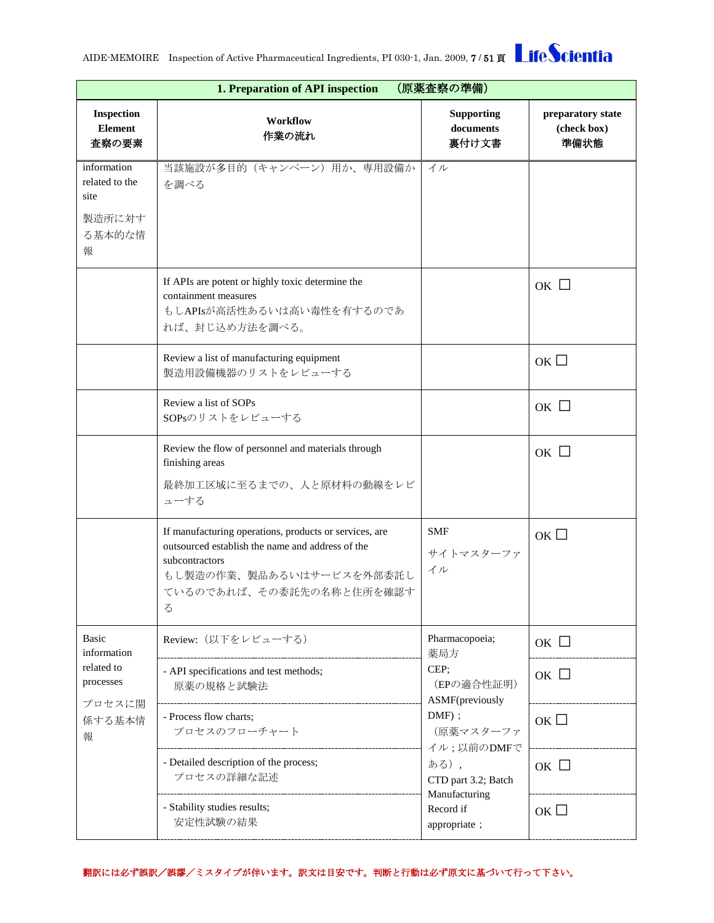|                                                                | 1. Preparation of API inspection<br>(原薬査察の準備)                                                                                                                                                   |                                            |                                          |  |  |
|----------------------------------------------------------------|-------------------------------------------------------------------------------------------------------------------------------------------------------------------------------------------------|--------------------------------------------|------------------------------------------|--|--|
| Inspection<br><b>Element</b><br>査察の要素                          | Workflow<br>作業の流れ                                                                                                                                                                               | <b>Supporting</b><br>documents<br>裏付け文書    | preparatory state<br>(check box)<br>準備状態 |  |  |
| information<br>related to the<br>site<br>製造所に対す<br>る基本的な情<br>報 | 当該施設が多目的(キャンペーン)用か、専用設備か<br>を調べる                                                                                                                                                                | イル                                         |                                          |  |  |
|                                                                | If APIs are potent or highly toxic determine the<br>containment measures<br>もしAPIsが高活性あるいは高い毒性を有するのであ<br>れば、封じ込め方法を調べる。                                                                         |                                            | OK $\Box$                                |  |  |
|                                                                | Review a list of manufacturing equipment<br>製造用設備機器のリストをレビューする                                                                                                                                  |                                            | $OR$ $\square$                           |  |  |
|                                                                | Review a list of SOPs<br>SOPsのリストをレビューする                                                                                                                                                        |                                            | $OK$ $\square$                           |  |  |
|                                                                | Review the flow of personnel and materials through<br>finishing areas<br>最終加工区域に至るまでの、人と原材料の動線をレビ<br>ューする                                                                                       |                                            | ок $\Box$                                |  |  |
|                                                                | If manufacturing operations, products or services, are<br>outsourced establish the name and address of the<br>subcontractors<br>もし製造の作業、製品あるいはサービスを外部委託し<br>ているのであれば、その委託先の名称と住所を確認す<br>$\zeta$ | <b>SMF</b><br>サイトマスターファ<br>イル              | OK                                       |  |  |
| Basic<br>information                                           | Review: (以下をレビューする)                                                                                                                                                                             | Pharmacopoeia;<br>薬局方                      | $OK$ $\square$                           |  |  |
| related to<br>processes<br>プロセスに関<br>係する基本情<br>報               | - API specifications and test methods;<br>原薬の規格と試験法                                                                                                                                             | CEP;<br>(EPの適合性証明)<br>ASMF(previously      | OK $\Box$                                |  |  |
|                                                                | - Process flow charts;<br>プロセスのフローチャート                                                                                                                                                          | $DMF)$ ;<br>(原薬マスターファ                      | ок $\Box$                                |  |  |
|                                                                | - Detailed description of the process;<br>プロセスの詳細な記述                                                                                                                                            | イル;以前のDMFで<br>ある),<br>CTD part 3.2; Batch  | ок $\square$                             |  |  |
|                                                                | - Stability studies results;<br>安定性試験の結果                                                                                                                                                        | Manufacturing<br>Record if<br>appropriate; | ок $\square$                             |  |  |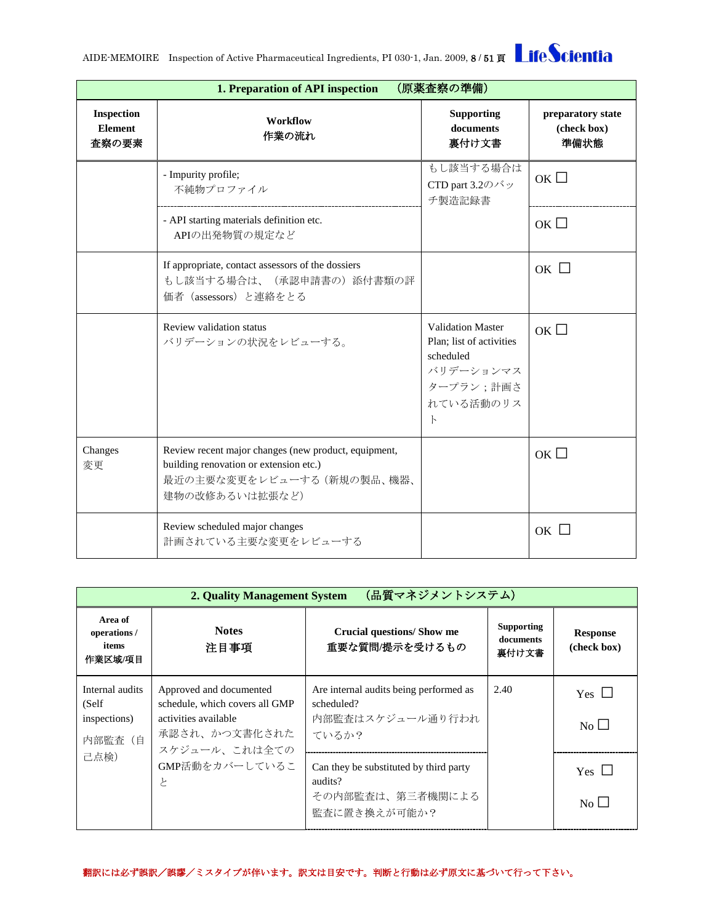|                                              | (原薬査察の準備)<br>1. Preparation of API inspection                                                                                                  |                                                                                                                          |                                          |  |  |
|----------------------------------------------|------------------------------------------------------------------------------------------------------------------------------------------------|--------------------------------------------------------------------------------------------------------------------------|------------------------------------------|--|--|
| <b>Inspection</b><br><b>Element</b><br>査察の要素 | Workflow<br>作業の流れ                                                                                                                              | <b>Supporting</b><br>documents<br>裏付け文書                                                                                  | preparatory state<br>(check box)<br>準備状態 |  |  |
|                                              | - Impurity profile;<br>不純物プロファイル                                                                                                               | もし該当する場合は<br>CTD part 3.2のバッ<br>チ製造記録書                                                                                   | OK                                       |  |  |
|                                              | - API starting materials definition etc.<br>APIの出発物質の規定など                                                                                      |                                                                                                                          | OK                                       |  |  |
|                                              | If appropriate, contact assessors of the dossiers<br>もし該当する場合は、(承認申請書の)添付書類の評<br>価者 (assessors) と連絡をとる                                         |                                                                                                                          | ок $\Box$                                |  |  |
|                                              | Review validation status<br>バリデーションの状況をレビューする。                                                                                                 | <b>Validation Master</b><br>Plan: list of activities<br>scheduled<br>バリデーションマス<br>タープラン;計画さ<br>れている活動のリス<br>$\mathbb{R}$ | OK                                       |  |  |
| Changes<br>変更                                | Review recent major changes (new product, equipment,<br>building renovation or extension etc.)<br>最近の主要な変更をレビューする (新規の製品、機器、<br>建物の改修あるいは拡張など) |                                                                                                                          | ок $\square$                             |  |  |
|                                              | Review scheduled major changes<br>計画されている主要な変更をレビューする                                                                                          |                                                                                                                          | $OK$ $\Box$                              |  |  |

<span id="page-7-0"></span>

| (品質マネジメントシステム)<br>2. Quality Management System       |                                                                                                                     |                                                                                       |                                         |                                         |
|------------------------------------------------------|---------------------------------------------------------------------------------------------------------------------|---------------------------------------------------------------------------------------|-----------------------------------------|-----------------------------------------|
| Area of<br>operations /<br>items<br>作業区城/項目          | <b>Notes</b><br>注目事項                                                                                                | Crucial questions/Show me<br>重要な質問/提示を受けるもの                                           | <b>Supporting</b><br>documents<br>裏付け文書 | <b>Response</b><br>(check box)          |
| Internal audits<br>(Self)<br>inspections)<br>内部監査 (自 | Approved and documented<br>schedule, which covers all GMP<br>activities available<br>承認され、かつ文書化された<br>スケジュール、これは全ての | Are internal audits being performed as<br>scheduled?<br>内部監査はスケジュール通り行われ<br>ているか?     | 2.40                                    | Yes $\Box$<br>$\overline{N_{0}}$        |
| 己点検)                                                 | GMP活動をカバーしているこ<br>と                                                                                                 | Can they be substituted by third party<br>audits?<br>その内部監査は、第三者機関による<br>監査に置き換えが可能か? |                                         | Yes $\Box$<br>$\overline{N_{0}}$ $\Box$ |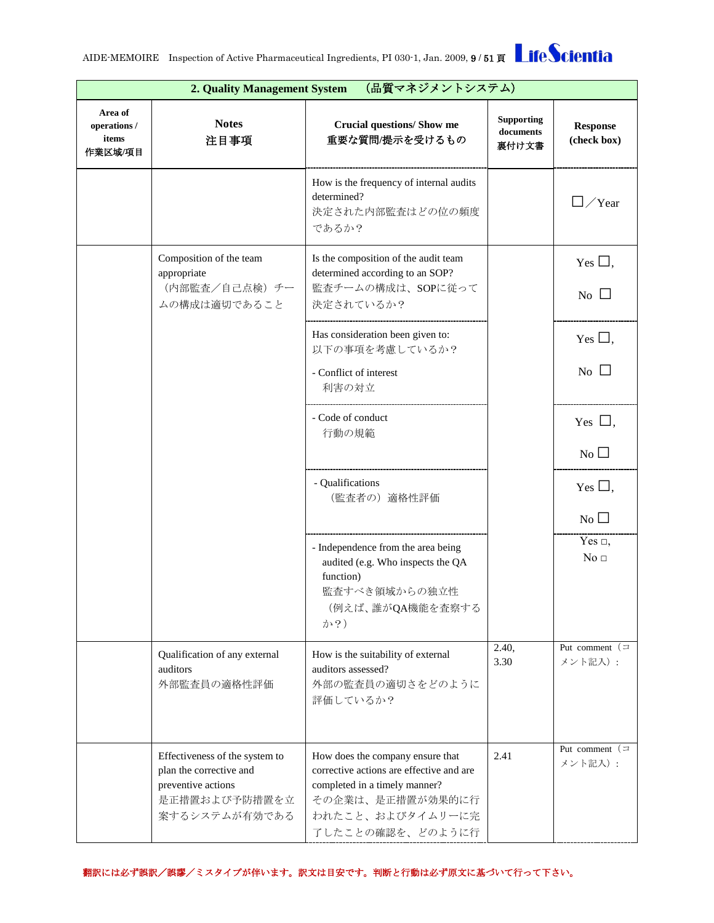|                                             | (品質マネジメントシステム)<br>2. Quality Management System                                                                    |                                                                                                                                                                           |                                         |                                  |  |
|---------------------------------------------|-------------------------------------------------------------------------------------------------------------------|---------------------------------------------------------------------------------------------------------------------------------------------------------------------------|-----------------------------------------|----------------------------------|--|
| Area of<br>operations /<br>items<br>作業区域/項目 | <b>Notes</b><br>注目事項                                                                                              | Crucial questions/ Show me<br>重要な質問/提示を受けるもの                                                                                                                              | <b>Supporting</b><br>documents<br>裏付け文書 | <b>Response</b><br>(check box)   |  |
|                                             |                                                                                                                   | How is the frequency of internal audits<br>determined?<br>決定された内部監査はどの位の頻度<br>であるか?                                                                                       |                                         | /Year                            |  |
|                                             | Composition of the team<br>appropriate                                                                            | Is the composition of the audit team<br>determined according to an SOP?                                                                                                   |                                         | Yes $\Box$ ,                     |  |
|                                             | (内部監査/自己点検) チー<br>ムの構成は適切であること                                                                                    | 監査チームの構成は、SOPに従って<br>決定されているか?                                                                                                                                            |                                         | No $\square$                     |  |
|                                             |                                                                                                                   | Has consideration been given to:<br>以下の事項を考慮しているか?                                                                                                                        |                                         | Yes $\Box$ ,                     |  |
|                                             |                                                                                                                   | - Conflict of interest<br>利害の対立                                                                                                                                           |                                         | $\overline{N_{0}}$ $\Box$        |  |
|                                             |                                                                                                                   | - Code of conduct<br>行動の規範                                                                                                                                                |                                         | Yes $\Box$ ,                     |  |
|                                             |                                                                                                                   |                                                                                                                                                                           |                                         | No                               |  |
|                                             |                                                                                                                   | - Qualifications<br>(監査者の) 適格性評価                                                                                                                                          |                                         | Yes $\Box$ ,                     |  |
|                                             |                                                                                                                   |                                                                                                                                                                           |                                         | $No$ $\square$                   |  |
|                                             |                                                                                                                   | - Independence from the area being<br>audited (e.g. Who inspects the QA<br>function)<br>監査すべき領域からの独立性<br>(例えば、誰がQA機能を査察する<br>か?)                                          |                                         | Yes $\Box$ ,<br>No <sub>1</sub>  |  |
|                                             | Qualification of any external<br>auditors<br>外部監査員の適格性評価                                                          | How is the suitability of external<br>auditors assessed?<br>外部の監査員の適切さをどのように<br>評価しているか?                                                                                  | 2.40,<br>3.30                           | Put comment $(\equiv$<br>メント記入): |  |
|                                             | Effectiveness of the system to<br>plan the corrective and<br>preventive actions<br>是正措置および予防措置を立<br>案するシステムが有効である | How does the company ensure that<br>corrective actions are effective and are<br>completed in a timely manner?<br>その企業は、是正措置が効果的に行<br>われたこと、およびタイムリーに完<br>了したことの確認を、どのように行 | 2.41                                    | Put comment $(\equiv$<br>メント記入): |  |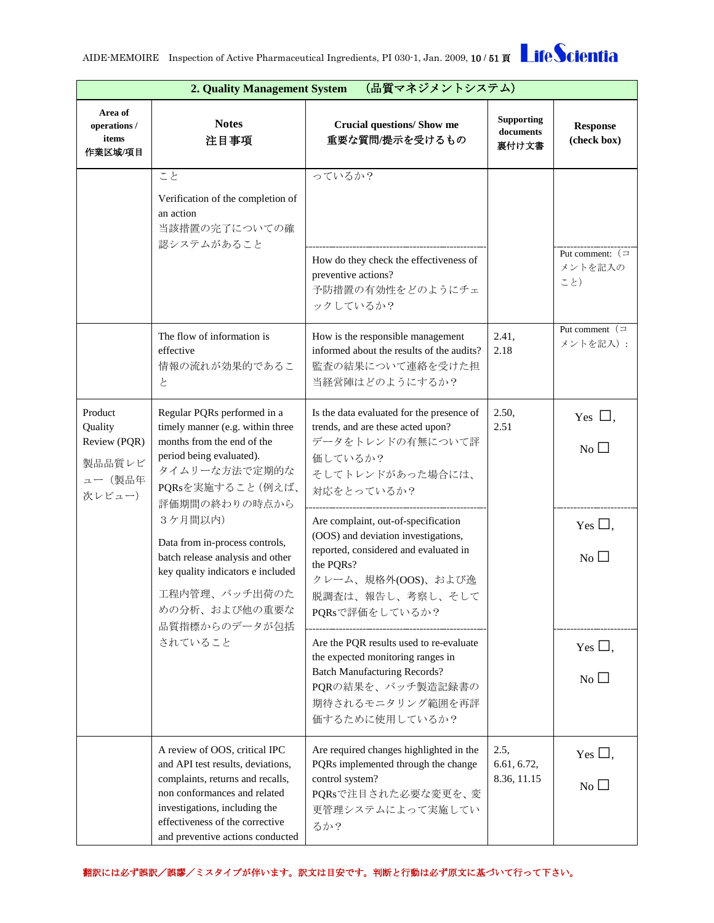

|                                                                  | (品質マネジメントシステム)<br>2. Quality Management System                                                                                                                                                                                                 |                                                                                                                                                                                              |                                         |                                           |  |  |
|------------------------------------------------------------------|------------------------------------------------------------------------------------------------------------------------------------------------------------------------------------------------------------------------------------------------|----------------------------------------------------------------------------------------------------------------------------------------------------------------------------------------------|-----------------------------------------|-------------------------------------------|--|--|
| Area of<br>operations /<br>items<br>作業区域/項目                      | <b>Notes</b><br>注目事項                                                                                                                                                                                                                           | <b>Crucial questions/ Show me</b><br>重要な質問/提示を受けるもの                                                                                                                                          | <b>Supporting</b><br>documents<br>裏付け文書 | <b>Response</b><br>(check box)            |  |  |
|                                                                  | こと<br>Verification of the completion of<br>an action<br>当該措置の完了についての確<br>認システムがあること                                                                                                                                                            | っているか?<br>How do they check the effectiveness of<br>preventive actions?<br>予防措置の有効性をどのようにチェ                                                                                                  |                                         | Put comment: $($<br>メントを記入の<br>こと)        |  |  |
|                                                                  | The flow of information is<br>effective<br>情報の流れが効果的であるこ<br>と                                                                                                                                                                                  | ックしているか?<br>How is the responsible management<br>informed about the results of the audits?<br>監査の結果について連絡を受けた担<br>当経営陣はどのようにするか?                                                             | 2.41,<br>2.18                           | Put comment $($<br>メントを記入):               |  |  |
| Product<br>Quality<br>Review (PQR)<br>製品品質レビ<br>ュー(製品年<br>次レビュー) | Regular PQRs performed in a<br>timely manner (e.g. within three<br>months from the end of the<br>period being evaluated).<br>タイムリーな方法で定期的な<br>PQRsを実施すること(例えば、<br>評価期間の終わりの時点から                                                                | Is the data evaluated for the presence of<br>trends, and are these acted upon?<br>データをトレンドの有無について評<br>価しているか?<br>そしてトレンドがあった場合には、<br>対応をとっているか?                                              | 2.50,<br>2.51                           | Yes $\Box$ .<br>$\overline{N_{0}}$        |  |  |
|                                                                  | 3ケ月間以内)<br>Data from in-process controls,<br>batch release analysis and other<br>key quality indicators e included<br>工程内管理、バッチ出荷のた<br>めの分析、および他の重要な<br>品質指標からのデータが包括                                                                          | Are complaint, out-of-specification<br>(OOS) and deviation investigations,<br>reported, considered and evaluated in<br>the PQRs?<br>クレーム、規格外(OOS)、および逸<br>脱調査は、報告し、考察し、そして<br>PQRsで評価をしているか? |                                         | Yes $\Box$ ,<br>$\overline{N_{0}}$ $\Box$ |  |  |
|                                                                  | されていること                                                                                                                                                                                                                                        | Are the PQR results used to re-evaluate<br>the expected monitoring ranges in<br><b>Batch Manufacturing Records?</b><br>PQRの結果を、バッチ製造記録書の<br>期待されるモニタリング範囲を再評<br>価するために使用しているか?               |                                         | Yes $\square$ .<br>$No$ $\Box$            |  |  |
|                                                                  | A review of OOS, critical IPC<br>and API test results, deviations,<br>complaints, returns and recalls,<br>non conformances and related<br>investigations, including the<br>effectiveness of the corrective<br>and preventive actions conducted | Are required changes highlighted in the<br>PQRs implemented through the change<br>control system?<br>PQRsで注目された必要な変更を、変<br>更管理システムによって実施してい<br>るか?                                           | 2.5,<br>6.61, 6.72,<br>8.36, 11.15      | Yes $\Box$ ,<br>$N_O$ $\Box$              |  |  |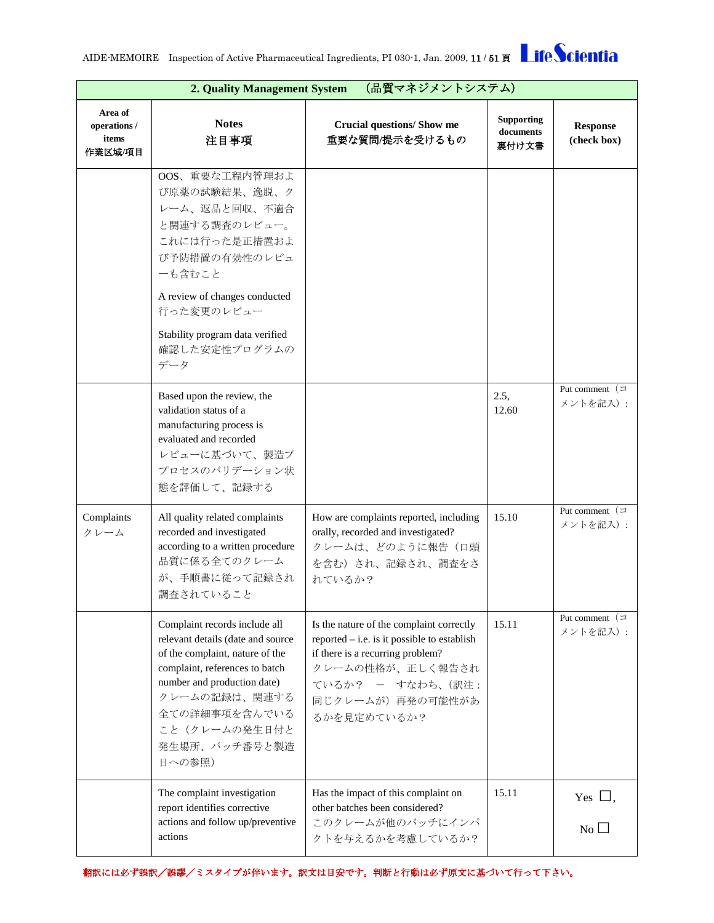

|                                             | (品質マネジメントシステム)<br>2. Quality Management System                                                                                                                                                                                                       |                                                                                                                                                                                                           |                                         |                                  |  |
|---------------------------------------------|------------------------------------------------------------------------------------------------------------------------------------------------------------------------------------------------------------------------------------------------------|-----------------------------------------------------------------------------------------------------------------------------------------------------------------------------------------------------------|-----------------------------------------|----------------------------------|--|
| Area of<br>operations /<br>items<br>作業区域/項目 | <b>Notes</b><br>注目事項                                                                                                                                                                                                                                 | Crucial questions/ Show me<br>重要な質問/提示を受けるもの                                                                                                                                                              | <b>Supporting</b><br>documents<br>裏付け文書 | <b>Response</b><br>(check box)   |  |
|                                             | OOS、重要な工程内管理およ<br>び原薬の試験結果、逸脱、ク<br>レーム、返品と回収、不適合<br>と関連する調査のレビュー。<br>これには行った是正措置およ<br>び予防措置の有効性のレビュ<br>ーも含むこと<br>A review of changes conducted<br>行った変更のレビュー<br>Stability program data verified<br>確認した安定性プログラムの<br>データ                              |                                                                                                                                                                                                           |                                         |                                  |  |
|                                             | Based upon the review, the<br>validation status of a<br>manufacturing process is<br>evaluated and recorded<br>レビューに基づいて、製造プ<br>プロセスのバリデーション状<br>態を評価して、記録する                                                                                          |                                                                                                                                                                                                           | 2.5,<br>12.60                           | Put comment $($<br>メントを記入):      |  |
| Complaints<br>クレーム                          | All quality related complaints<br>recorded and investigated<br>according to a written procedure<br>品質に係る全てのクレーム<br>が、手順書に従って記録され<br>調査されていること                                                                                                        | How are complaints reported, including<br>orally, recorded and investigated?<br>クレームは、どのように報告(口頭<br>を含む)され、記録され、調査をさ<br>れているか?                                                                            | 15.10                                   | Put comment $($<br>メントを記入):      |  |
|                                             | Complaint records include all<br>relevant details (date and source<br>of the complaint, nature of the<br>complaint, references to batch<br>number and production date)<br>クレームの記録は、関連する<br>全ての詳細事項を含んでいる<br>こと(クレームの発生日付と<br>発生場所、バッチ番号と製造<br>日への参照) | Is the nature of the complaint correctly<br>reported $-$ i.e. is it possible to establish<br>if there is a recurring problem?<br>クレームの性格が、正しく報告され<br>ているか? - すなわち、(訳注:<br>同じクレームが)再発の可能性があ<br>るかを見定めているか? | 15.11                                   | Put comment $($<br>メントを記入):      |  |
|                                             | The complaint investigation<br>report identifies corrective<br>actions and follow up/preventive<br>actions                                                                                                                                           | Has the impact of this complaint on<br>other batches been considered?<br>このクレームが他のバッチにインパ<br>クトを与えるかを考慮しているか?                                                                                             | 15.11                                   | Yes $\Box$ ,<br>$\overline{N_0}$ |  |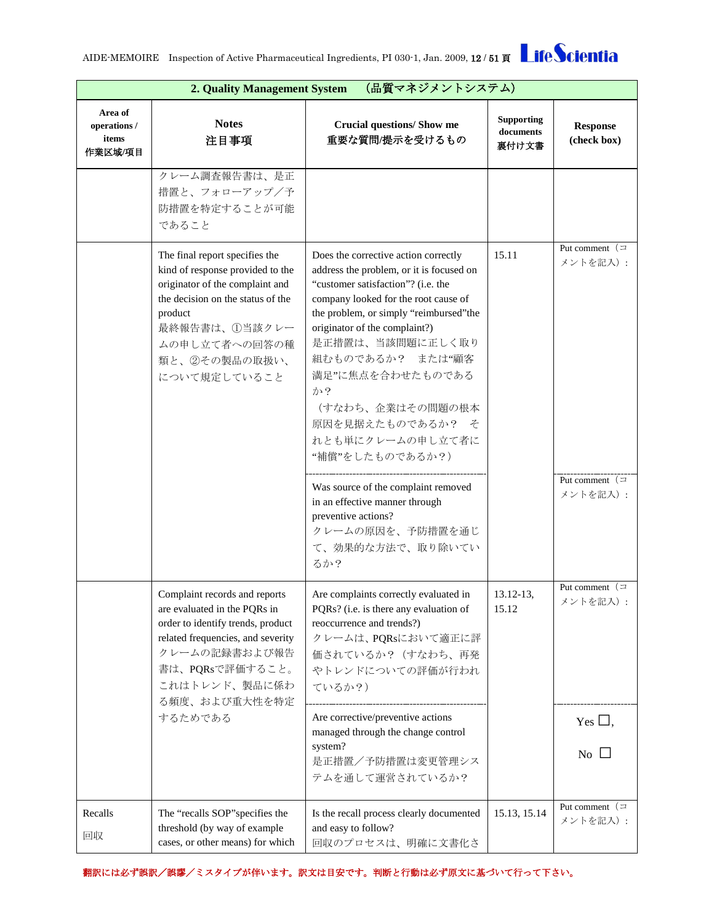

| (品質マネジメントシステム)<br>2. Quality Management System |                                                                                                                                                                                                                          |                                                                                                                                                                                                                                                                                                                                                                                                                                                                                                                                            |                                         |                                                                          |
|------------------------------------------------|--------------------------------------------------------------------------------------------------------------------------------------------------------------------------------------------------------------------------|--------------------------------------------------------------------------------------------------------------------------------------------------------------------------------------------------------------------------------------------------------------------------------------------------------------------------------------------------------------------------------------------------------------------------------------------------------------------------------------------------------------------------------------------|-----------------------------------------|--------------------------------------------------------------------------|
| Area of<br>operations /<br>items<br>作業区域/項目    | <b>Notes</b><br>注目事項                                                                                                                                                                                                     | <b>Crucial questions/ Show me</b><br>重要な質問/提示を受けるもの                                                                                                                                                                                                                                                                                                                                                                                                                                                                                        | <b>Supporting</b><br>documents<br>裏付け文書 | <b>Response</b><br>(check box)                                           |
|                                                | クレーム調査報告書は、是正<br>措置と、フォローアップ/予<br>防措置を特定することが可能<br>であること                                                                                                                                                                 |                                                                                                                                                                                                                                                                                                                                                                                                                                                                                                                                            |                                         |                                                                          |
|                                                | The final report specifies the<br>kind of response provided to the<br>originator of the complaint and<br>the decision on the status of the<br>product<br>最終報告書は、①当該クレー<br>ムの申し立て者への回答の種<br>類と、2その製品の取扱い、<br>について規定していること | Does the corrective action correctly<br>address the problem, or it is focused on<br>"customer satisfaction"? (i.e. the<br>company looked for the root cause of<br>the problem, or simply "reimbursed" the<br>originator of the complaint?)<br>是正措置は、当該問題に正しく取り<br>組むものであるか? または"顧客<br>満足"に焦点を合わせたものである<br>か?<br>(すなわち、企業はその問題の根本<br>原因を見据えたものであるか? そ<br>れとも単にクレームの申し立て者に<br>"補償"をしたものであるか?)<br>Was source of the complaint removed<br>in an effective manner through<br>preventive actions?<br>クレームの原因を、予防措置を通じ<br>て、効果的な方法で、取り除いてい<br>るか? | 15.11                                   | Put comment $($<br>メントを記入):<br>Put comment $($<br>メントを記入):               |
|                                                | Complaint records and reports<br>are evaluated in the PQRs in<br>order to identify trends, product<br>related frequencies, and severity<br>クレームの記録書および報告<br>書は、PQRsで評価すること。<br>これはトレンド、製品に係わ<br>る頻度、および重大性を特定<br>するためである | Are complaints correctly evaluated in<br>PQRs? (i.e. is there any evaluation of<br>reoccurrence and trends?)<br>クレームは、PQRsにおいて適正に評<br>価されているか? (すなわち、再発<br>やトレンドについての評価が行われ<br>ているか?)<br>Are corrective/preventive actions<br>managed through the change control<br>system?                                                                                                                                                                                                                                                                | 13.12-13.<br>15.12                      | Put comment $($<br>メントを記入):<br>Yes $\Box$ ,<br>$\overline{N_{0}}$ $\Box$ |
| Recalls<br>回収                                  | The "recalls SOP" specifies the<br>threshold (by way of example<br>cases, or other means) for which                                                                                                                      | 是正措置/予防措置は変更管理シス<br>テムを通して運営されているか?<br>Is the recall process clearly documented<br>and easy to follow?<br>回収のプロセスは、明確に文書化さ                                                                                                                                                                                                                                                                                                                                                                                                                 | 15.13, 15.14                            | Put comment $($<br>メントを記入):                                              |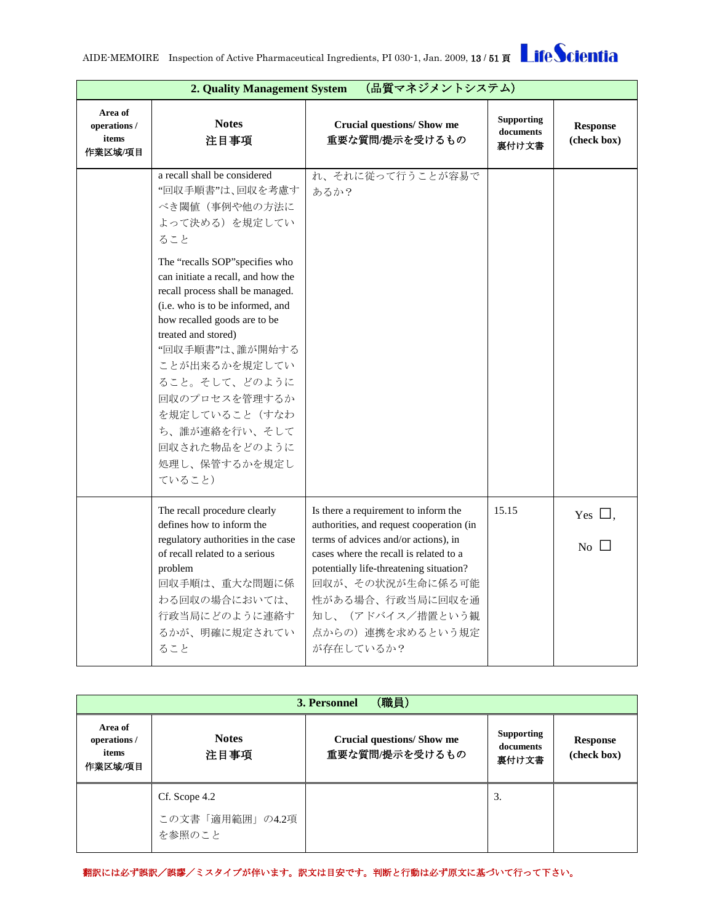

|                                             | (品質マネジメントシステム)<br>2. Quality Management System                                                                                                                                                                                                                                                                                                                                                                                                       |                                                                                                                                                                                                                                                                                                             |                                         |                                           |  |
|---------------------------------------------|------------------------------------------------------------------------------------------------------------------------------------------------------------------------------------------------------------------------------------------------------------------------------------------------------------------------------------------------------------------------------------------------------------------------------------------------------|-------------------------------------------------------------------------------------------------------------------------------------------------------------------------------------------------------------------------------------------------------------------------------------------------------------|-----------------------------------------|-------------------------------------------|--|
| Area of<br>operations /<br>items<br>作業区域/項目 | <b>Notes</b><br>注目事項                                                                                                                                                                                                                                                                                                                                                                                                                                 | <b>Crucial questions/ Show me</b><br>重要な質問/提示を受けるもの                                                                                                                                                                                                                                                         | <b>Supporting</b><br>documents<br>裏付け文書 | <b>Response</b><br>(check box)            |  |
|                                             | a recall shall be considered<br>"回収手順書"は、回収を考慮す<br>べき閾値(事例や他の方法に<br>よって決める)を規定してい<br>ること<br>The "recalls SOP" specifies who<br>can initiate a recall, and how the<br>recall process shall be managed.<br>(i.e. who is to be informed, and<br>how recalled goods are to be<br>treated and stored)<br>"回収手順書"は、誰が開始する<br>ことが出来るかを規定してい<br>ること。そして、どのように<br>回収のプロセスを管理するか<br>を規定していること(すなわ<br>ち、誰が連絡を行い、そして<br>回収された物品をどのように<br>処理し、保管するかを規定し<br>ていること) | れ、それに従って行うことが容易で<br>あるか?                                                                                                                                                                                                                                                                                    |                                         |                                           |  |
|                                             | The recall procedure clearly<br>defines how to inform the<br>regulatory authorities in the case<br>of recall related to a serious<br>problem<br>回収手順は、重大な問題に係<br>わる回収の場合においては、<br>行政当局にどのように連絡す<br>るかが、明確に規定されてい<br>ること                                                                                                                                                                                                                              | Is there a requirement to inform the<br>authorities, and request cooperation (in<br>terms of advices and/or actions), in<br>cases where the recall is related to a<br>potentially life-threatening situation?<br>回収が、その状況が生命に係る可能<br>性がある場合、行政当局に回収を通<br>知し、(アドバイス/措置という観<br>点からの) 連携を求めるという規定<br>が存在しているか? | 15.15                                   | Yes $\Box$ .<br>$\overline{N_{0}}$ $\Box$ |  |

<span id="page-12-0"></span>

| (職員)<br>3. Personnel                        |                           |                                                     |                                         |                                |  |
|---------------------------------------------|---------------------------|-----------------------------------------------------|-----------------------------------------|--------------------------------|--|
| Area of<br>operations /<br>items<br>作業区域/項目 | <b>Notes</b><br>注目事項      | <b>Crucial questions/ Show me</b><br>重要な質問/提示を受けるもの | <b>Supporting</b><br>documents<br>裏付け文書 | <b>Response</b><br>(check box) |  |
|                                             | Cf. Scope 4.2             |                                                     | 3.                                      |                                |  |
|                                             | この文書「適用範囲」の4.2項<br>を参照のこと |                                                     |                                         |                                |  |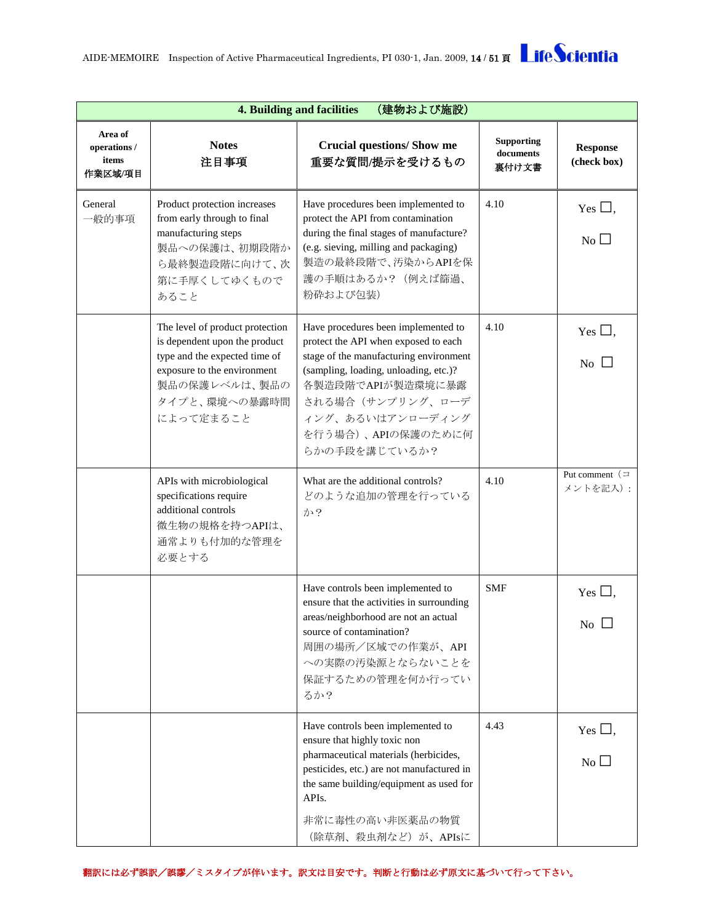<span id="page-13-0"></span>

|                                             | (建物および施設)<br><b>4. Building and facilities</b>                                                                                                                                  |                                                                                                                                                                                                                                                                    |                                         |                                            |  |
|---------------------------------------------|---------------------------------------------------------------------------------------------------------------------------------------------------------------------------------|--------------------------------------------------------------------------------------------------------------------------------------------------------------------------------------------------------------------------------------------------------------------|-----------------------------------------|--------------------------------------------|--|
| Area of<br>operations /<br>items<br>作業区域/項目 | <b>Notes</b><br>注目事項                                                                                                                                                            | <b>Crucial questions/ Show me</b><br>重要な質問/提示を受けるもの                                                                                                                                                                                                                | <b>Supporting</b><br>documents<br>裏付け文書 | <b>Response</b><br>(check box)             |  |
| General<br>一般的事項                            | Product protection increases<br>from early through to final<br>manufacturing steps<br>製品への保護は、初期段階か<br>ら最終製造段階に向けて、次<br>第に手厚くしてゆくもので<br>あること                                    | Have procedures been implemented to<br>protect the API from contamination<br>during the final stages of manufacture?<br>(e.g. sieving, milling and packaging)<br>製造の最終段階で、汚染からAPIを保<br>護の手順はあるか? (例えば篩過、<br>粉砕および包装)                                               | 4.10                                    | Yes $\Box$ ,<br>$No$ $\square$             |  |
|                                             | The level of product protection<br>is dependent upon the product<br>type and the expected time of<br>exposure to the environment<br>製品の保護レベルは、製品の<br>タイプと、環境への暴露時間<br>によって定まること | Have procedures been implemented to<br>protect the API when exposed to each<br>stage of the manufacturing environment<br>(sampling, loading, unloading, etc.)?<br>各製造段階でAPIが製造環境に暴露<br>される場合(サンプリング、ローデ<br>ィング、あるいはアンローディング<br>を行う場合)、APIの保護のために何<br>らかの手段を講じているか? | 4.10                                    | Yes $\Box$ ,<br>No                         |  |
|                                             | APIs with microbiological<br>specifications require<br>additional controls<br>微生物の規格を持つAPIは、<br>通常よりも付加的な管理を<br>必要とする                                                           | What are the additional controls?<br>どのような追加の管理を行っている<br>か?                                                                                                                                                                                                        | 4.10                                    | Put comment $( =$<br>メントを記入):              |  |
|                                             |                                                                                                                                                                                 | Have controls been implemented to<br>ensure that the activities in surrounding<br>areas/neighborhood are not an actual<br>source of contamination?<br>周囲の場所/区域での作業が、API<br>への実際の汚染源とならないことを<br>保証するための管理を何か行ってい<br>るか?                                             | <b>SMF</b>                              | Yes $\square$ ,<br>$\overline{N_0}$ $\Box$ |  |
|                                             |                                                                                                                                                                                 | Have controls been implemented to<br>ensure that highly toxic non<br>pharmaceutical materials (herbicides,<br>pesticides, etc.) are not manufactured in<br>the same building/equipment as used for<br>API <sub>s</sub> .<br>非常に毒性の高い非医薬品の物質<br>(除草剤、殺虫剤など)が、APIsに  | 4.43                                    | Yes $\Box$ ,<br>$\overline{N_0}$           |  |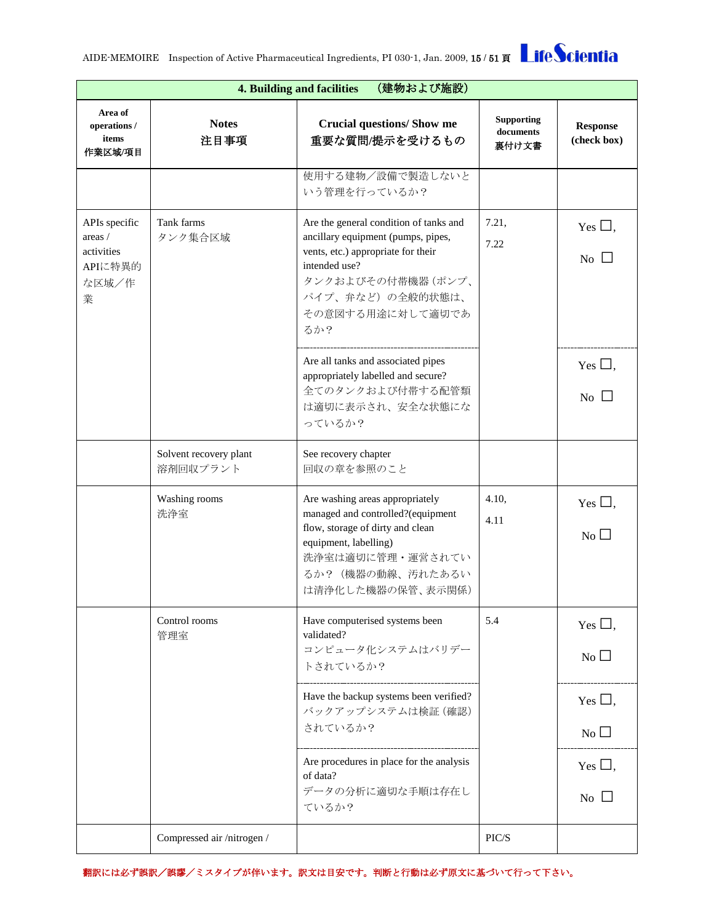| (建物および施設)<br><b>4. Building and facilities</b>                  |                                    |                                                                                                                                                                                                          |                                         |                                              |  |
|-----------------------------------------------------------------|------------------------------------|----------------------------------------------------------------------------------------------------------------------------------------------------------------------------------------------------------|-----------------------------------------|----------------------------------------------|--|
| Area of<br>operations /<br>items<br>作業区域/項目                     | <b>Notes</b><br>注目事項               | <b>Crucial questions/ Show me</b><br>重要な質問/提示を受けるもの                                                                                                                                                      | <b>Supporting</b><br>documents<br>裏付け文書 | <b>Response</b><br>(check box)               |  |
|                                                                 |                                    | 使用する建物/設備で製造しないと<br>いう管理を行っているか?                                                                                                                                                                         |                                         |                                              |  |
| APIs specific<br>areas /<br>activities<br>APIに特異的<br>な区域/作<br>業 | Tank farms<br>タンク集合区域              | Are the general condition of tanks and<br>ancillary equipment (pumps, pipes,<br>vents, etc.) appropriate for their<br>intended use?<br>タンクおよびその付帯機器 (ポンプ、<br>パイプ、弁など)の全般的状態は、<br>その意図する用途に対して適切であ<br>るか? | 7.21,<br>7.22                           | Yes $\Box$ ,<br>No $\Box$                    |  |
|                                                                 |                                    | Are all tanks and associated pipes<br>appropriately labelled and secure?<br>全てのタンクおよび付帯する配管類<br>は適切に表示され、安全な状態にな<br>っているか?                                                                               |                                         | Yes $\Box$ ,<br>No $\Box$                    |  |
|                                                                 | Solvent recovery plant<br>溶剤回収プラント | See recovery chapter<br>回収の章を参照のこと                                                                                                                                                                       |                                         |                                              |  |
|                                                                 | Washing rooms<br>洗浄室               | Are washing areas appropriately<br>managed and controlled?(equipment<br>flow, storage of dirty and clean<br>equipment, labelling)<br>洗浄室は適切に管理・運営されてい<br>るか? (機器の動線、汚れたあるい<br>は清浄化した機器の保管、表示関係)          | 4.10,<br>4.11                           | Yes $\square$ ,<br>$\overline{N_{0}}$ $\Box$ |  |
|                                                                 | Control rooms<br>管理室               | Have computerised systems been<br>validated?<br>コンピュータ化システムはバリデー<br>トされているか?                                                                                                                             | 5.4                                     | Yes $\Box$ ,<br>$No$ $\Box$                  |  |
|                                                                 |                                    | Have the backup systems been verified?<br>バックアップシステムは検証 (確認)<br>されているか?                                                                                                                                  |                                         | Yes $\square$ .<br>$No$ $\square$            |  |
|                                                                 |                                    | Are procedures in place for the analysis<br>of data?<br>データの分析に適切な手順は存在し<br>ているか?                                                                                                                        |                                         | Yes $\Box$<br>N <sub>o</sub>                 |  |
|                                                                 | Compressed air/nitrogen/           |                                                                                                                                                                                                          | PIC/S                                   |                                              |  |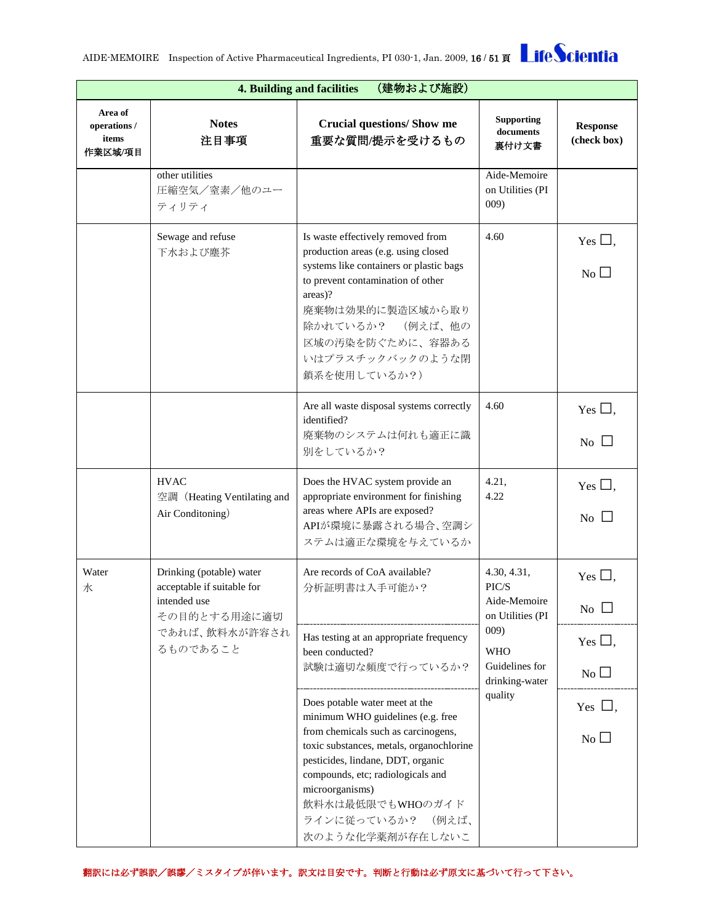|                                             | (建物および施設)<br>4. Building and facilities                                                |                                                                                                                                                                                                                                                                                                                  |                                                                                                                    |                                         |  |  |
|---------------------------------------------|----------------------------------------------------------------------------------------|------------------------------------------------------------------------------------------------------------------------------------------------------------------------------------------------------------------------------------------------------------------------------------------------------------------|--------------------------------------------------------------------------------------------------------------------|-----------------------------------------|--|--|
| Area of<br>operations /<br>items<br>作業区域/項目 | <b>Notes</b><br>注目事項                                                                   | <b>Crucial questions/ Show me</b><br>重要な質問/提示を受けるもの                                                                                                                                                                                                                                                              | <b>Supporting</b><br>documents<br>裏付け文書                                                                            | <b>Response</b><br>(check box)          |  |  |
|                                             | other utilities<br>圧縮空気/窒素/他のユー<br>ティリティ                                               |                                                                                                                                                                                                                                                                                                                  | Aide-Memoire<br>on Utilities (PI<br>009)                                                                           |                                         |  |  |
|                                             | Sewage and refuse<br>下水および塵芥                                                           | Is waste effectively removed from<br>production areas (e.g. using closed<br>systems like containers or plastic bags<br>to prevent contamination of other<br>areas)?<br>廃棄物は効果的に製造区域から取り<br>除かれているか? (例えば、他の<br>区域の汚染を防ぐために、容器ある<br>いはプラスチックバックのような閉<br>鎖系を使用しているか?)                                              | 4.60                                                                                                               | Yes $\Box$ ,<br>No                      |  |  |
|                                             |                                                                                        | Are all waste disposal systems correctly<br>identified?<br>廃棄物のシステムは何れも適正に識<br>別をしているか?                                                                                                                                                                                                                          | 4.60                                                                                                               | Yes $\Box$ ,<br>No                      |  |  |
|                                             | <b>HVAC</b><br>空調 (Heating Ventilating and<br>Air Conditoning)                         | Does the HVAC system provide an<br>appropriate environment for finishing<br>areas where APIs are exposed?<br>APIが環境に暴露される場合、空調シ<br>ステムは適正な環境を与えているか                                                                                                                                                              | 4.21,<br>4.22                                                                                                      | Yes $\Box$ ,<br>No $\Box$               |  |  |
| Water<br>水                                  | Drinking (potable) water<br>acceptable if suitable for<br>intended use<br>その目的とする用途に適切 | Are records of CoA available?<br>分析証明書は入手可能か?                                                                                                                                                                                                                                                                    | 4.30, 4.31,<br>PIC/S<br>Aide-Memoire<br>on Utilities (PI<br>009)<br><b>WHO</b><br>Guidelines for<br>drinking-water | Yes $\Box$ .<br>$\overline{N_0}$ $\Box$ |  |  |
| るものであること                                    | であれば、飲料水が許容され                                                                          | Has testing at an appropriate frequency<br>been conducted?<br>試験は適切な頻度で行っているか?                                                                                                                                                                                                                                   |                                                                                                                    | Yes $\square$ ,<br>No $\square$         |  |  |
|                                             |                                                                                        | Does potable water meet at the<br>minimum WHO guidelines (e.g. free<br>from chemicals such as carcinogens,<br>toxic substances, metals, organochlorine<br>pesticides, lindane, DDT, organic<br>compounds, etc; radiologicals and<br>microorganisms)<br>飲料水は最低限でもWHOのガイド<br>ラインに従っているか? (例えば、<br>次のような化学薬剤が存在しないこ | quality                                                                                                            | Yes $\Box$ ,<br>$No$ $\Box$             |  |  |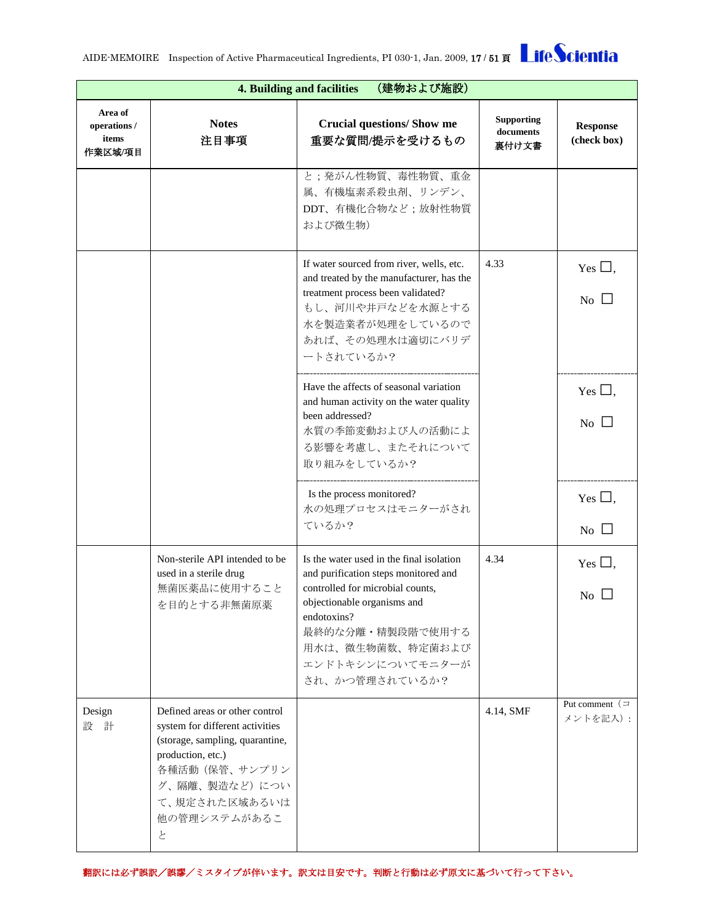|                                             | (建物および施設)<br>4. Building and facilities                                                                                                                                                            |                                                                                                                                                                                                                                                  |                                         |                                         |  |  |
|---------------------------------------------|----------------------------------------------------------------------------------------------------------------------------------------------------------------------------------------------------|--------------------------------------------------------------------------------------------------------------------------------------------------------------------------------------------------------------------------------------------------|-----------------------------------------|-----------------------------------------|--|--|
| Area of<br>operations /<br>items<br>作業区域/項目 | <b>Notes</b><br>注目事項                                                                                                                                                                               | <b>Crucial questions/ Show me</b><br>重要な質問/提示を受けるもの                                                                                                                                                                                              | <b>Supporting</b><br>documents<br>裏付け文書 | <b>Response</b><br>(check box)          |  |  |
|                                             |                                                                                                                                                                                                    | と;発がん性物質、毒性物質、重金<br>属、有機塩素系殺虫剤、リンデン、<br>DDT、有機化合物など;放射性物質<br>および微生物)                                                                                                                                                                             |                                         |                                         |  |  |
|                                             |                                                                                                                                                                                                    | If water sourced from river, wells, etc.<br>and treated by the manufacturer, has the<br>treatment process been validated?<br>もし、河川や井戸などを水源とする<br>水を製造業者が処理をしているので<br>あれば、その処理水は適切にバリデ<br>ートされているか?                                               | 4.33                                    | Yes $\Box$ ,<br>$\overline{N_0}$ $\Box$ |  |  |
|                                             |                                                                                                                                                                                                    | Have the affects of seasonal variation<br>and human activity on the water quality<br>been addressed?<br>水質の季節変動および人の活動によ<br>る影響を考慮し、またそれについて<br>取り組みをしているか?                                                                                      |                                         | Yes $\Box$ .<br>No $\Box$               |  |  |
|                                             |                                                                                                                                                                                                    | Is the process monitored?<br>水の処理プロセスはモニターがされ<br>ているか?                                                                                                                                                                                           |                                         | Yes $\Box$ ,<br>$\overline{N_0}$ $\Box$ |  |  |
|                                             | Non-sterile API intended to be<br>used in a sterile drug<br>無菌医薬品に使用すること<br>を目的とする非無菌原薬                                                                                                            | Is the water used in the final isolation<br>and purification steps monitored and<br>controlled for microbial counts,<br>objectionable organisms and<br>endotoxins?<br>最終的な分離・精製段階で使用する<br>用水は、微生物菌数、特定菌および<br>エンドトキシンについてモニターが<br>され、かつ管理されているか? | 4.34                                    | Yes $\square$ ,<br>No l                 |  |  |
| Design<br>設 計                               | Defined areas or other control<br>system for different activities<br>(storage, sampling, quarantine,<br>production, etc.)<br>各種活動 (保管、サンプリン<br>グ、隔離、製造など)につい<br>て、規定された区域あるいは<br>他の管理システムがあるこ<br>と |                                                                                                                                                                                                                                                  | 4.14, SMF                               | Put comment $($<br>メントを記入):             |  |  |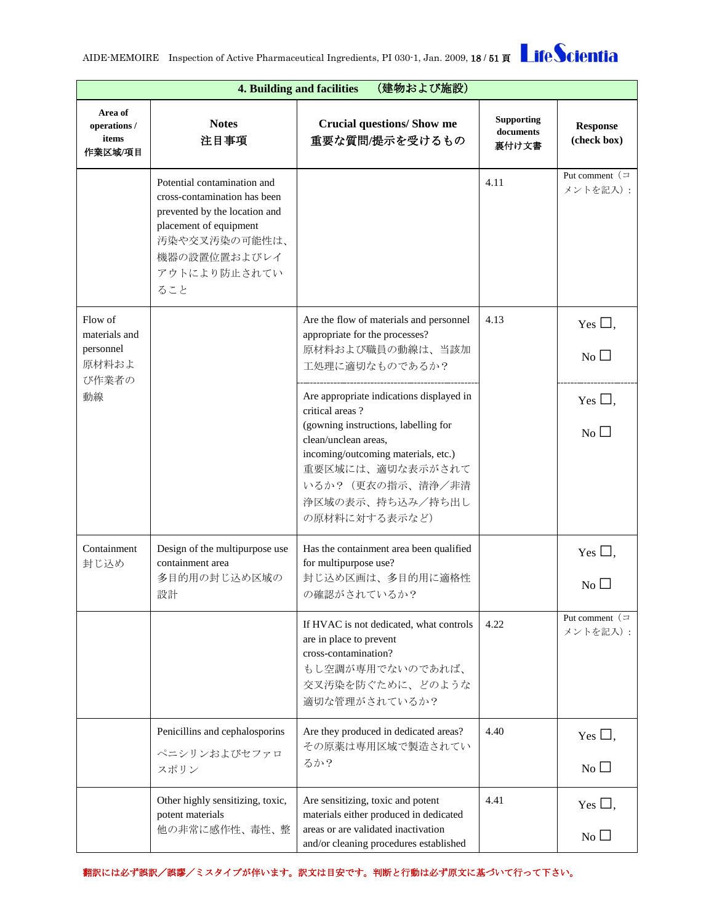| (建物および施設)<br>4. Building and facilities        |                                                                                                                                                                                |                                                                                                                                                                                                                                                  |                                         |                                     |
|------------------------------------------------|--------------------------------------------------------------------------------------------------------------------------------------------------------------------------------|--------------------------------------------------------------------------------------------------------------------------------------------------------------------------------------------------------------------------------------------------|-----------------------------------------|-------------------------------------|
| Area of<br>operations /<br>items<br>作業区域/項目    | <b>Notes</b><br>注目事項                                                                                                                                                           | <b>Crucial questions/ Show me</b><br>重要な質問/提示を受けるもの                                                                                                                                                                                              | <b>Supporting</b><br>documents<br>裏付け文書 | <b>Response</b><br>(check box)      |
|                                                | Potential contamination and<br>cross-contamination has been<br>prevented by the location and<br>placement of equipment<br>汚染や交叉汚染の可能性は、<br>機器の設置位置およびレイ<br>アウトにより防止されてい<br>ること |                                                                                                                                                                                                                                                  | 4.11                                    | Put comment $( =$<br>メントを記入):       |
| Flow of<br>materials and<br>personnel<br>原材料およ |                                                                                                                                                                                | Are the flow of materials and personnel<br>appropriate for the processes?<br>原材料および職員の動線は、当該加<br>工処理に適切なものであるか?                                                                                                                                  | 4.13                                    | Yes $\Box$ ,<br>$No$ $\Box$         |
| び作業者の<br>動線                                    |                                                                                                                                                                                | Are appropriate indications displayed in<br>critical areas?<br>(gowning instructions, labelling for<br>clean/unclean areas,<br>incoming/outcoming materials, etc.)<br>重要区域には、適切な表示がされて<br>いるか? (更衣の指示、清浄/非清<br>浄区域の表示、持ち込み/持ち出し<br>の原材料に対する表示など) |                                         | Yes $\square$ ,<br>$\rm{No}$ $\Box$ |
| Containment<br>封じ込め                            | Design of the multipurpose use<br>containment area<br>多目的用の封じ込め区域の<br>設計                                                                                                       | Has the containment area been qualified<br>for multipurpose use?<br>封じ込め区画は、多目的用に適格性<br>の確認がされているか?                                                                                                                                              |                                         | Yes $\Box$ ,<br>No $\Box$           |
|                                                |                                                                                                                                                                                | If HVAC is not dedicated, what controls<br>are in place to prevent<br>cross-contamination?<br>もし空調が専用でないのであれば、<br>交叉汚染を防ぐために、どのような<br>適切な管理がされているか?                                                                                              | 4.22                                    | Put comment $( =$<br>メントを記入):       |
|                                                | Penicillins and cephalosporins<br>ペニシリンおよびセファロ<br>スポリン                                                                                                                         | Are they produced in dedicated areas?<br>その原薬は専用区域で製造されてい<br>るか?                                                                                                                                                                                 | 4.40                                    | Yes $\Box$ ,<br>$\overline{N_{0}}$  |
|                                                | Other highly sensitizing, toxic,<br>potent materials<br>他の非常に感作性、毒性、整                                                                                                          | Are sensitizing, toxic and potent<br>materials either produced in dedicated<br>areas or are validated inactivation<br>and/or cleaning procedures established                                                                                     | 4.41                                    | Yes $\Box$ ,<br>$No$ $\Box$         |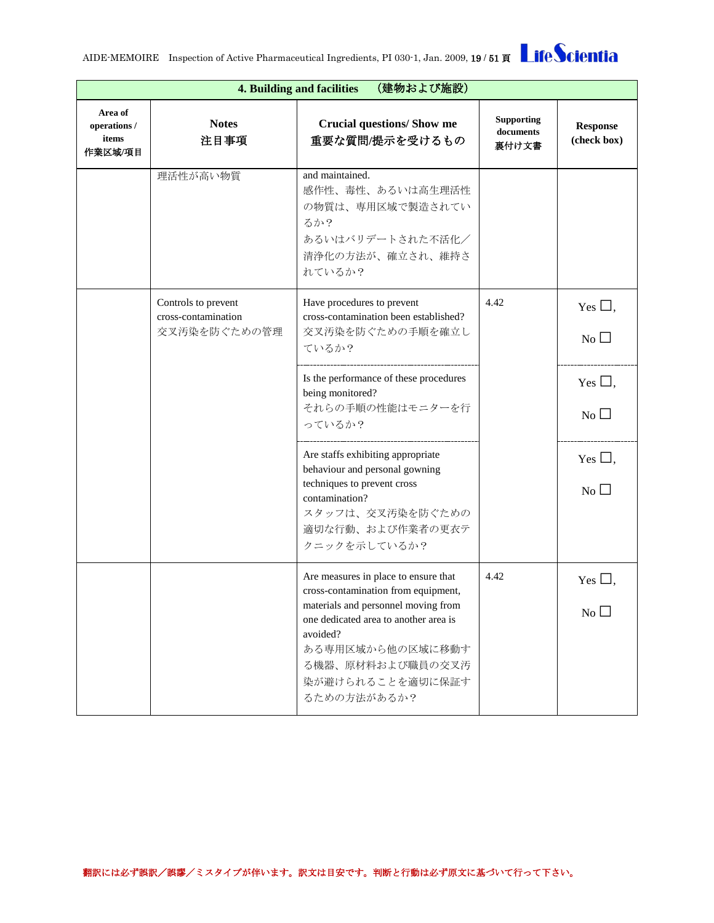|                                             | (建物および施設)<br>4. Building and facilities                    |                                                                                                                                                                                                                                                    |                                         |                                 |  |
|---------------------------------------------|------------------------------------------------------------|----------------------------------------------------------------------------------------------------------------------------------------------------------------------------------------------------------------------------------------------------|-----------------------------------------|---------------------------------|--|
| Area of<br>operations /<br>items<br>作業区域/項目 | <b>Notes</b><br>注目事項                                       | <b>Crucial questions/ Show me</b><br>重要な質問/提示を受けるもの                                                                                                                                                                                                | <b>Supporting</b><br>documents<br>裏付け文書 | <b>Response</b><br>(check box)  |  |
|                                             | 理活性が高い物質                                                   | and maintained.<br>感作性、毒性、あるいは高生理活性<br>の物質は、専用区域で製造されてい<br>るか?<br>あるいはバリデートされた不活化/<br>清浄化の方法が、確立され、維持さ<br>れているか?                                                                                                                                   |                                         |                                 |  |
|                                             | Controls to prevent<br>cross-contamination<br>交叉汚染を防ぐための管理 | Have procedures to prevent<br>cross-contamination been established?<br>交叉汚染を防ぐための手順を確立し<br>ているか?                                                                                                                                                   | 4.42                                    | Yes $\Box$ ,<br>N <sub>0</sub>  |  |
|                                             |                                                            | Is the performance of these procedures<br>being monitored?<br>それらの手順の性能はモニターを行<br>っているか?                                                                                                                                                           |                                         | Yes $\Box$ ,<br>$No$ $\square$  |  |
|                                             |                                                            | Are staffs exhibiting appropriate<br>behaviour and personal gowning<br>techniques to prevent cross<br>contamination?<br>スタッフは、交叉汚染を防ぐための<br>適切な行動、および作業者の更衣テ<br>クニックを示しているか?                                                                       |                                         | Yes $\square$ ,<br>No $\square$ |  |
|                                             |                                                            | Are measures in place to ensure that<br>cross-contamination from equipment,<br>materials and personnel moving from<br>one dedicated area to another area is<br>avoided?<br>ある専用区域から他の区域に移動す<br>る機器、原材料および職員の交叉汚<br>染が避けられることを適切に保証す<br>るための方法があるか? | 4.42                                    | Yes l<br>$No\square$            |  |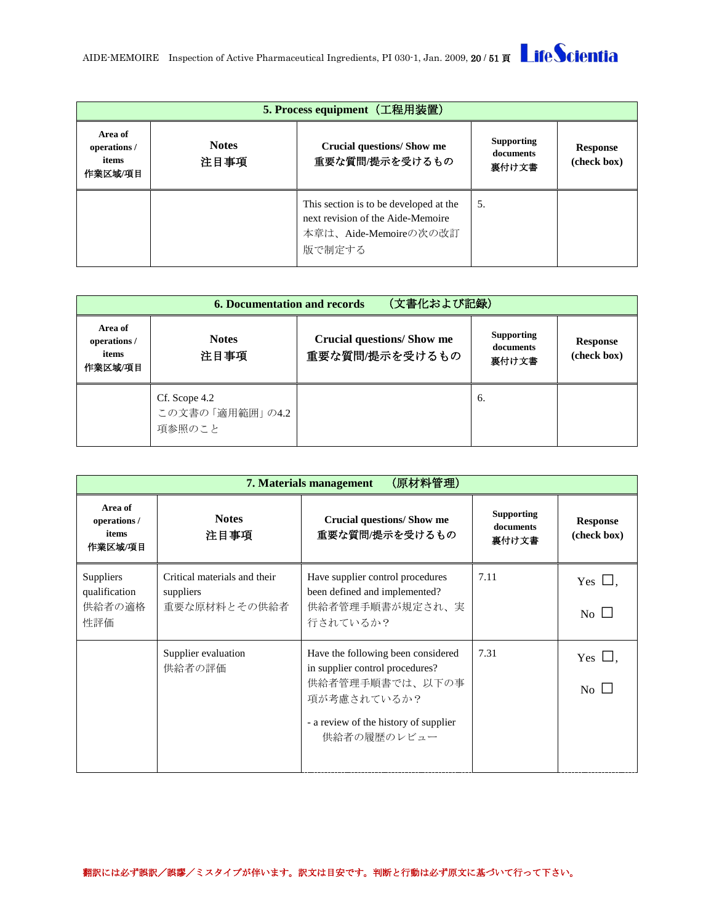<span id="page-19-0"></span>

| 5. Process equipment (工程用装置)               |                      |                                                                                                                |                                         |                                |
|--------------------------------------------|----------------------|----------------------------------------------------------------------------------------------------------------|-----------------------------------------|--------------------------------|
| Area of<br>operations/<br>items<br>作業区域/項目 | <b>Notes</b><br>注目事項 | Crucial questions/Show me<br>重要な質問/提示を受けるもの                                                                    | <b>Supporting</b><br>documents<br>裏付け文書 | <b>Response</b><br>(check box) |
|                                            |                      | This section is to be developed at the<br>next revision of the Aide-Memoire<br>本章は、Aide-Memoireの次の改訂<br>版で制定する | 5.                                      |                                |

<span id="page-19-1"></span>

| (文書化および記録)<br><b>6. Documentation and records</b> |                                            |                                                     |                                         |                                |
|---------------------------------------------------|--------------------------------------------|-----------------------------------------------------|-----------------------------------------|--------------------------------|
| Area of<br>operations /<br>items<br>作業区域/項目       | <b>Notes</b><br>注目事項                       | <b>Crucial questions/ Show me</b><br>重要な質問/提示を受けるもの | <b>Supporting</b><br>documents<br>裏付け文書 | <b>Response</b><br>(check box) |
|                                                   | Cf. Scope 4.2<br>この文書の「適用範囲」の4.2<br>項参照のこと |                                                     | 6.                                      |                                |

<span id="page-19-2"></span>

|                                             | (原材料管理)<br>7. Materials management                        |                                                                                                                                                                 |                                         |                                    |  |  |
|---------------------------------------------|-----------------------------------------------------------|-----------------------------------------------------------------------------------------------------------------------------------------------------------------|-----------------------------------------|------------------------------------|--|--|
| Area of<br>operations /<br>items<br>作業区域/項目 | <b>Notes</b><br>注目事項                                      | <b>Crucial questions/Show me</b><br>重要な質問/提示を受けるもの                                                                                                              | <b>Supporting</b><br>documents<br>裏付け文書 | <b>Response</b><br>(check box)     |  |  |
| Suppliers<br>qualification<br>供給者の適格<br>性評価 | Critical materials and their<br>suppliers<br>重要な原材料とその供給者 | Have supplier control procedures<br>been defined and implemented?<br>供給者管理手順書が規定され、実<br>行されているか?                                                                | 7.11                                    | Yes $\Box$ .<br>$No \perp$         |  |  |
|                                             | Supplier evaluation<br>供給者の評価                             | Have the following been considered<br>in supplier control procedures?<br>供給者管理手順書では、以下の事<br>項が考慮されているか?<br>- a review of the history of supplier<br>供給者の履歴のレビュー | 7.31                                    | Yes $\Box$ .<br>$\overline{N_{0}}$ |  |  |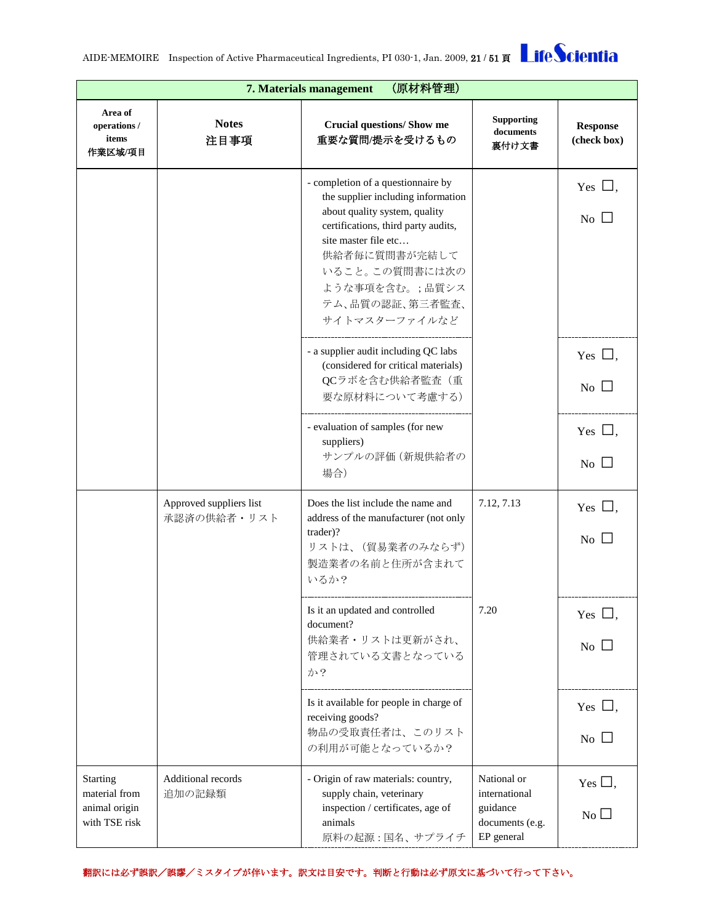|                                                             | (原材料管理)<br>7. Materials management     |                                                                                                                                                                                                                                                                   |                                                                           |                                           |  |
|-------------------------------------------------------------|----------------------------------------|-------------------------------------------------------------------------------------------------------------------------------------------------------------------------------------------------------------------------------------------------------------------|---------------------------------------------------------------------------|-------------------------------------------|--|
| Area of<br>operations /<br>items<br>作業区域/項目                 | <b>Notes</b><br>注目事項                   | <b>Crucial questions/ Show me</b><br>重要な質問/提示を受けるもの                                                                                                                                                                                                               | <b>Supporting</b><br>documents<br>裏付け文書                                   | <b>Response</b><br>(check box)            |  |
|                                                             |                                        | - completion of a questionnaire by<br>the supplier including information<br>about quality system, quality<br>certifications, third party audits,<br>site master file etc<br>供給者毎に質問書が完結して<br>いること。この質問書には次の<br>ような事項を含む。;品質シス<br>テム、品質の認証、第三者監査、<br>サイトマスターファイルなど |                                                                           | Yes $\Box$ ,<br>$\overline{N}$ $\Box$     |  |
|                                                             |                                        | - a supplier audit including QC labs<br>(considered for critical materials)<br>QCラボを含む供給者監査(重<br>要な原材料について考慮する)                                                                                                                                                   |                                                                           | Yes $\Box$ ,<br>$\overline{N_{0}}$        |  |
|                                                             |                                        | - evaluation of samples (for new<br>suppliers)<br>サンプルの評価 (新規供給者の<br>場合)                                                                                                                                                                                          |                                                                           | Yes $\Box$ .<br>No $\Box$                 |  |
|                                                             | Approved suppliers list<br>承認済の供給者・リスト | Does the list include the name and<br>address of the manufacturer (not only<br>trader)?<br>リストは、(貿易業者のみならず)<br>製造業者の名前と住所が含まれて<br>いるか?                                                                                                                            | 7.12, 7.13                                                                | Yes $\Box$ ,<br>No L                      |  |
|                                                             |                                        | Is it an updated and controlled<br>document?<br>供給業者・リストは更新がされ、<br>管理されている文書となっている<br>か?                                                                                                                                                                          | 7.20                                                                      | Yes $\Box$ ,<br>$\overline{N_{0}}$ $\Box$ |  |
|                                                             |                                        | Is it available for people in charge of<br>receiving goods?<br>物品の受取責任者は、このリスト<br>の利用が可能となっているか?                                                                                                                                                                  |                                                                           | Yes $\Box$ ,<br>$\overline{N_{0}}$        |  |
| Starting<br>material from<br>animal origin<br>with TSE risk | Additional records<br>追加の記録類           | - Origin of raw materials: country,<br>supply chain, veterinary<br>inspection / certificates, age of<br>animals<br>原料の起源:国名、サプライチ                                                                                                                                 | National or<br>international<br>guidance<br>documents (e.g.<br>EP general | Yes $\Box$ ,<br>$No$ $\Box$               |  |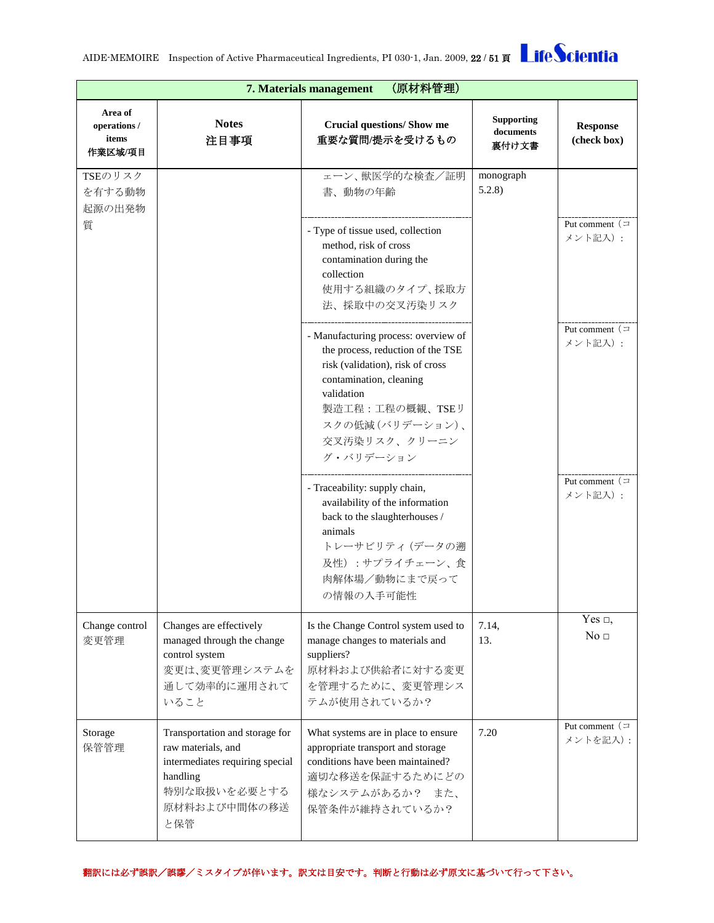|                                             | (原材料管理)<br>7. Materials management                                                                                                         |                                                                                                                                                                                                                            |                                         |                                 |  |
|---------------------------------------------|--------------------------------------------------------------------------------------------------------------------------------------------|----------------------------------------------------------------------------------------------------------------------------------------------------------------------------------------------------------------------------|-----------------------------------------|---------------------------------|--|
| Area of<br>operations /<br>items<br>作業区域/項目 | <b>Notes</b><br>注目事項                                                                                                                       | <b>Crucial questions/ Show me</b><br>重要な質問/提示を受けるもの                                                                                                                                                                        | <b>Supporting</b><br>documents<br>裏付け文書 | <b>Response</b><br>(check box)  |  |
| TSEのリスク<br>を有する動物<br>起源の出発物                 |                                                                                                                                            | ェーン、獣医学的な検査/証明<br>書、動物の年齢                                                                                                                                                                                                  | monograph<br>5.2.8                      |                                 |  |
| 質                                           |                                                                                                                                            | - Type of tissue used, collection<br>method, risk of cross<br>contamination during the<br>collection<br>使用する組織のタイプ、採取方<br>法、採取中の交叉汚染リスク                                                                                    |                                         | Put comment $($<br>メント記入):      |  |
|                                             |                                                                                                                                            | - Manufacturing process: overview of<br>the process, reduction of the TSE<br>risk (validation), risk of cross<br>contamination, cleaning<br>validation<br>製造工程:工程の概観、TSEリ<br>スクの低減(バリデーション)、<br>交叉汚染リスク、クリーニン<br>グ・バリデーション |                                         | Put comment $($<br>メント記入):      |  |
|                                             |                                                                                                                                            | - Traceability: supply chain,<br>availability of the information<br>back to the slaughterhouses /<br>animals<br>トレーサビリティ (データの遡<br>及性):サプライチェーン、食<br>肉解体場/動物にまで戻って<br>の情報の入手可能性                                            |                                         | Put comment $($<br>メント記入):      |  |
| Change control<br>変更管理                      | Changes are effectively<br>managed through the change<br>control system<br>変更は、変更管理システムを<br>通して効率的に運用されて<br>いること                           | Is the Change Control system used to<br>manage changes to materials and<br>suppliers?<br>原材料および供給者に対する変更<br>を管理するために、変更管理シス<br>テムが使用されているか?                                                                                | 7.14,<br>13.                            | Yes $\Box$ ,<br>No <sub>□</sub> |  |
| Storage<br>保管管理                             | Transportation and storage for<br>raw materials, and<br>intermediates requiring special<br>handling<br>特別な取扱いを必要とする<br>原材料および中間体の移送<br>と保管 | What systems are in place to ensure<br>appropriate transport and storage<br>conditions have been maintained?<br>適切な移送を保証するためにどの<br>様なシステムがあるか? また、<br>保管条件が維持されているか?                                                       | 7.20                                    | Put comment $($<br>メントを記入):     |  |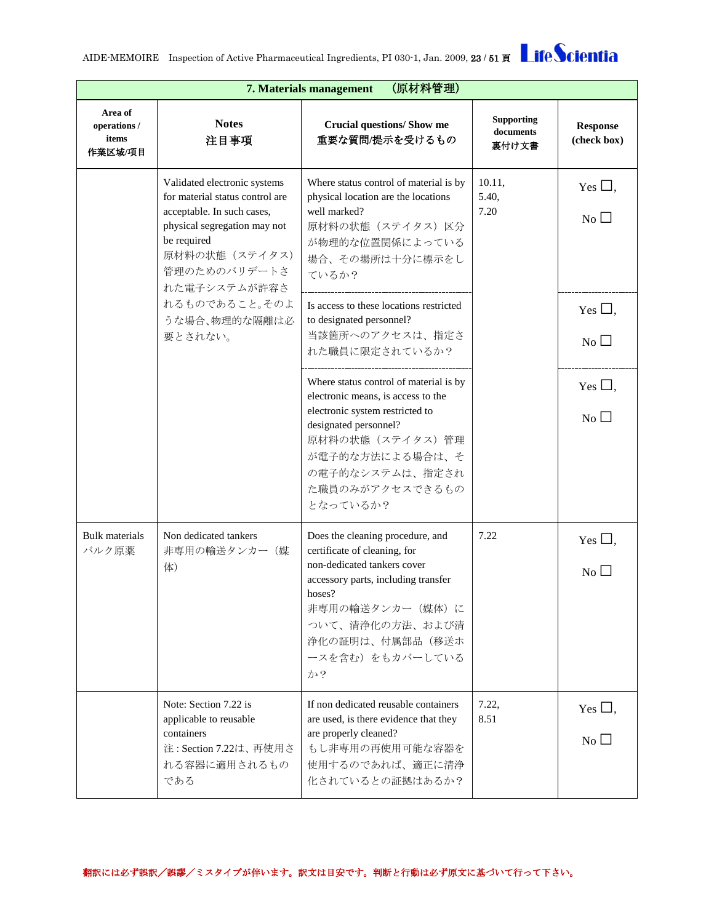|                                             | (原材料管理)<br>7. Materials management                                                                                                                                                                                                          |                                                                                                                                                                                                                                     |                                         |                                              |  |
|---------------------------------------------|---------------------------------------------------------------------------------------------------------------------------------------------------------------------------------------------------------------------------------------------|-------------------------------------------------------------------------------------------------------------------------------------------------------------------------------------------------------------------------------------|-----------------------------------------|----------------------------------------------|--|
| Area of<br>operations /<br>items<br>作業区域/項目 | <b>Notes</b><br>注目事項                                                                                                                                                                                                                        | <b>Crucial questions/ Show me</b><br>重要な質問/提示を受けるもの                                                                                                                                                                                 | <b>Supporting</b><br>documents<br>裏付け文書 | <b>Response</b><br>(check box)               |  |
|                                             | Validated electronic systems<br>for material status control are<br>acceptable. In such cases,<br>physical segregation may not<br>be required<br>原材料の状態 (ステイタス)<br>管理のためのバリデートさ<br>れた電子システムが許容さ<br>れるものであること。そのよ<br>うな場合、物理的な隔離は必<br>要とされない。 | Where status control of material is by<br>physical location are the locations<br>well marked?<br>原材料の状態(ステイタス)区分<br>が物理的な位置関係によっている<br>場合、その場所は十分に標示をし<br>ているか?                                                                     | 10.11,<br>5.40,<br>7.20                 | Yes $\square$ ,<br>$\overline{N_{0}}$ $\Box$ |  |
|                                             |                                                                                                                                                                                                                                             | Is access to these locations restricted<br>to designated personnel?<br>当該箇所へのアクセスは、指定さ<br>れた職員に限定されているか?                                                                                                                            |                                         | Yes $\Box$ ,<br>$No$ $\square$               |  |
|                                             |                                                                                                                                                                                                                                             | Where status control of material is by<br>electronic means, is access to the<br>electronic system restricted to<br>designated personnel?<br>原材料の状態(ステイタス)管理<br>が電子的な方法による場合は、そ<br>の電子的なシステムは、指定され<br>た職員のみがアクセスできるもの<br>となっているか?    |                                         | Yes $\square$ ,<br>$\overline{N_{0}}$ $\Box$ |  |
| <b>Bulk materials</b><br>バルク原薬              | Non dedicated tankers<br>非専用の輸送タンカー(媒<br>体)                                                                                                                                                                                                 | Does the cleaning procedure, and<br>certificate of cleaning, for<br>non-dedicated tankers cover<br>accessory parts, including transfer<br>hoses?<br>非専用の輸送タンカー (媒体)に<br>ついて、清浄化の方法、および清<br>浄化の証明は、付属部品(移送ホ<br>ースを含む)をもカバーしている<br>か? | 7.22                                    | Yes $\square$ ,<br>$No$ $\Box$               |  |
|                                             | Note: Section 7.22 is<br>applicable to reusable<br>containers<br>注: Section 7.22は、再使用さ<br>れる容器に適用されるもの<br>である                                                                                                                               | If non dedicated reusable containers<br>are used, is there evidence that they<br>are properly cleaned?<br>もし非専用の再使用可能な容器を<br>使用するのであれば、適正に清浄<br>化されているとの証拠はあるか?                                                                     | 7.22,<br>8.51                           | Yes $\square$ ,<br>$\overline{N_0}$          |  |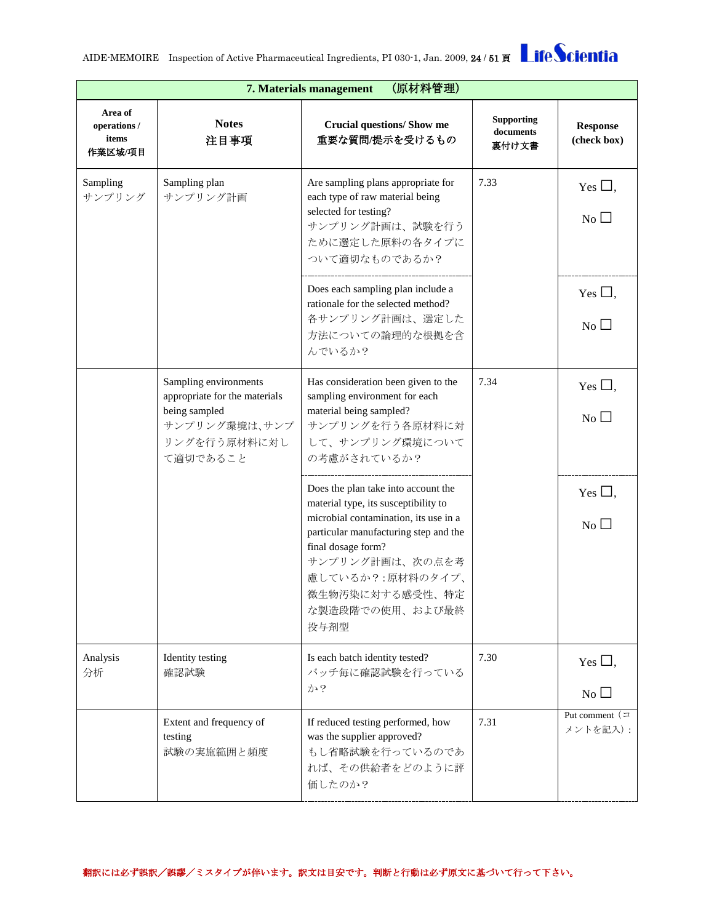|                                             | (原材料管理)<br>7. Materials management                                                                                   |                                                                                                                                                                                                                                                                          |                                         |                                           |  |
|---------------------------------------------|----------------------------------------------------------------------------------------------------------------------|--------------------------------------------------------------------------------------------------------------------------------------------------------------------------------------------------------------------------------------------------------------------------|-----------------------------------------|-------------------------------------------|--|
| Area of<br>operations /<br>items<br>作業区域/項目 | <b>Notes</b><br>注目事項                                                                                                 | <b>Crucial questions/ Show me</b><br>重要な質問/提示を受けるもの                                                                                                                                                                                                                      | <b>Supporting</b><br>documents<br>裏付け文書 | <b>Response</b><br>(check box)            |  |
| Sampling<br>サンプリング                          | Sampling plan<br>サンプリング計画                                                                                            | Are sampling plans appropriate for<br>each type of raw material being<br>selected for testing?<br>サンプリング計画は、試験を行う<br>ために選定した原料の各タイプに<br>ついて適切なものであるか?                                                                                                                    | 7.33                                    | Yes $\Box$ ,<br>$\overline{N_0}$          |  |
|                                             |                                                                                                                      | Does each sampling plan include a<br>rationale for the selected method?<br>各サンプリング計画は、選定した<br>方法についての論理的な根拠を含<br>んでいるか?                                                                                                                                                  |                                         | Yes $\square$ ,<br>No                     |  |
|                                             | Sampling environments<br>appropriate for the materials<br>being sampled<br>サンプリング環境は、サンプ<br>リングを行う原材料に対し<br>て適切であること | Has consideration been given to the<br>sampling environment for each<br>material being sampled?<br>サンプリングを行う各原材料に対<br>して、サンプリング環境について<br>の考慮がされているか?                                                                                                                     | 7.34                                    | Yes $\square$ ,<br>$No$ $\square$         |  |
|                                             |                                                                                                                      | Does the plan take into account the<br>material type, its susceptibility to<br>microbial contamination, its use in a<br>particular manufacturing step and the<br>final dosage form?<br>サンプリング計画は、次の点を考<br>慮しているか?:原材料のタイプ、<br>微生物汚染に対する感受性、特定<br>な製造段階での使用、および最終<br>投与剤型 |                                         | Yes $\Box$ ,<br>$\overline{N_{0}}$ $\Box$ |  |
| Analysis<br>分析                              | Identity testing<br>確認試験                                                                                             | Is each batch identity tested?<br>バッチ毎に確認試験を行っている<br>か?                                                                                                                                                                                                                  | 7.30                                    | Yes $\Box$ ,<br>$No$ $\Box$               |  |
|                                             | Extent and frequency of<br>testing<br>試験の実施範囲と頻度                                                                     | If reduced testing performed, how<br>was the supplier approved?<br>もし省略試験を行っているのであ<br>れば、その供給者をどのように評<br>価したのか?                                                                                                                                                          | 7.31                                    | Put comment $($<br>メントを記入):               |  |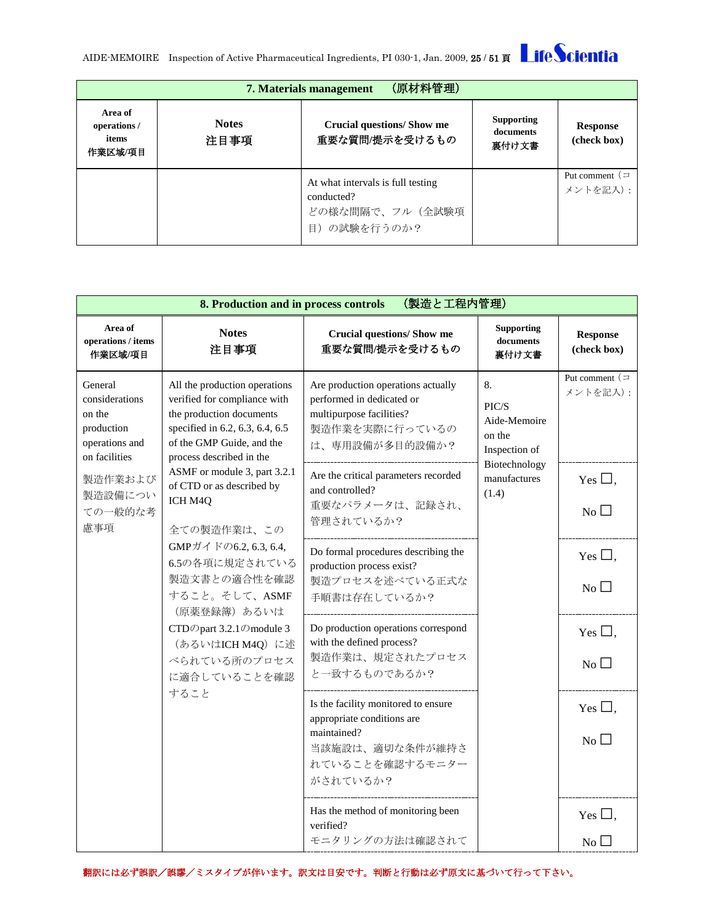| (原材料管理)<br>7. Materials management         |                      |                                                                                    |                                         |                                |  |
|--------------------------------------------|----------------------|------------------------------------------------------------------------------------|-----------------------------------------|--------------------------------|--|
| Area of<br>operations/<br>items<br>作業区域/項目 | <b>Notes</b><br>注目事項 | <b>Crucial questions/Show me</b><br>重要な質問/提示を受けるもの                                 | <b>Supporting</b><br>documents<br>裏付け文書 | <b>Response</b><br>(check box) |  |
|                                            |                      | At what intervals is full testing<br>conducted?<br>どの様な間隔で、フル (全試験項<br>目)の試験を行うのか? |                                         | Put comment $($<br>メントを記入):    |  |

<span id="page-24-0"></span>

|                                                                                                                                                                                | (製造と工程内管理)<br>8. Production and in process controls                                                                                                                                                                                                                          |                                                                                                                                    |                                                        |                                       |  |
|--------------------------------------------------------------------------------------------------------------------------------------------------------------------------------|------------------------------------------------------------------------------------------------------------------------------------------------------------------------------------------------------------------------------------------------------------------------------|------------------------------------------------------------------------------------------------------------------------------------|--------------------------------------------------------|---------------------------------------|--|
| Area of<br>operations / items<br>作業区域/項目                                                                                                                                       | <b>Notes</b><br>注目事項                                                                                                                                                                                                                                                         | <b>Crucial questions/ Show me</b><br>重要な質問/提示を受けるもの                                                                                | <b>Supporting</b><br>documents<br>裏付け文書                | <b>Response</b><br>(check box)        |  |
| General<br>considerations<br>on the<br>production<br>operations and<br>on facilities                                                                                           | All the production operations<br>verified for compliance with<br>the production documents<br>specified in 6.2, 6.3, 6.4, 6.5<br>of the GMP Guide, and the<br>process described in the<br>ASMF or module 3, part 3.2.1<br>of CTD or as described by<br>ICH M4Q<br>全ての製造作業は、この | Are production operations actually<br>performed in dedicated or<br>multipurpose facilities?<br>製造作業を実際に行っているの<br>は、専用設備が多目的設備か?    | 8.<br>PIC/S<br>Aide-Memoire<br>on the<br>Inspection of | Put comment $($<br>メントを記入):           |  |
| 製造作業および<br>製造設備につい<br>ての一般的な考<br>慮事項                                                                                                                                           |                                                                                                                                                                                                                                                                              | Are the critical parameters recorded<br>and controlled?<br>重要なパラメータは、記録され、<br>管理されているか?                                            | Biotechnology<br>manufactures<br>(1.4)                 | Yes $\Box$ ,<br>$No$ $\square$        |  |
| GMPガイドの6.2, 6.3, 6.4,<br>6.5の各項に規定されている<br>製造文書との適合性を確認<br>すること。そして、ASMF<br>(原薬登録簿) あるいは<br>CTDのpart 3.2.1のmodule 3<br>(あるいはICH M4Q)に述<br>べられている所のプロセス<br>に適合していることを確認<br>すること | Do formal procedures describing the<br>production process exist?<br>製造プロセスを述べている正式な<br>手順書は存在しているか?                                                                                                                                                                          |                                                                                                                                    | Yes $\Box$ ,<br>$No$ $\square$                         |                                       |  |
|                                                                                                                                                                                | Do production operations correspond<br>with the defined process?<br>製造作業は、規定されたプロセス<br>と一致するものであるか?                                                                                                                                                                          |                                                                                                                                    | Yes $\Box$ ,<br>No                                     |                                       |  |
|                                                                                                                                                                                |                                                                                                                                                                                                                                                                              | Is the facility monitored to ensure<br>appropriate conditions are<br>maintained?<br>当該施設は、適切な条件が維持さ<br>れていることを確認するモニター<br>がされているか? |                                                        | Yes $\square$ ,<br>$\overline{N_{0}}$ |  |
|                                                                                                                                                                                |                                                                                                                                                                                                                                                                              | Has the method of monitoring been<br>verified?<br>モニタリングの方法は確認されて                                                                  |                                                        | Yes $\square$ ,<br>$No\square$        |  |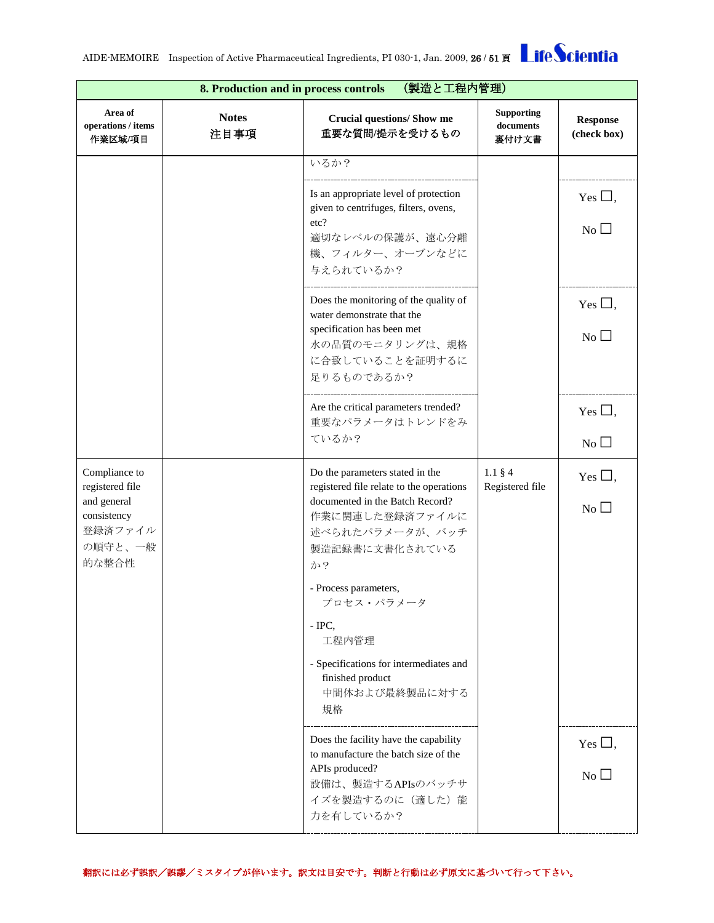|                                                           | (製造と工程内管理)<br>8. Production and in process controls |                                                                                               |                                         |                                |  |
|-----------------------------------------------------------|-----------------------------------------------------|-----------------------------------------------------------------------------------------------|-----------------------------------------|--------------------------------|--|
| Area of<br>operations / items<br>作業区域/項目                  | <b>Notes</b><br>注目事項                                | <b>Crucial questions/ Show me</b><br>重要な質問/提示を受けるもの                                           | <b>Supporting</b><br>documents<br>裏付け文書 | <b>Response</b><br>(check box) |  |
|                                                           |                                                     | いるか?                                                                                          |                                         |                                |  |
|                                                           |                                                     | Is an appropriate level of protection<br>given to centrifuges, filters, ovens,                |                                         | Yes $\Box$ ,                   |  |
|                                                           |                                                     | etc?<br>適切なレベルの保護が、遠心分離<br>機、フィルター、オーブンなどに<br>与えられているか?                                       |                                         | No                             |  |
|                                                           |                                                     | Does the monitoring of the quality of<br>water demonstrate that the                           |                                         | Yes $\Box$ ,                   |  |
|                                                           |                                                     | specification has been met<br>水の品質のモニタリングは、規格<br>に合致していることを証明するに<br>足りるものであるか?                |                                         | No                             |  |
|                                                           |                                                     | Are the critical parameters trended?<br>重要なパラメータはトレンドをみ                                       |                                         | Yes $\Box$ ,                   |  |
|                                                           |                                                     | ているか?                                                                                         |                                         | No                             |  |
| Compliance to<br>registered file                          |                                                     | Do the parameters stated in the<br>registered file relate to the operations                   | $1.1 \,$ §4<br>Registered file          | Yes $\Box$ ,                   |  |
| and general<br>consistency<br>登録済ファイル<br>の順守と、一般<br>的な整合性 |                                                     | documented in the Batch Record?<br>作業に関連した登録済ファイルに<br>述べられたパラメータが、バッチ<br>製造記録書に文書化されている<br>か? |                                         | No                             |  |
|                                                           |                                                     | - Process parameters,<br>プロセス・パラメータ                                                           |                                         |                                |  |
|                                                           |                                                     | $-$ IPC,<br>工程内管理                                                                             |                                         |                                |  |
|                                                           |                                                     | - Specifications for intermediates and<br>finished product<br>中間体および最終製品に対する<br>規格            |                                         |                                |  |
|                                                           |                                                     | Does the facility have the capability<br>to manufacture the batch size of the                 |                                         | Yes $\Box$ ,                   |  |
|                                                           |                                                     | APIs produced?<br>設備は、製造するAPIsのバッチサ<br>イズを製造するのに (適した)能                                       |                                         | $No$ $\Box$                    |  |
|                                                           |                                                     | 力を有しているか?                                                                                     |                                         |                                |  |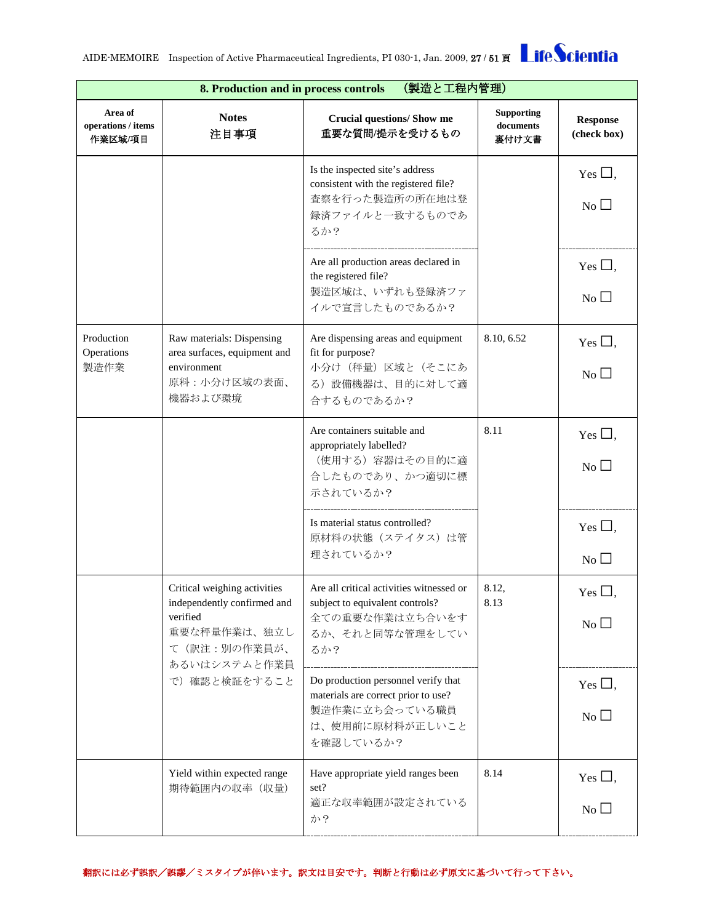|                                          | (製造と工程内管理)<br>8. Production and in process controls                                                                     |                                                                                                                              |                                         |                                       |  |
|------------------------------------------|-------------------------------------------------------------------------------------------------------------------------|------------------------------------------------------------------------------------------------------------------------------|-----------------------------------------|---------------------------------------|--|
| Area of<br>operations / items<br>作業区域/項目 | <b>Notes</b><br>注目事項                                                                                                    | <b>Crucial questions/ Show me</b><br>重要な質問/提示を受けるもの                                                                          | <b>Supporting</b><br>documents<br>裏付け文書 | <b>Response</b><br>(check box)        |  |
|                                          |                                                                                                                         | Is the inspected site's address<br>consistent with the registered file?<br>査察を行った製造所の所在地は登<br>録済ファイルと一致するものであ<br>るか?         |                                         | Yes $\square$ ,<br>$\overline{N_{0}}$ |  |
|                                          |                                                                                                                         | Are all production areas declared in<br>the registered file?<br>製造区域は、いずれも登録済ファ<br>イルで宣言したものであるか?                            |                                         | Yes $\square$ ,<br>$No$ $\Box$        |  |
| Production<br>Operations<br>製造作業         | Raw materials: Dispensing<br>area surfaces, equipment and<br>environment<br>原料:小分け区域の表面、<br>機器および環境                     | Are dispensing areas and equipment<br>fit for purpose?<br>小分け (秤量) 区域と (そこにあ<br>る)設備機器は、目的に対して適<br>合するものであるか?                | 8.10, 6.52                              | Yes $\square$ ,<br>N <sub>0</sub>     |  |
|                                          |                                                                                                                         | Are containers suitable and<br>appropriately labelled?<br>(使用する) 容器はその目的に適<br>合したものであり、かつ適切に標<br>示されているか?                    | 8.11                                    | Yes $\Box$ ,<br>No                    |  |
|                                          |                                                                                                                         | Is material status controlled?<br>原材料の状態(ステイタス)は管<br>理されているか?                                                                |                                         | Yes $\square$ ,<br>No                 |  |
|                                          | Critical weighing activities<br>independently confirmed and<br>verified<br>重要な秤量作業は、独立し<br>て(訳注:別の作業員が、<br>あるいはシステムと作業員 | Are all critical activities witnessed or<br>subject to equivalent controls?<br>全ての重要な作業は立ち合いをす<br>るか、それと同等な管理をしてい<br>るか?     | 8.12,<br>8.13                           | Yes $\Box$<br>No                      |  |
|                                          | で)確認と検証をすること                                                                                                            | Do production personnel verify that<br>materials are correct prior to use?<br>製造作業に立ち会っている職員<br>は、使用前に原材料が正しいこと<br>を確認しているか? |                                         | Yes $\square$ ,<br>$\overline{N_{0}}$ |  |
|                                          | Yield within expected range<br>期待範囲内の収率 (収量)                                                                            | Have appropriate yield ranges been<br>set?<br>適正な収率範囲が設定されている<br>か?                                                          | 8.14                                    | Yes $\Box$ ,<br>No                    |  |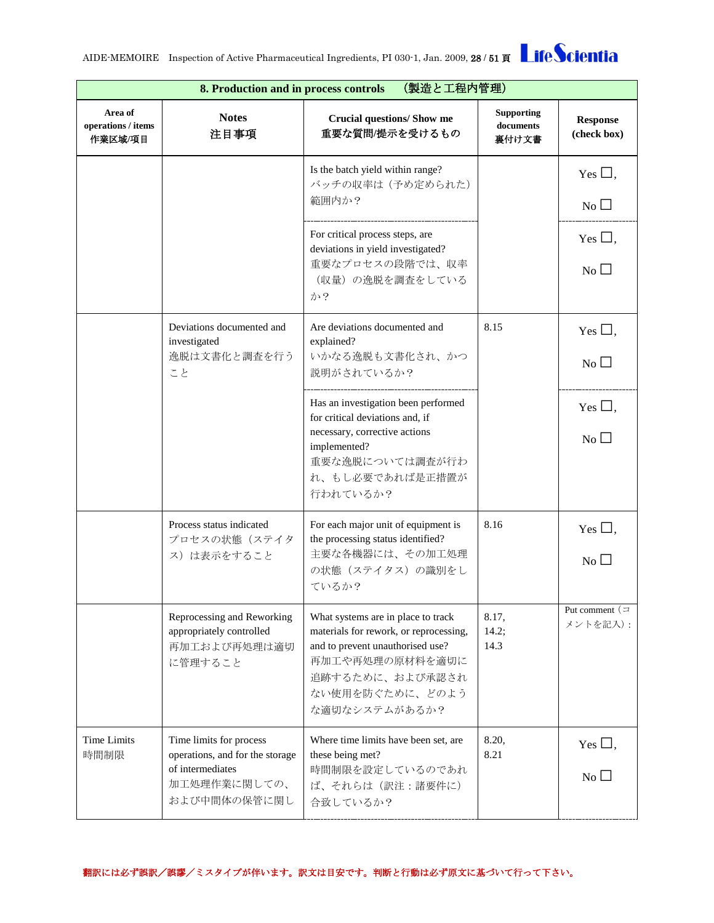| (製造と工程内管理)<br>8. Production and in process controls |                                                                                                                |                                                                                                                                                                                            |                                         |                                |
|-----------------------------------------------------|----------------------------------------------------------------------------------------------------------------|--------------------------------------------------------------------------------------------------------------------------------------------------------------------------------------------|-----------------------------------------|--------------------------------|
| Area of<br>operations / items<br>作業区域/項目            | <b>Notes</b><br>注目事項                                                                                           | <b>Crucial questions/ Show me</b><br>重要な質問/提示を受けるもの                                                                                                                                        | <b>Supporting</b><br>documents<br>裏付け文書 | <b>Response</b><br>(check box) |
|                                                     |                                                                                                                | Is the batch yield within range?<br>バッチの収率は (予め定められた)                                                                                                                                      |                                         | Yes $\square$ ,                |
|                                                     |                                                                                                                | 範囲内か?                                                                                                                                                                                      |                                         | No                             |
|                                                     |                                                                                                                | For critical process steps, are<br>deviations in yield investigated?                                                                                                                       |                                         | Yes $\Box$ ,                   |
|                                                     |                                                                                                                | 重要なプロセスの段階では、収率<br>(収量)の逸脱を調査をしている<br>か?                                                                                                                                                   |                                         | $No$ $\square$                 |
|                                                     | Deviations documented and<br>investigated                                                                      | Are deviations documented and<br>explained?                                                                                                                                                | 8.15                                    | Yes $\square$ ,                |
|                                                     | 逸脱は文書化と調査を行う<br>こと                                                                                             | いかなる逸脱も文書化され、かつ<br>説明がされているか?                                                                                                                                                              |                                         | $No$ $\square$                 |
|                                                     |                                                                                                                | Has an investigation been performed<br>for critical deviations and, if                                                                                                                     |                                         | Yes $\square$ ,                |
|                                                     |                                                                                                                | necessary, corrective actions<br>implemented?<br>重要な逸脱については調査が行わ<br>れ、もし必要であれば是正措置が<br>行われているか?                                                                                            |                                         | $\overline{N_{0}}$ $\Box$      |
|                                                     | Process status indicated<br>プロセスの状態(ステイタ<br>ス)は表示をすること                                                         | For each major unit of equipment is<br>the processing status identified?<br>主要な各機器には、その加工処理                                                                                                | 8.16                                    | Yes $\Box$<br>No               |
|                                                     |                                                                                                                | の状態 (ステイタス)の識別をし<br>ているか?                                                                                                                                                                  |                                         |                                |
|                                                     | Reprocessing and Reworking<br>appropriately controlled<br>再加工および再処理は適切<br>に管理すること                              | What systems are in place to track<br>materials for rework, or reprocessing,<br>and to prevent unauthorised use?<br>再加工や再処理の原材料を適切に<br>追跡するために、および承認され<br>ない使用を防ぐために、どのよう<br>な適切なシステムがあるか? | 8.17,<br>14.2;<br>14.3                  | Put comment $($<br>メントを記入):    |
| <b>Time Limits</b><br>時間制限                          | Time limits for process<br>operations, and for the storage<br>of intermediates<br>加工処理作業に関しての、<br>および中間体の保管に関し | Where time limits have been set, are<br>these being met?<br>時間制限を設定しているのであれ<br>ば、それらは(訳注:諸要件に)<br>合致しているか?                                                                                 | 8.20,<br>8.21                           | Yes $\square$ ,<br>No          |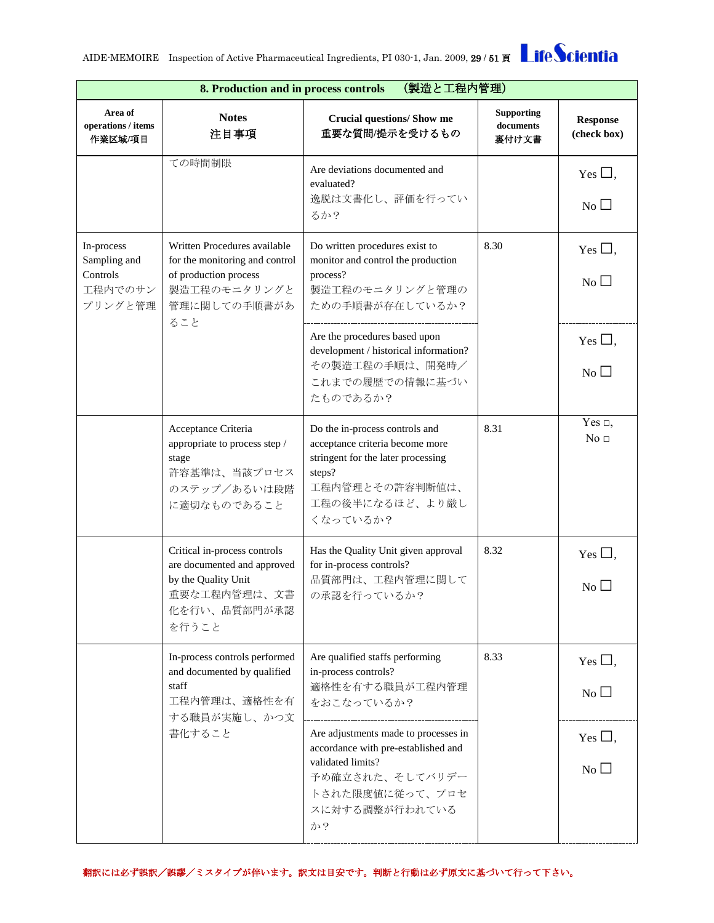| (製造と工程内管理)<br>8. Production and in process controls          |                                                                                                                                                                |                                                                                                                                                                     |                                         |                                 |
|--------------------------------------------------------------|----------------------------------------------------------------------------------------------------------------------------------------------------------------|---------------------------------------------------------------------------------------------------------------------------------------------------------------------|-----------------------------------------|---------------------------------|
| Area of<br>operations / items<br>作業区域/項目                     | <b>Notes</b><br>注目事項                                                                                                                                           | <b>Crucial questions/ Show me</b><br>重要な質問/提示を受けるもの                                                                                                                 | <b>Supporting</b><br>documents<br>裏付け文書 | <b>Response</b><br>(check box)  |
|                                                              | ての時間制限                                                                                                                                                         | Are deviations documented and<br>evaluated?<br>逸脱は文書化し、評価を行ってい<br>るか?                                                                                               |                                         | Yes $\Box$ ,<br>N <sub>0</sub>  |
| In-process<br>Sampling and<br>Controls<br>工程内でのサン<br>プリングと管理 | Written Procedures available<br>for the monitoring and control<br>of production process<br>製造工程のモニタリングと<br>管理に関しての手順書があ                                        | Do written procedures exist to<br>monitor and control the production<br>process?<br>製造工程のモニタリングと管理の<br>ための手順書が存在しているか?                                              | 8.30                                    | Yes $\Box$ ,<br>No              |
|                                                              | ること                                                                                                                                                            | Are the procedures based upon<br>development / historical information?<br>その製造工程の手順は、開発時/<br>これまでの履歴での情報に基づい<br>たものであるか?                                            |                                         | Yes $\Box$ ,<br>No              |
|                                                              | Acceptance Criteria<br>appropriate to process step /<br>stage<br>許容基準は、当該プロセス<br>のステップ/あるいは段階<br>に適切なものであること                                                   | Do the in-process controls and<br>acceptance criteria become more<br>stringent for the later processing<br>steps?<br>工程内管理とその許容判断値は、<br>工程の後半になるほど、より厳し<br>くなっているか? | 8.31                                    | Yes $\Box$ ,<br>No <sub>1</sub> |
|                                                              | Critical in-process controls<br>are documented and approved<br>by the Quality Unit<br>重要な工程内管理は、文書<br>化を行い、品質部門が承認<br>を行うこと                                    | Has the Quality Unit given approval<br>for in-process controls?<br>品質部門は、工程内管理に関して<br>の承認を行っているか?                                                                   | 8.32                                    | Yes $\square$ ,<br>No           |
|                                                              | In-process controls performed<br>and documented by qualified<br>staff<br>工程内管理は、適格性を有                                                                          | Are qualified staffs performing<br>in-process controls?<br>適格性を有する職員が工程内管理<br>をおこなっているか?                                                                            | 8.33                                    | Yes $\Box$ ,<br>No              |
| する職員が実施し、かつ文<br>書化すること                                       | Are adjustments made to processes in<br>accordance with pre-established and<br>validated limits?<br>予め確立された、そしてバリデー<br>トされた限度値に従って、プロセ<br>スに対する調整が行われている<br>か? |                                                                                                                                                                     | Yes $\Box$ ,<br>No                      |                                 |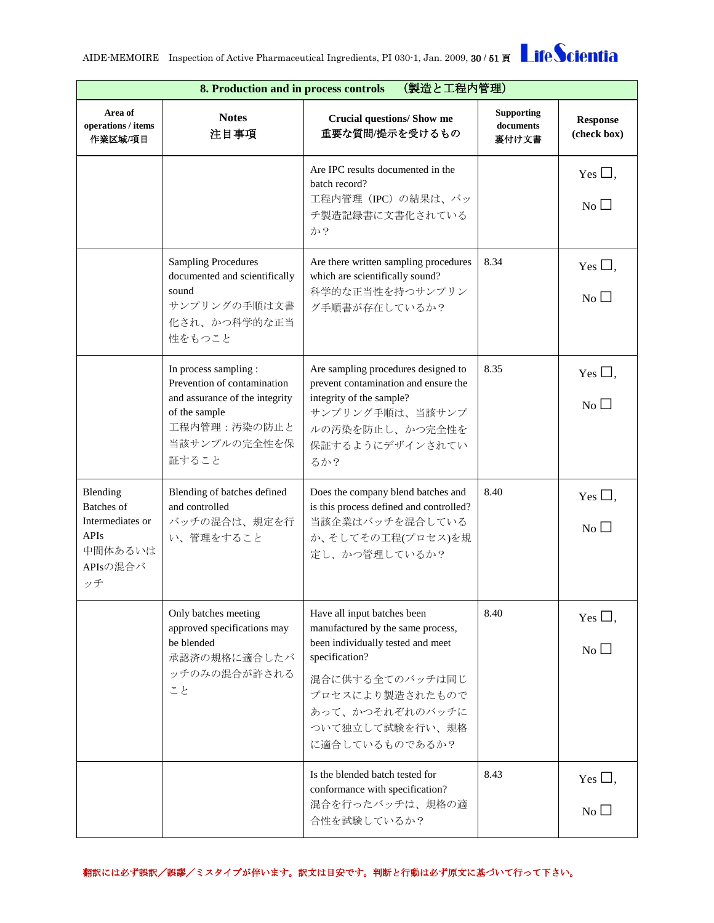|                                                                                        | 8. Production and in process controls<br>(製造と工程内管理)                                                                                              |                                                                                                                                                                                                                       |                                         |                                              |  |
|----------------------------------------------------------------------------------------|--------------------------------------------------------------------------------------------------------------------------------------------------|-----------------------------------------------------------------------------------------------------------------------------------------------------------------------------------------------------------------------|-----------------------------------------|----------------------------------------------|--|
| Area of<br>operations / items<br>作業区域/項目                                               | <b>Notes</b><br>注目事項                                                                                                                             | <b>Crucial questions/ Show me</b><br>重要な質問/提示を受けるもの                                                                                                                                                                   | <b>Supporting</b><br>documents<br>裏付け文書 | <b>Response</b><br>(check box)               |  |
|                                                                                        |                                                                                                                                                  | Are IPC results documented in the<br>batch record?<br>工程内管理 (IPC) の結果は、バッ<br>チ製造記録書に文書化されている<br>か?                                                                                                                    |                                         | Yes $\square$ ,<br>$\overline{N_{0}}$ $\Box$ |  |
|                                                                                        | <b>Sampling Procedures</b><br>documented and scientifically<br>sound<br>サンプリングの手順は文書<br>化され、かつ科学的な正当<br>性をもつこと                                   | Are there written sampling procedures<br>which are scientifically sound?<br>科学的な正当性を持つサンプリン<br>グ手順書が存在しているか?                                                                                                          | 8.34                                    | Yes $\Box$ ,<br>$No$ $\Box$                  |  |
|                                                                                        | In process sampling :<br>Prevention of contamination<br>and assurance of the integrity<br>of the sample<br>工程内管理:汚染の防止と<br>当該サンプルの完全性を保<br>証すること | Are sampling procedures designed to<br>prevent contamination and ensure the<br>integrity of the sample?<br>サンプリング手順は、当該サンプ<br>ルの汚染を防止し、かつ完全性を<br>保証するようにデザインされてい<br>るか?                                               | 8.35                                    | Yes $\Box$ ,<br>No                           |  |
| Blending<br>Batches of<br>Intermediates or<br><b>APIs</b><br>中間体あるいは<br>APIsの混合バ<br>ッチ | Blending of batches defined<br>and controlled<br>バッチの混合は、規定を行<br>い、管理をすること                                                                       | Does the company blend batches and<br>is this process defined and controlled?<br>当該企業はバッチを混合している<br>か、そしてその工程(プロセス)を規<br>定し、かつ管理しているか?                                                                                | 8.40                                    | Yes $\square$ ,<br>No                        |  |
|                                                                                        | Only batches meeting<br>approved specifications may<br>be blended<br>承認済の規格に適合したバ<br>ッチのみの混合が許される<br>こと                                          | Have all input batches been<br>manufactured by the same process,<br>been individually tested and meet<br>specification?<br>混合に供する全てのバッチは同じ<br>プロセスにより製造されたもので<br>あって、かつそれぞれのバッチに<br>ついて独立して試験を行い、規格<br>に適合しているものであるか? | 8.40                                    | Yes $\Box$ ,<br>No                           |  |
|                                                                                        |                                                                                                                                                  | Is the blended batch tested for<br>conformance with specification?<br>混合を行ったバッチは、規格の適<br>合性を試験しているか?                                                                                                                  | 8.43                                    | Yes $\Box$ ,<br>N <sub>0</sub>               |  |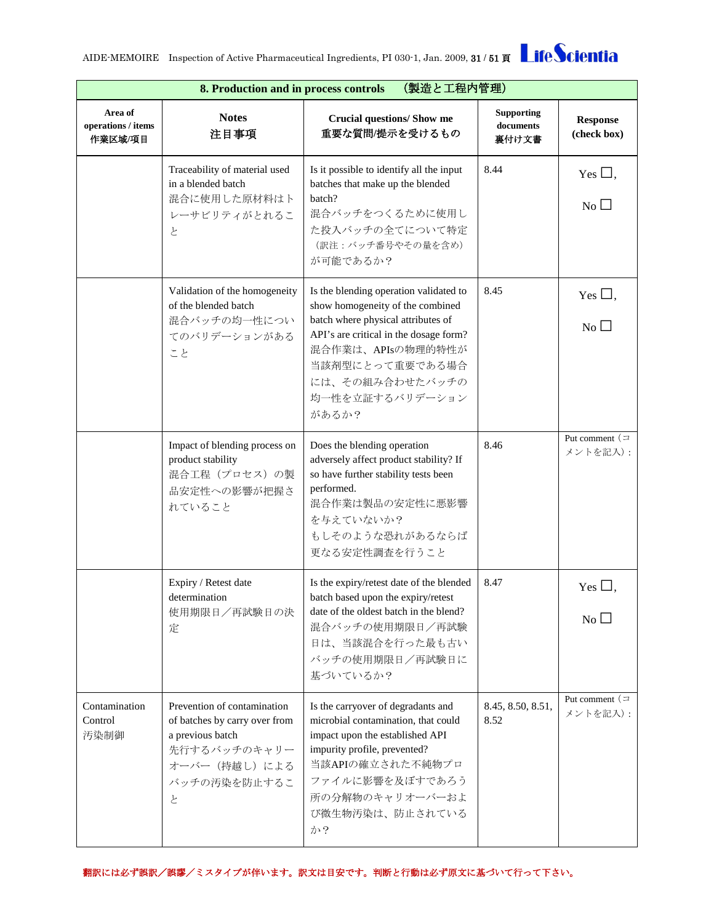|                                          | 8. Production and in process controls<br>(製造と工程内管理)                                                                                    |                                                                                                                                                                                                                                                   |                                         |                                       |
|------------------------------------------|----------------------------------------------------------------------------------------------------------------------------------------|---------------------------------------------------------------------------------------------------------------------------------------------------------------------------------------------------------------------------------------------------|-----------------------------------------|---------------------------------------|
| Area of<br>operations / items<br>作業区域/項目 | <b>Notes</b><br>注目事項                                                                                                                   | <b>Crucial questions/ Show me</b><br>重要な質問/提示を受けるもの                                                                                                                                                                                               | <b>Supporting</b><br>documents<br>裏付け文書 | <b>Response</b><br>(check box)        |
|                                          | Traceability of material used<br>in a blended batch<br>混合に使用した原材料はト<br>レーサビリティがとれるこ<br>と                                               | Is it possible to identify all the input<br>batches that make up the blended<br>batch?<br>混合バッチをつくるために使用し<br>た投入バッチの全てについて特定<br>(訳注:バッチ番号やその量を含め)<br>が可能であるか?                                                                                     | 8.44                                    | Yes $\Box$ ,<br>N <sub>0</sub>        |
|                                          | Validation of the homogeneity<br>of the blended batch<br>混合バッチの均一性につい<br>てのバリデーションがある<br>こと                                            | Is the blending operation validated to<br>show homogeneity of the combined<br>batch where physical attributes of<br>API's are critical in the dosage form?<br>混合作業は、APIsの物理的特性が<br>当該剤型にとって重要である場合<br>には、その組み合わせたバッチの<br>均一性を立証するバリデーション<br>があるか? | 8.45                                    | Yes $\square$ ,<br>$\overline{N_{0}}$ |
|                                          | Impact of blending process on<br>product stability<br>混合工程(プロセス)の製<br>品安定性への影響が把握さ<br>れていること                                           | Does the blending operation<br>adversely affect product stability? If<br>so have further stability tests been<br>performed.<br>混合作業は製品の安定性に悪影響<br>を与えていないか?<br>もしそのような恐れがあるならば<br>更なる安定性調査を行うこと                                                   | 8.46                                    | Put comment $($<br>メントを記入):           |
|                                          | Expiry / Retest date<br>determination<br>使用期限日/再試験日の決<br>定                                                                             | Is the expiry/retest date of the blended<br>batch based upon the expiry/retest<br>date of the oldest batch in the blend?<br>混合バッチの使用期限日/再試験<br>日は、当該混合を行った最も古い<br>バッチの使用期限日/再試験日に<br>基づいているか?                                                     | 8.47                                    | Yes $\square$ ,<br>No                 |
| Contamination<br>Control<br>汚染制御         | Prevention of contamination<br>of batches by carry over from<br>a previous batch<br>先行するバッチのキャリー<br>オーバー (持越し)による<br>バッチの汚染を防止するこ<br>と | Is the carryover of degradants and<br>microbial contamination, that could<br>impact upon the established API<br>impurity profile, prevented?<br>当該APIの確立された不純物プロ<br>ファイルに影響を及ぼすであろう<br>所の分解物のキャリオーバーおよ<br>び微生物汚染は、防止されている<br>か?                   | 8.45, 8.50, 8.51,<br>8.52               | Put comment $($<br>メントを記入):           |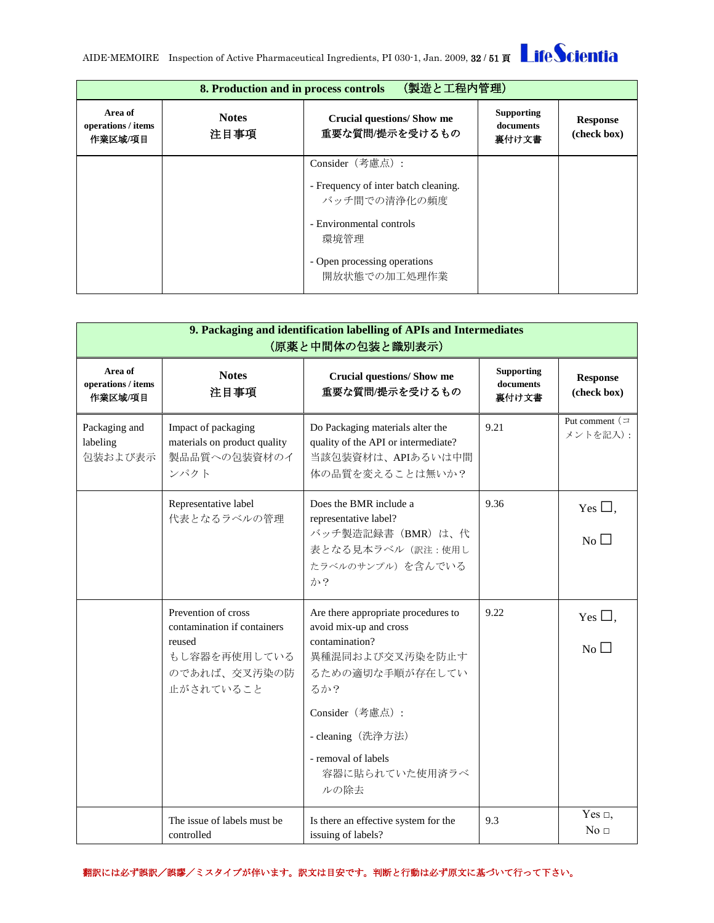|                                          | (製造と工程内管理)<br>8. Production and in process controls |                                                      |                                         |                                |  |
|------------------------------------------|-----------------------------------------------------|------------------------------------------------------|-----------------------------------------|--------------------------------|--|
| Area of<br>operations / items<br>作業区域/項目 | <b>Notes</b><br>注目事項                                | <b>Crucial questions/Show me</b><br>重要な質問/提示を受けるもの   | <b>Supporting</b><br>documents<br>裏付け文書 | <b>Response</b><br>(check box) |  |
|                                          |                                                     | Consider (考慮点):                                      |                                         |                                |  |
|                                          |                                                     | - Frequency of inter batch cleaning.<br>バッチ間での清浄化の頻度 |                                         |                                |  |
|                                          |                                                     | - Environmental controls<br>環境管理                     |                                         |                                |  |
|                                          |                                                     | - Open processing operations<br>開放状態での加工処理作業         |                                         |                                |  |

<span id="page-31-0"></span>

|                                          | 9. Packaging and identification labelling of APIs and Intermediates<br>(原薬と中間体の包装と識別表示)                   |                                                                                                                                                                                                                       |                                         |                                 |  |
|------------------------------------------|-----------------------------------------------------------------------------------------------------------|-----------------------------------------------------------------------------------------------------------------------------------------------------------------------------------------------------------------------|-----------------------------------------|---------------------------------|--|
| Area of<br>operations / items<br>作業区域/項目 | <b>Notes</b><br>注目事項                                                                                      | <b>Crucial questions/ Show me</b><br>重要な質問/提示を受けるもの                                                                                                                                                                   | <b>Supporting</b><br>documents<br>裏付け文書 | <b>Response</b><br>(check box)  |  |
| Packaging and<br>labeling<br>包装および表示     | Impact of packaging<br>materials on product quality<br>製品品質への包装資材のイ<br>ンパクト                               | Do Packaging materials alter the<br>quality of the API or intermediate?<br>当該包装資材は、APIあるいは中間<br>体の品質を変えることは無いか?                                                                                                       | 9.21                                    | Put comment $($<br>メントを記入):     |  |
|                                          | Representative label<br>代表となるラベルの管理                                                                       | Does the BMR include a<br>representative label?<br>バッチ製造記録書 (BMR) は、代<br>表となる見本ラベル (訳注:使用し<br>たラベルのサンプル)を含んでいる<br>か?                                                                                                  | 9.36                                    | Yes $\square$ ,<br>No $\Box$    |  |
|                                          | Prevention of cross<br>contamination if containers<br>reused<br>もし容器を再使用している<br>のであれば、交叉汚染の防<br>止がされていること | Are there appropriate procedures to<br>avoid mix-up and cross<br>contamination?<br>異種混同および交叉汚染を防止す<br>るための適切な手順が存在してい<br>ろか?<br>Consider (考慮点):<br>- cleaning (洗浄方法)<br>- removal of labels<br>容器に貼られていた使用済ラベ<br>ルの除去 | 9.22                                    | Yes $\Box$ ,<br>No              |  |
|                                          | The issue of labels must be<br>controlled                                                                 | Is there an effective system for the<br>issuing of labels?                                                                                                                                                            | 9.3                                     | Yes $\Box$ ,<br>No <sub>1</sub> |  |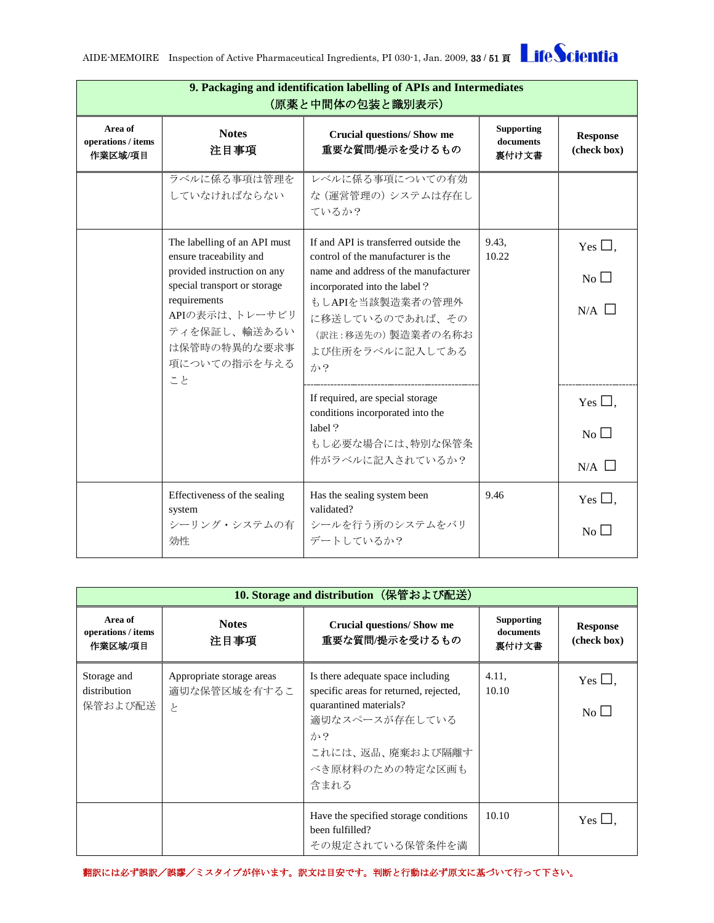| 9. Packaging and identification labelling of APIs and Intermediates<br>(原薬と中間体の包装と識別表示) |                                                                             |                                                                                          |                                         |                                   |
|-----------------------------------------------------------------------------------------|-----------------------------------------------------------------------------|------------------------------------------------------------------------------------------|-----------------------------------------|-----------------------------------|
| Area of<br>operations / items<br>作業区域/項目                                                | <b>Notes</b><br>注目事項                                                        | <b>Crucial questions/ Show me</b><br>重要な質問/提示を受けるもの                                      | <b>Supporting</b><br>documents<br>裏付け文書 | <b>Response</b><br>(check box)    |
|                                                                                         | ラベルに係る事項は管理を<br>していなければならない                                                 | レベルに係る事項についての有効<br>な(運営管理の)システムは存在し<br>ているか?                                             |                                         |                                   |
|                                                                                         | The labelling of an API must<br>ensure traceability and                     | If and API is transferred outside the<br>control of the manufacturer is the              | 9.43,<br>10.22                          | Yes $\Box$ ,                      |
|                                                                                         | provided instruction on any<br>special transport or storage<br>requirements | name and address of the manufacturer<br>incorporated into the label?<br>もしAPIを当該製造業者の管理外 |                                         | $\overline{N_{0}}$ $\Box$         |
|                                                                                         | APIの表示は、トレーサビリ<br>ティを保証し、輸送あるい<br>は保管時の特異的な要求事<br>項についての指示を与える<br>こと        | に移送しているのであれば、その<br>(訳注:移送先の) 製造業者の名称お<br>よび住所をラベルに記入してある<br>か?                           |                                         | $N/A$ $\square$                   |
|                                                                                         |                                                                             | If required, are special storage<br>conditions incorporated into the<br>label?           |                                         | Yes $\square$ ,                   |
|                                                                                         |                                                                             | もし必要な場合には、特別な保管条<br>件がラベルに記入されているか?                                                      |                                         | N <sub>0</sub><br>$N/A$ $\square$ |
|                                                                                         | Effectiveness of the sealing<br>system                                      | Has the sealing system been<br>validated?                                                | 9.46                                    | Yes $\Box$ ,                      |
|                                                                                         | シーリング・システムの有<br>効性                                                          | シールを行う所のシステムをバリ<br>デートしているか?                                                             |                                         | No                                |

<span id="page-32-0"></span>

| 10. Storage and distribution (保管および配送)   |                                                |                                                                                                                                                                              |                                         |                                |
|------------------------------------------|------------------------------------------------|------------------------------------------------------------------------------------------------------------------------------------------------------------------------------|-----------------------------------------|--------------------------------|
| Area of<br>operations / items<br>作業区域/項目 | <b>Notes</b><br>注目事項                           | <b>Crucial questions/Show me</b><br>重要な質問/提示を受けるもの                                                                                                                           | <b>Supporting</b><br>documents<br>裏付け文書 | <b>Response</b><br>(check box) |
| Storage and<br>distribution<br>保管および配送   | Appropriate storage areas<br>適切な保管区域を有するこ<br>と | Is there adequate space including<br>specific areas for returned, rejected,<br>quarantined materials?<br>適切なスペースが存在している<br>か?<br>これには、返品、廃棄および隔離す<br>べき原材料のための特定な区画も<br>含まれる | 4.11,<br>10.10                          | Yes $\Box$ ,<br>$No$ $\Box$    |
|                                          |                                                | Have the specified storage conditions.<br>been fulfilled?<br>その規定されている保管条件を満                                                                                                 | 10.10                                   | Yes $\Box$ ,                   |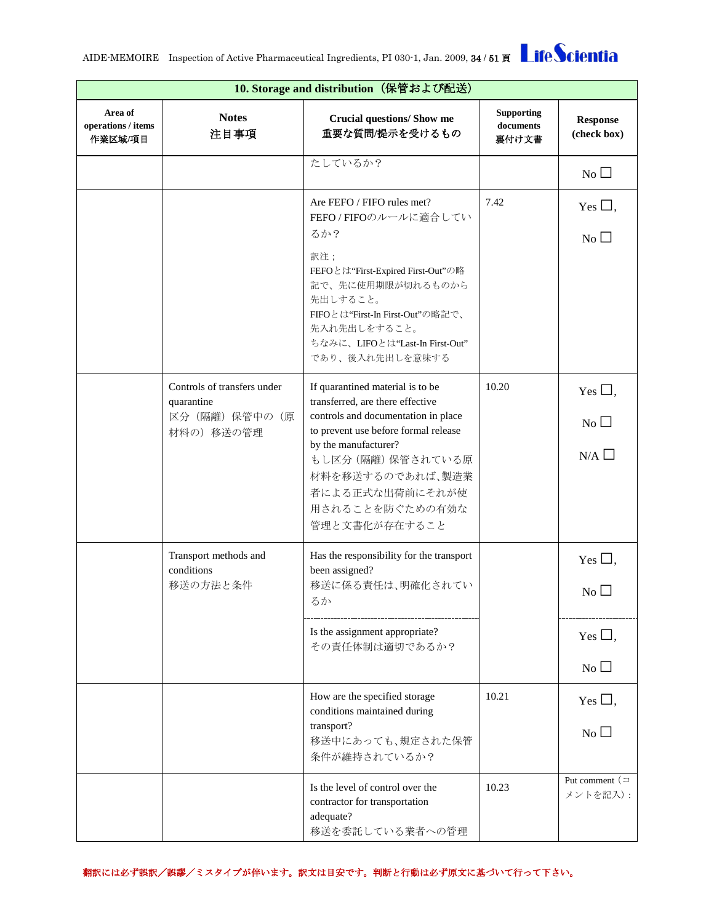| 10. Storage and distribution (保管および配送)   |                                                                            |                                                                                                                                                                                                                                                                              |                                         |                                                        |
|------------------------------------------|----------------------------------------------------------------------------|------------------------------------------------------------------------------------------------------------------------------------------------------------------------------------------------------------------------------------------------------------------------------|-----------------------------------------|--------------------------------------------------------|
| Area of<br>operations / items<br>作業区域/項目 | <b>Notes</b><br>注目事項                                                       | <b>Crucial questions/ Show me</b><br>重要な質問/提示を受けるもの                                                                                                                                                                                                                          | <b>Supporting</b><br>documents<br>裏付け文書 | <b>Response</b><br>(check box)                         |
|                                          |                                                                            | たしているか?                                                                                                                                                                                                                                                                      |                                         | No                                                     |
|                                          |                                                                            | Are FEFO / FIFO rules met?<br>FEFO/FIFOのルールに適合してい<br>るか?                                                                                                                                                                                                                     | 7.42                                    | Yes $\Box$ ,<br>No                                     |
|                                          |                                                                            | 訳注;<br>FEFOとは"First-Expired First-Out"の略<br>記で、先に使用期限が切れるものから<br>先出しすること。<br>FIFOとは"First-In First-Out"の略記で、<br>先入れ先出しをすること。<br>ちなみに、LIFOとは"Last-In First-Out"<br>であり、後入れ先出しを意味する                                                                                            |                                         |                                                        |
|                                          | Controls of transfers under<br>quarantine<br>区分 (隔離) 保管中の (原<br>材料の) 移送の管理 | If quarantined material is to be<br>transferred, are there effective<br>controls and documentation in place<br>to prevent use before formal release<br>by the manufacturer?<br>もし区分 (隔離) 保管されている原<br>材料を移送するのであれば、製造業<br>者による正式な出荷前にそれが使<br>用されることを防ぐための有効な<br>管理と文書化が存在すること | 10.20                                   | Yes $\square$ ,<br>$\overline{N_0}$<br>$N/A$ $\square$ |
|                                          | Transport methods and<br>conditions<br>移送の方法と条件                            | Has the responsibility for the transport<br>been assigned?<br>移送に係る責任は、明確化されてい<br>るか                                                                                                                                                                                         |                                         | Yes $\Box$ ,<br>No                                     |
|                                          |                                                                            | Is the assignment appropriate?<br>その責任体制は適切であるか?                                                                                                                                                                                                                             |                                         | Yes $\Box$ ,<br>No                                     |
|                                          |                                                                            | How are the specified storage<br>conditions maintained during<br>transport?<br>移送中にあっても、規定された保管<br>条件が維持されているか?                                                                                                                                                              | 10.21                                   | Yes $\Box$ ,<br>No                                     |
|                                          |                                                                            | Is the level of control over the<br>contractor for transportation<br>adequate?<br>移送を委託している業者への管理                                                                                                                                                                            | 10.23                                   | Put comment $($<br>メントを記入):                            |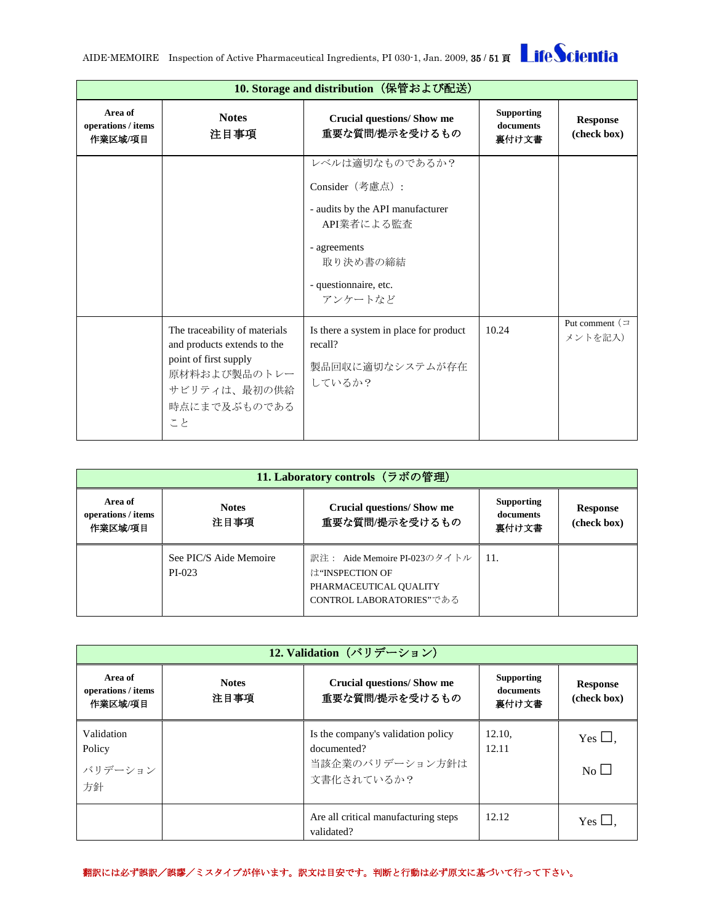| 10. Storage and distribution (保管および配送)        |                                                                                                                                             |                                                                                                                                                     |                                         |                                |
|-----------------------------------------------|---------------------------------------------------------------------------------------------------------------------------------------------|-----------------------------------------------------------------------------------------------------------------------------------------------------|-----------------------------------------|--------------------------------|
| Area of<br>$\,$ operations / items<br>作業区域/項目 | <b>Notes</b><br>注目事項                                                                                                                        | <b>Crucial questions/ Show me</b><br>重要な質問/提示を受けるもの                                                                                                 | <b>Supporting</b><br>documents<br>裏付け文書 | <b>Response</b><br>(check box) |
|                                               |                                                                                                                                             | レベルは適切なものであるか?<br>Consider (考慮点):<br>- audits by the API manufacturer<br>API業者による監査<br>- agreements<br>取り決め書の締結<br>- questionnaire, etc.<br>アンケートなど |                                         |                                |
|                                               | The traceability of materials<br>and products extends to the<br>point of first supply<br>原材料および製品のトレー<br>サビリティは、最初の供給<br>時点にまで及ぶものである<br>こと | Is there a system in place for product<br>recall?<br>製品回収に適切なシステムが存在<br>しているか?                                                                      | 10.24                                   | Put comment $($<br>メントを記入)     |

<span id="page-34-0"></span>

| 11. Laboratory controls (ラボの管理)          |                                  |                                                                                                       |                                         |                                |
|------------------------------------------|----------------------------------|-------------------------------------------------------------------------------------------------------|-----------------------------------------|--------------------------------|
| Area of<br>operations / items<br>作業区域/項目 | <b>Notes</b><br>注目事項             | <b>Crucial questions/Show me</b><br>重要な質問/提示を受けるもの                                                    | <b>Supporting</b><br>documents<br>裏付け文書 | <b>Response</b><br>(check box) |
|                                          | See PIC/S Aide Memoire<br>PI-023 | 訳注: Aide Memoire PI-023のタイトル<br>は"INSPECTION OF<br>PHARMACEUTICAL OUALITY<br>CONTROL LABORATORIES"である | 11.                                     |                                |

<span id="page-34-1"></span>

|                                          | 12. Validation (バリデーション) |                                                                                    |                                         |                                |  |
|------------------------------------------|--------------------------|------------------------------------------------------------------------------------|-----------------------------------------|--------------------------------|--|
| Area of<br>operations / items<br>作業区域/項目 | <b>Notes</b><br>注目事項     | <b>Crucial questions/ Show me</b><br>重要な質問/提示を受けるもの                                | <b>Supporting</b><br>documents<br>裏付け文書 | <b>Response</b><br>(check box) |  |
| Validation<br>Policy<br>バリデーション<br>方針    |                          | Is the company's validation policy<br>documented?<br>当該企業のバリデーション方針は<br>文書化されているか? | 12.10.<br>12.11                         | Yes $\Box$ ,<br>No             |  |
|                                          |                          | Are all critical manufacturing steps<br>validated?                                 | 12.12                                   | Yes $\Box$ .                   |  |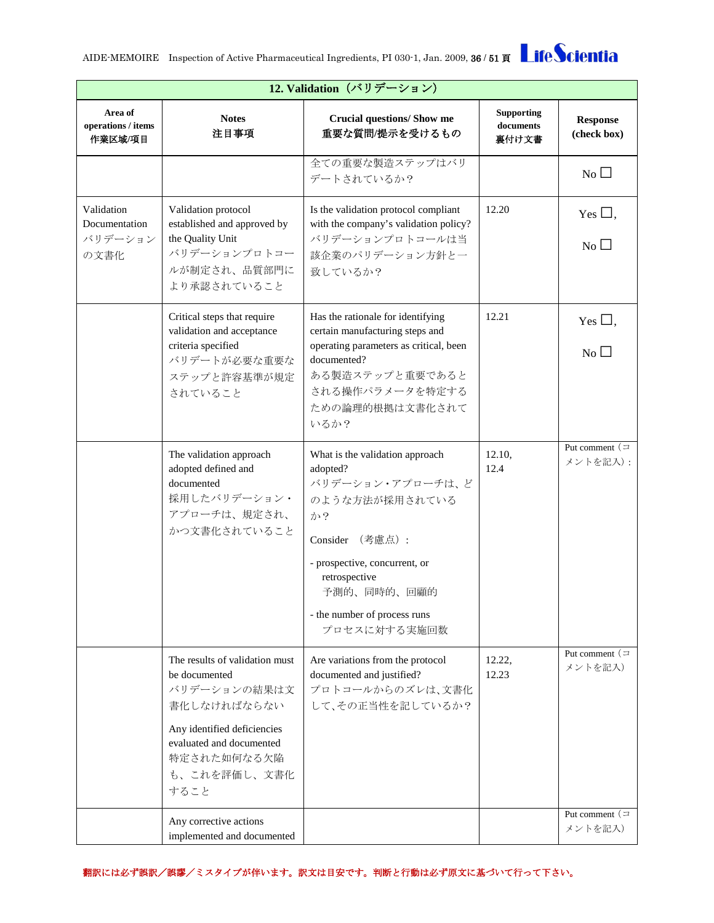| <b>LifeScientia</b> |
|---------------------|
|---------------------|

| 12. Validation (バリデーション)                       |                                                                                                                                                                                  |                                                                                                                                                                                                                             |                                         |                                   |  |
|------------------------------------------------|----------------------------------------------------------------------------------------------------------------------------------------------------------------------------------|-----------------------------------------------------------------------------------------------------------------------------------------------------------------------------------------------------------------------------|-----------------------------------------|-----------------------------------|--|
| Area of<br>operations / items<br>作業区域/項目       | <b>Notes</b><br>注目事項                                                                                                                                                             | <b>Crucial questions/ Show me</b><br>重要な質問/提示を受けるもの                                                                                                                                                                         | <b>Supporting</b><br>documents<br>裏付け文書 | <b>Response</b><br>(check box)    |  |
|                                                |                                                                                                                                                                                  | 全ての重要な製造ステップはバリ<br>デートされているか?                                                                                                                                                                                               |                                         | No                                |  |
| Validation<br>Documentation<br>バリデーション<br>の文書化 | Validation protocol<br>established and approved by<br>the Quality Unit<br>バリデーションプロトコー<br>ルが制定され、品質部門に<br>より承認されていること                                                            | Is the validation protocol compliant<br>with the company's validation policy?<br>バリデーションプロトコールは当<br>該企業のパリデーション方針と一<br>致しているか?                                                                                              | 12.20                                   | Yes $\Box$ ,<br>$\overline{N_0}$  |  |
|                                                | Critical steps that require<br>validation and acceptance<br>criteria specified<br>バリデートが必要な重要な<br>ステップと許容基準が規定<br>されていること                                                        | Has the rationale for identifying<br>certain manufacturing steps and<br>operating parameters as critical, been<br>documented?<br>ある製造ステップと重要であると<br>される操作パラメータを特定する<br>ための論理的根拠は文書化されて<br>いるか?                              | 12.21                                   | Yes $\square$ ,<br>N <sub>0</sub> |  |
|                                                | The validation approach<br>adopted defined and<br>documented<br>採用したバリデーション・<br>アプローチは、規定され、<br>かつ文書化されていること                                                                     | What is the validation approach<br>adopted?<br>バリデーション・アプローチは、ど<br>のような方法が採用されている<br>か?<br>Consider (考慮点):<br>- prospective, concurrent, or<br>retrospective<br>予測的、同時的、回顧的<br>- the number of process runs<br>プロセスに対する実施回数 | 12.10,<br>12.4                          | Put comment $($<br>メントを記入):       |  |
|                                                | The results of validation must<br>be documented<br>バリデーションの結果は文<br>書化しなければならない<br>Any identified deficiencies<br>evaluated and documented<br>特定された如何なる欠陥<br>も、これを評価し、文書化<br>すること | Are variations from the protocol<br>documented and justified?<br>プロトコールからのズレは、文書化<br>して、その正当性を記しているか?                                                                                                                       | 12.22,<br>12.23                         | Put comment $($<br>メントを記入)        |  |
|                                                | Any corrective actions<br>implemented and documented                                                                                                                             |                                                                                                                                                                                                                             |                                         | Put comment $($<br>メントを記入)        |  |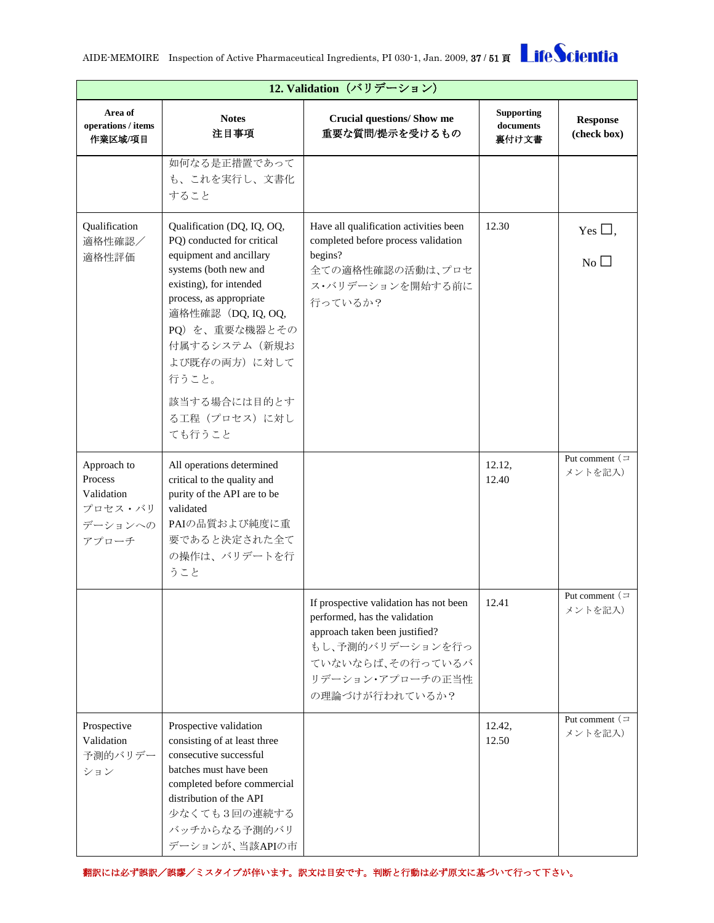

| 12. Validation (バリデーション)                                            |                                                                                                                                                                                                                                                                                                 |                                                                                                                                                                                         |                                         |                                  |  |
|---------------------------------------------------------------------|-------------------------------------------------------------------------------------------------------------------------------------------------------------------------------------------------------------------------------------------------------------------------------------------------|-----------------------------------------------------------------------------------------------------------------------------------------------------------------------------------------|-----------------------------------------|----------------------------------|--|
| Area of<br>operations / items<br>作業区域/項目                            | <b>Notes</b><br>注目事項                                                                                                                                                                                                                                                                            | <b>Crucial questions/ Show me</b><br>重要な質問/提示を受けるもの                                                                                                                                     | <b>Supporting</b><br>documents<br>裏付け文書 | <b>Response</b><br>(check box)   |  |
|                                                                     | 如何なる是正措置であって<br>も、これを実行し、文書化<br>すること                                                                                                                                                                                                                                                            |                                                                                                                                                                                         |                                         |                                  |  |
| Qualification<br>適格性確認/<br>適格性評価                                    | Qualification (DQ, IQ, OQ,<br>PQ) conducted for critical<br>equipment and ancillary<br>systems (both new and<br>existing), for intended<br>process, as appropriate<br>適格性確認 (DQ, IQ, OQ,<br>PQ) を、重要な機器とその<br>付属するシステム (新規お<br>よび既存の両方)に対して<br>行うこと。<br>該当する場合には目的とす<br>る工程 (プロセス)に対し<br>ても行うこと | Have all qualification activities been<br>completed before process validation<br>begins?<br>全ての適格性確認の活動は、プロセ<br>ス・バリデーションを開始する前に<br>行っているか?                                             | 12.30                                   | Yes $\Box$ ,<br>$\overline{N_0}$ |  |
| Approach to<br>Process<br>Validation<br>プロセス・バリ<br>デーションへの<br>アプローチ | All operations determined<br>critical to the quality and<br>purity of the API are to be<br>validated<br>PAIの品質および純度に重<br>要であると決定された全て<br>の操作は、バリデートを行<br>うこと                                                                                                                                    |                                                                                                                                                                                         | 12.12,<br>12.40                         | Put comment $($<br>メントを記入)       |  |
|                                                                     |                                                                                                                                                                                                                                                                                                 | If prospective validation has not been<br>performed, has the validation<br>approach taken been justified?<br>もし、予測的バリデーションを行っ<br>ていないならば、その行っているバ<br>リデーション・アプローチの正当性<br>の理論づけが行われているか? | 12.41                                   | Put comment $($<br>メントを記入)       |  |
| Prospective<br>Validation<br>予測的バリデー<br>ション                         | Prospective validation<br>consisting of at least three<br>consecutive successful<br>batches must have been<br>completed before commercial<br>distribution of the API<br>少なくても3回の連続する<br>バッチからなる予測的バリ<br>デーションが、当該APIの市                                                                          |                                                                                                                                                                                         | 12.42,<br>12.50                         | Put comment $($<br>メントを記入)       |  |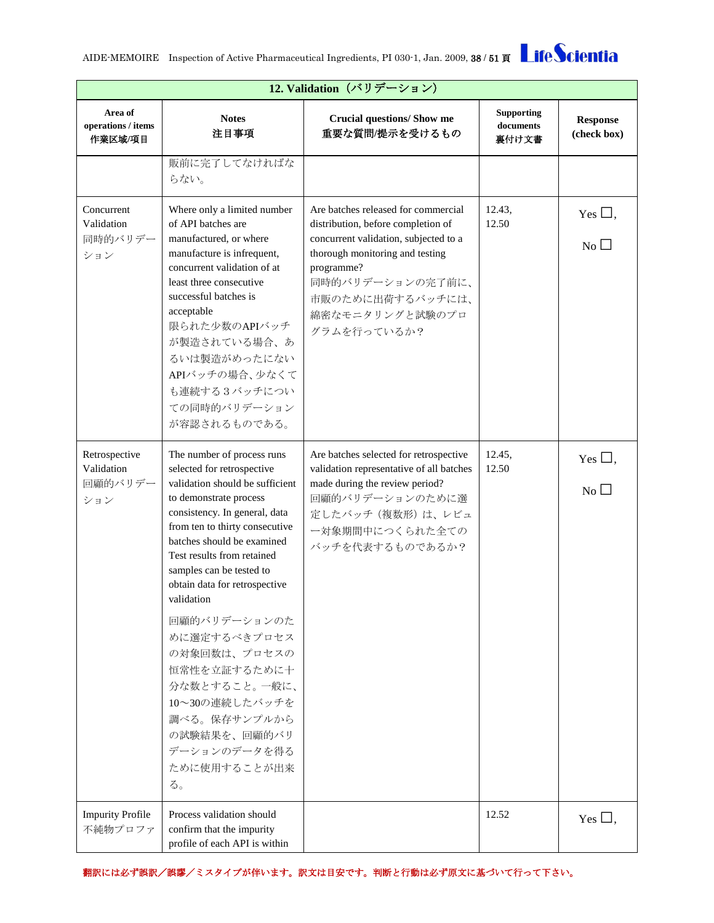

| 12. Validation (バリデーション)                      |                                                                                                                                                                                                                                                                                                                                                                                                                                                                                                          |                                                                                                                                                                                                                                               |                                         |                                  |
|-----------------------------------------------|----------------------------------------------------------------------------------------------------------------------------------------------------------------------------------------------------------------------------------------------------------------------------------------------------------------------------------------------------------------------------------------------------------------------------------------------------------------------------------------------------------|-----------------------------------------------------------------------------------------------------------------------------------------------------------------------------------------------------------------------------------------------|-----------------------------------------|----------------------------------|
| Area of<br>operations / items<br>作業区域/項目      | <b>Notes</b><br>注目事項                                                                                                                                                                                                                                                                                                                                                                                                                                                                                     | <b>Crucial questions/ Show me</b><br>重要な質問/提示を受けるもの                                                                                                                                                                                           | <b>Supporting</b><br>documents<br>裏付け文書 | <b>Response</b><br>(check box)   |
|                                               | 販前に完了してなければな<br>らない。                                                                                                                                                                                                                                                                                                                                                                                                                                                                                     |                                                                                                                                                                                                                                               |                                         |                                  |
| Concurrent<br>Validation<br>同時的バリデー<br>ション    | Where only a limited number<br>of API batches are<br>manufactured, or where<br>manufacture is infrequent,<br>concurrent validation of at<br>least three consecutive<br>successful batches is<br>acceptable<br>限られた少数のAPIバッチ<br>が製造されている場合、あ<br>るいは製造がめったにない<br>APIバッチの場合、少なくて<br>も連続する3バッチについ<br>ての同時的バリデーション<br>が容認されるものである。                                                                                                                                                                            | Are batches released for commercial<br>distribution, before completion of<br>concurrent validation, subjected to a<br>thorough monitoring and testing<br>programme?<br>同時的バリデーションの完了前に、<br>市販のために出荷するバッチには、<br>綿密なモニタリングと試験のプロ<br>グラムを行っているか? | 12.43,<br>12.50                         | Yes $\Box$ ,<br>$\overline{N_0}$ |
| Retrospective<br>Validation<br>回顧的バリデー<br>ション | The number of process runs<br>selected for retrospective<br>validation should be sufficient<br>to demonstrate process<br>consistency. In general, data<br>from ten to thirty consecutive<br>batches should be examined<br>Test results from retained<br>samples can be tested to<br>obtain data for retrospective<br>validation<br>回顧的バリデーションのた<br>めに選定するべきプロセス<br>の対象回数は、プロセスの<br>恒常性を立証するために十<br>分な数とすること。一般に、<br>10~30の連続したバッチを<br>調べる。保存サンプルから<br>の試験結果を、回顧的バリ<br>デーションのデータを得る<br>ために使用することが出来<br>る。 | Are batches selected for retrospective<br>validation representative of all batches<br>made during the review period?<br>回顧的バリデーションのために選<br>定したバッチ (複数形)は、レビュ<br>一対象期間中につくられた全ての<br>バッチを代表するものであるか?                                            | 12.45,<br>12.50                         | Yes $\Box$ ,<br>$\overline{N_0}$ |
| <b>Impurity Profile</b><br>不純物プロファ            | Process validation should<br>confirm that the impurity<br>profile of each API is within                                                                                                                                                                                                                                                                                                                                                                                                                  |                                                                                                                                                                                                                                               | 12.52                                   | Yes $\Box$ ,                     |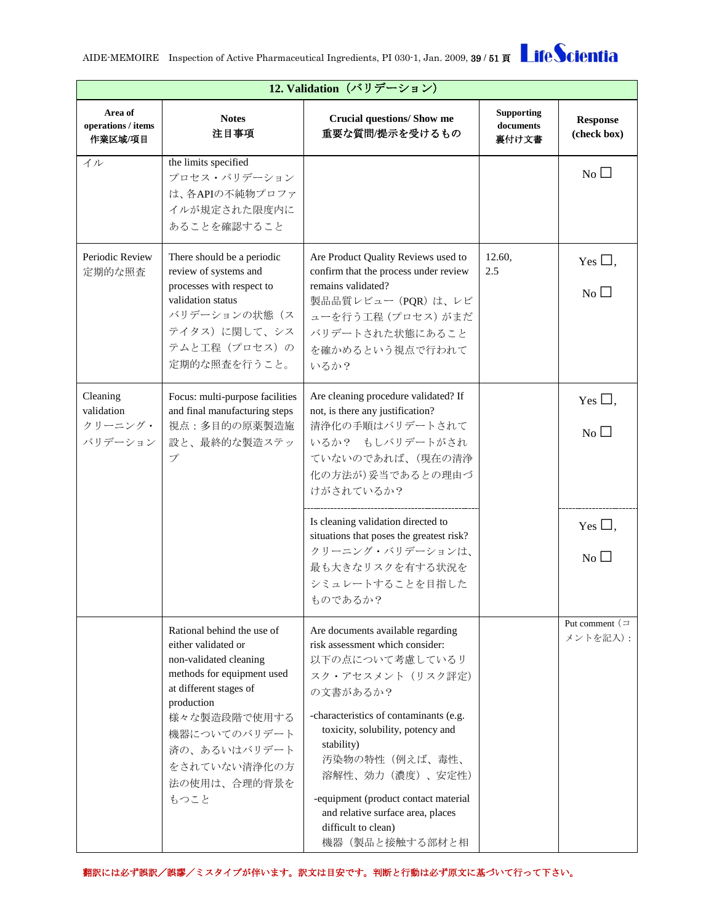**12. Validation**(バリデーション)

| Area of<br>operations / items<br>作業区域/項目     | <b>Notes</b><br>注目事項                                                                                                                                                                                                                      | <b>Crucial questions/ Show me</b><br>重要な質問/提示を受けるもの                                                                                                                                                                                                                                                                                                            | <b>Supporting</b><br>documents<br>裏付け文書 | <b>Response</b><br>(check box)            |
|----------------------------------------------|-------------------------------------------------------------------------------------------------------------------------------------------------------------------------------------------------------------------------------------------|----------------------------------------------------------------------------------------------------------------------------------------------------------------------------------------------------------------------------------------------------------------------------------------------------------------------------------------------------------------|-----------------------------------------|-------------------------------------------|
| イル                                           | the limits specified<br>プロセス・バリデーション<br>は、各APIの不純物プロファ<br>イルが規定された限度内に<br>あることを確認すること                                                                                                                                                     |                                                                                                                                                                                                                                                                                                                                                                |                                         | No                                        |
| Periodic Review<br>定期的な照査                    | There should be a periodic<br>review of systems and<br>processes with respect to<br>validation status<br>バリデーションの状態(ス<br>テイタス)に関して、シス<br>テムと工程 (プロセス)の<br>定期的な照査を行うこと。                                                                    | Are Product Quality Reviews used to<br>confirm that the process under review<br>remains validated?<br>製品品質レビュー (PQR)は、レビ<br>ューを行う工程 (プロセス) がまだ<br>バリデートされた状態にあること<br>を確かめるという視点で行われて<br>いるか?                                                                                                                                                                   | 12.60,<br>2.5                           | Yes $\Box$ ,<br>$\overline{N_{0}}$        |
| Cleaning<br>validation<br>クリーニング・<br>バリデーション | Focus: multi-purpose facilities<br>and final manufacturing steps<br>視点:多目的の原薬製造施<br>設と、最終的な製造ステッ<br>$\mathcal{I}^{\circ}$                                                                                                                 | Are cleaning procedure validated? If<br>not, is there any justification?<br>清浄化の手順はバリデートされて<br>いるか? もしバリデートがされ<br>ていないのであれば、(現在の清浄<br>化の方法が)妥当であるとの理由づ<br>けがされているか?                                                                                                                                                                                            |                                         | Yes $\Box$ ,<br>$\overline{N_{0}}$ $\Box$ |
|                                              |                                                                                                                                                                                                                                           | Is cleaning validation directed to<br>situations that poses the greatest risk?<br>クリーニング・バリデーションは、<br>最も大きなリスクを有する状況を<br>シミュレートすることを目指した<br>ものであるか?                                                                                                                                                                                                            |                                         | Yes $\Box$ ,<br>$No$ $\square$            |
|                                              | Rational behind the use of<br>either validated or<br>non-validated cleaning<br>methods for equipment used<br>at different stages of<br>production<br>様々な製造段階で使用する<br>機器についてのバリデート<br>済の、あるいはバリデート<br>をされていない清浄化の方<br>法の使用は、合理的背景を<br>もつこと | Are documents available regarding<br>risk assessment which consider:<br>以下の点について考慮しているリ<br>スク・アセスメント (リスク評定)<br>の文書があるか?<br>-characteristics of contaminants (e.g.<br>toxicity, solubility, potency and<br>stability)<br>汚染物の特性(例えば、毒性、<br>溶解性、効力(濃度)、安定性)<br>-equipment (product contact material<br>and relative surface area, places<br>difficult to clean) |                                         | Put comment $\left( \right)$<br>メントを記入):  |

機器(製品と接触する部材と相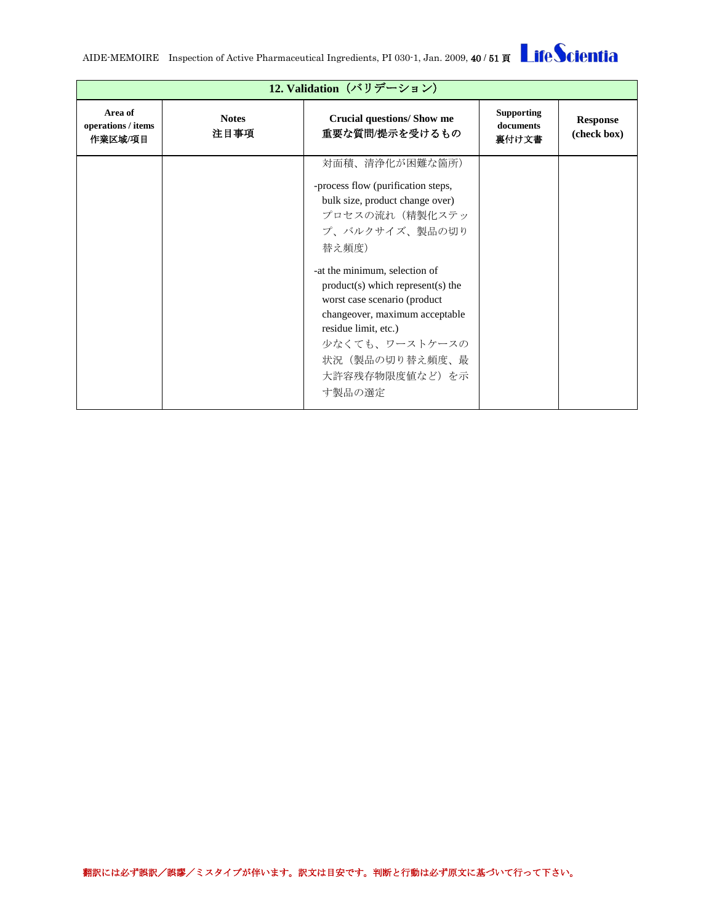AIDE-MEMOIRE Inspection of Active Pharmaceutical Ingredients, PI 030-1, Jan. 2009, 40 / 51 頁

|                                          | 12. Validation (バリデーション) |                                                                                                                                                                                                                                                                                                                                                                        |                                         |                                |  |
|------------------------------------------|--------------------------|------------------------------------------------------------------------------------------------------------------------------------------------------------------------------------------------------------------------------------------------------------------------------------------------------------------------------------------------------------------------|-----------------------------------------|--------------------------------|--|
| Area of<br>operations / items<br>作業区域/項目 | <b>Notes</b><br>注目事項     | <b>Crucial questions/ Show me</b><br>重要な質問/提示を受けるもの                                                                                                                                                                                                                                                                                                                    | <b>Supporting</b><br>documents<br>裏付け文書 | <b>Response</b><br>(check box) |  |
|                                          |                          | 対面積、清浄化が困難な箇所)<br>-process flow (purification steps,<br>bulk size, product change over)<br>プロセスの流れ(精製化ステッ<br>プ、バルクサイズ、製品の切り<br>替え頻度)<br>-at the minimum, selection of<br>$product(s)$ which represent(s) the<br>worst case scenario (product<br>changeover, maximum acceptable<br>residue limit, etc.)<br>少なくても、ワーストケースの<br>状況(製品の切り替え頻度、最<br>大許容残存物限度値など)を示<br>す製品の選定 |                                         |                                |  |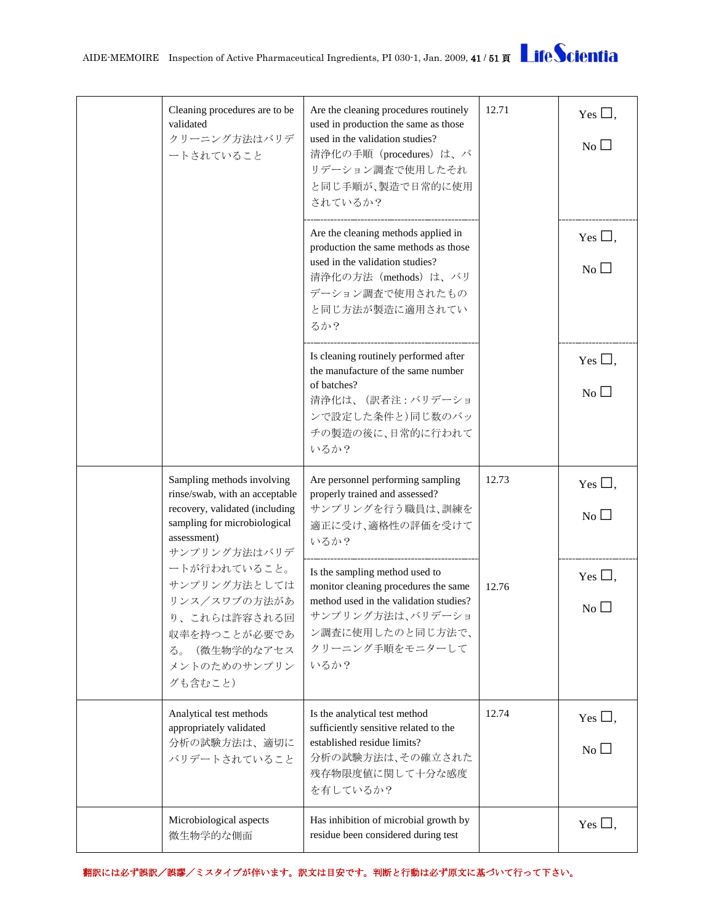| Cleaning procedures are to be<br>validated<br>クリーニング方法はバリデ<br>ートされていること                                                                                       | Are the cleaning procedures routinely<br>used in production the same as those<br>used in the validation studies?<br>清浄化の手順 (procedures) は、バ<br>リデーション調査で使用したそれ<br>と同じ手順が、製造で日常的に使用<br>されているか? | 12.71 | Yes $\Box$ ,<br>No        |
|---------------------------------------------------------------------------------------------------------------------------------------------------------------|-----------------------------------------------------------------------------------------------------------------------------------------------------------------------------------------------|-------|---------------------------|
|                                                                                                                                                               | Are the cleaning methods applied in<br>production the same methods as those<br>used in the validation studies?<br>清浄化の方法 (methods) は、バリ<br>デーション調査で使用されたもの<br>と同じ方法が製造に適用されてい<br>るか?          |       | Yes $\Box$ ,<br>No        |
|                                                                                                                                                               | Is cleaning routinely performed after<br>the manufacture of the same number<br>of batches?<br>清浄化は、(訳者注:バリデーショ<br>ンで設定した条件と)同じ数のバッ<br>チの製造の後に、日常的に行われて<br>いるか?                                |       | Yes $\Box$ ,<br>No $\Box$ |
| Sampling methods involving<br>rinse/swab, with an acceptable<br>recovery, validated (including<br>sampling for microbiological<br>assessment)<br>サンプリング方法はバリデ | Are personnel performing sampling<br>properly trained and assessed?<br>サンプリングを行う職員は、訓練を<br>適正に受け、適格性の評価を受けて<br>いるか?                                                                           | 12.73 | Yes $\Box$ ,<br>No        |
| ートが行われていること。<br>サンプリング方法としては<br>リンス/スワブの方法があ<br>り、これらは許容される回<br>収率を持つことが必要であ<br>(微生物学的なアセス<br>る。<br>メントのためのサンプリン<br>グも含むこと)                                   | Is the sampling method used to<br>monitor cleaning procedures the same<br>method used in the validation studies?<br>サンプリング方法は、バリデーショ<br>ン調査に使用したのと同じ方法で、<br>クリーニング手順をモニターして<br>いるか?           | 12.76 | Yes $\Box$ ,<br>No        |
| Analytical test methods<br>appropriately validated<br>分析の試験方法は、適切に<br>バリデートされていること                                                                            | Is the analytical test method<br>sufficiently sensitive related to the<br>established residue limits?<br>分析の試験方法は、その確立された<br>残存物限度値に関して十分な感度<br>を有しているか?                                      | 12.74 | Yes $\square$ ,<br>No     |
| Microbiological aspects<br>微生物学的な側面                                                                                                                           | Has inhibition of microbial growth by<br>residue been considered during test                                                                                                                  |       | Yes $\Box$ ,              |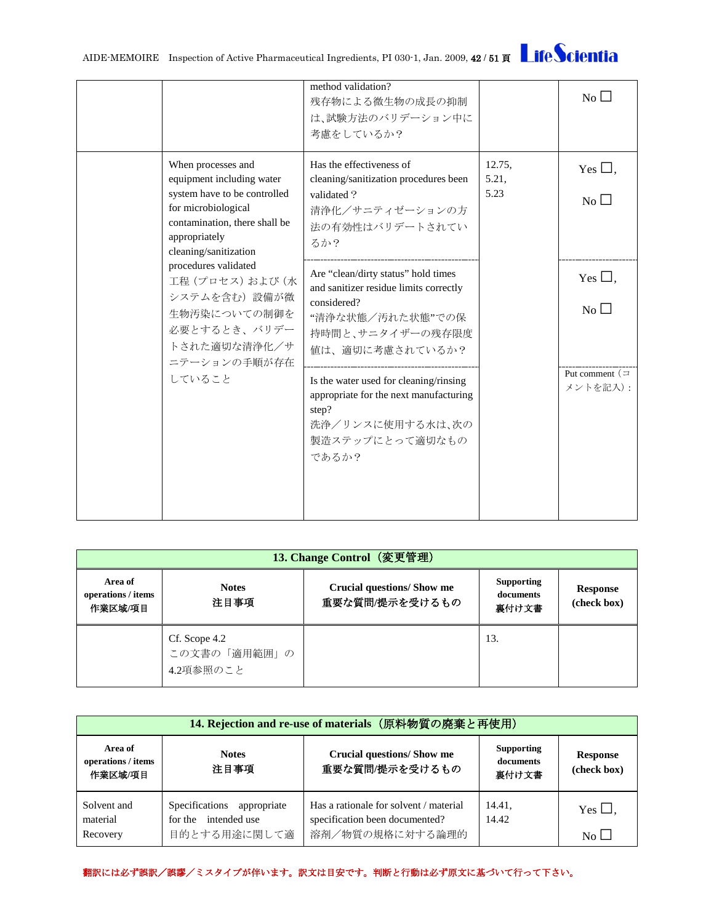AIDE-MEMOIRE Inspection of Active Pharmaceutical Ingredients, PI 030-1, Jan. 2009, 42 / 51 頁

|                                                                                                                                 |                                                                                                                                                                                   | method validation?<br>残存物による微生物の成長の抑制<br>は、試験方法のバリデーション中に<br>考慮をしているか?                                                                    |                                    | $No$ $\Box$                        |
|---------------------------------------------------------------------------------------------------------------------------------|-----------------------------------------------------------------------------------------------------------------------------------------------------------------------------------|-------------------------------------------------------------------------------------------------------------------------------------------|------------------------------------|------------------------------------|
|                                                                                                                                 | When processes and<br>equipment including water<br>system have to be controlled<br>for microbiological<br>contamination, there shall be<br>appropriately<br>cleaning/sanitization | Has the effectiveness of<br>cleaning/sanitization procedures been<br>validated?<br>清浄化/サニティゼーションの方<br>法の有効性はバリデートされてい<br>るか?              | 12.75.<br>5.21,<br>5.23            | Yes $\Box$ ,<br>$\overline{N_{0}}$ |
| procedures validated<br>工程(プロセス)および(水<br>システムを含む)設備が微<br>生物汚染についての制御を<br>必要とするとき、バリデー<br>トされた適切な清浄化/サ<br>ニテーションの手順が存在<br>していること | Are "clean/dirty status" hold times<br>and sanitizer residue limits correctly<br>considered?<br>"清浄な状態/汚れた状態"での保<br>持時間と、サニタイザーの残存限度<br>値は、適切に考慮されているか?                           |                                                                                                                                           | Yes $\Box$ ,<br>$\overline{N_{0}}$ |                                    |
|                                                                                                                                 |                                                                                                                                                                                   | Is the water used for cleaning/rinsing<br>appropriate for the next manufacturing<br>step?<br>洗浄/リンスに使用する水は、次の<br>製造ステップにとって適切なもの<br>であるか? |                                    | Put comment $($<br>メントを記入):        |

<span id="page-41-0"></span>

| 13. Change Control (変更管理)                |                                            |                                             |                                         |                                |  |
|------------------------------------------|--------------------------------------------|---------------------------------------------|-----------------------------------------|--------------------------------|--|
| Area of<br>operations / items<br>作業区域/項目 | <b>Notes</b><br>注目事項                       | Crucial questions/Show me<br>重要な質問/提示を受けるもの | <b>Supporting</b><br>documents<br>裏付け文書 | <b>Response</b><br>(check box) |  |
|                                          | Cf. Scope 4.2<br>この文書の「適用範囲」の<br>4.2項参照のこと |                                             | 13.                                     |                                |  |

<span id="page-41-1"></span>

| 14. Rejection and re-use of materials (原料物質の廃棄と再使用) |                                                    |                                                                          |                                         |                                |
|-----------------------------------------------------|----------------------------------------------------|--------------------------------------------------------------------------|-----------------------------------------|--------------------------------|
| Area of<br>operations / items<br>作業区域/項目            | <b>Notes</b><br>注目事項                               | <b>Crucial questions/ Show me</b><br>重要な質問/提示を受けるもの                      | <b>Supporting</b><br>documents<br>裏付け文書 | <b>Response</b><br>(check box) |
| Solvent and<br>material                             | Specifications appropriate<br>for the intended use | Has a rationale for solvent / material<br>specification been documented? | 14.41,<br>14.42                         | Yes $\Box$ .                   |
| Recovery                                            | 目的とする用途に関して適                                       | 溶剤/物質の規格に対する論理的                                                          |                                         | $No$ $\Box$                    |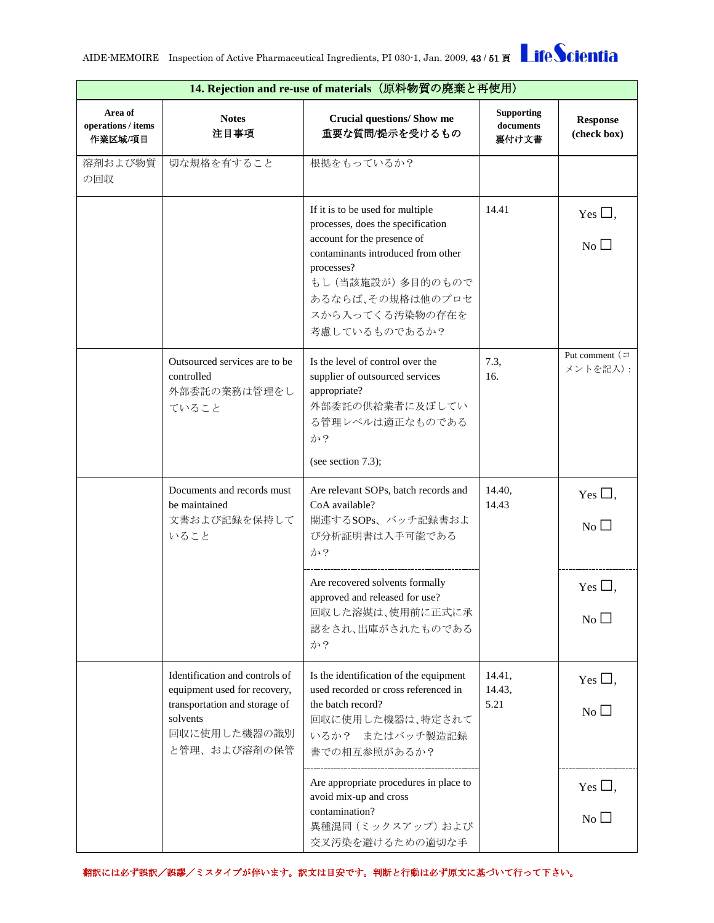

|                                          | 14. Rejection and re-use of materials (原料物質の廃棄と再使用)                                                                                         |                                                                                                                                                                                                                                       |                                         |                                              |  |
|------------------------------------------|---------------------------------------------------------------------------------------------------------------------------------------------|---------------------------------------------------------------------------------------------------------------------------------------------------------------------------------------------------------------------------------------|-----------------------------------------|----------------------------------------------|--|
| Area of<br>operations / items<br>作業区域/項目 | <b>Notes</b><br>注目事項                                                                                                                        | <b>Crucial questions/ Show me</b><br>重要な質問/提示を受けるもの                                                                                                                                                                                   | <b>Supporting</b><br>documents<br>裏付け文書 | <b>Response</b><br>(check box)               |  |
| 溶剤および物質<br>の回収                           | 切な規格を有すること                                                                                                                                  | 根拠をもっているか?                                                                                                                                                                                                                            |                                         |                                              |  |
|                                          |                                                                                                                                             | If it is to be used for multiple<br>processes, does the specification<br>account for the presence of<br>contaminants introduced from other<br>processes?<br>もし (当該施設が)多目的のもので<br>あるならば、その規格は他のプロセ<br>スから入ってくる汚染物の存在を<br>考慮しているものであるか? | 14.41                                   | Yes $\Box$ ,<br>$\overline{N_{0}}$ $\Box$    |  |
|                                          | Outsourced services are to be.<br>controlled<br>外部委託の業務は管理をし<br>ていること                                                                       | Is the level of control over the<br>supplier of outsourced services<br>appropriate?<br>外部委託の供給業者に及ぼしてい<br>る管理レベルは適正なものである<br>か?<br>(see section $7.3$ );                                                                              | 7.3,<br>16.                             | Put comment $($<br>メントを記入):                  |  |
|                                          | Documents and records must<br>be maintained<br>文書および記録を保持して<br>いること                                                                         | Are relevant SOPs, batch records and<br>CoA available?<br>関連するSOPs、バッチ記録書およ<br>び分析証明書は入手可能である<br>か?                                                                                                                                   | 14.40,<br>14.43                         | Yes $\Box$ ,<br>No                           |  |
|                                          |                                                                                                                                             | Are recovered solvents formally<br>approved and released for use?<br>回収した溶媒は、使用前に正式に承<br>認をされ、出庫がされたものである<br>か?                                                                                                                       |                                         | Yes $\Box$ .<br>No                           |  |
|                                          | Identification and controls of<br>equipment used for recovery,<br>transportation and storage of<br>solvents<br>回収に使用した機器の識別<br>と管理、および溶剤の保管 | Is the identification of the equipment<br>used recorded or cross referenced in<br>the batch record?<br>回収に使用した機器は、特定されて<br>いるか? またはバッチ製造記録<br>書での相互参照があるか?                                                                            | 14.41,<br>14.43,<br>5.21                | Yes $\Box$ ,<br>$\overline{N_{0}}$           |  |
|                                          |                                                                                                                                             | Are appropriate procedures in place to<br>avoid mix-up and cross<br>contamination?<br>異種混同 (ミックスアップ) および<br>交叉汚染を避けるための適切な手                                                                                                           |                                         | Yes $\square$ ,<br>$\overline{N_{0}}$ $\Box$ |  |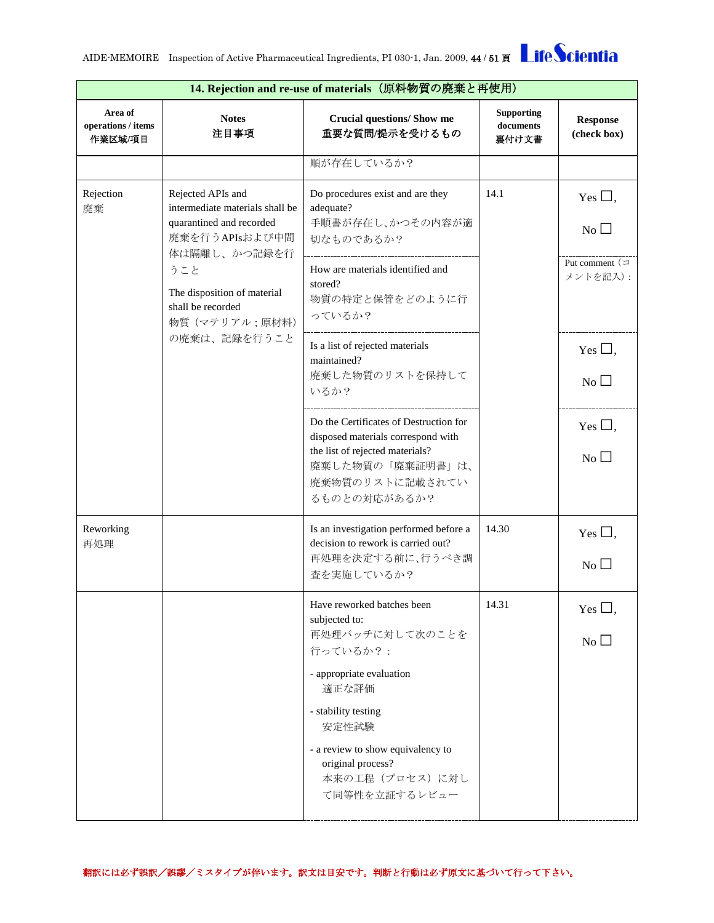

|                                                                                                                                                                                                                                    | 14. Rejection and re-use of materials (原料物質の廃棄と再使用)                       |                                                                                                                                                                        |                                         |                                    |  |  |
|------------------------------------------------------------------------------------------------------------------------------------------------------------------------------------------------------------------------------------|---------------------------------------------------------------------------|------------------------------------------------------------------------------------------------------------------------------------------------------------------------|-----------------------------------------|------------------------------------|--|--|
| Area of<br>operations / items<br>作業区域/項目                                                                                                                                                                                           | <b>Notes</b><br>注目事項                                                      | <b>Crucial questions/ Show me</b><br>重要な質問/提示を受けるもの                                                                                                                    | <b>Supporting</b><br>documents<br>裏付け文書 | <b>Response</b><br>(check box)     |  |  |
|                                                                                                                                                                                                                                    |                                                                           | 順が存在しているか?                                                                                                                                                             |                                         |                                    |  |  |
| Rejection<br>Rejected APIs and<br>intermediate materials shall be<br>廃棄<br>quarantined and recorded<br>廃棄を行うAPIsおよび中間<br>体は隔離し、かつ記録を行<br>うこと<br>The disposition of material<br>shall be recorded<br>物質 (マテリアル;原材料)<br>の廃棄は、記録を行うこと |                                                                           | Do procedures exist and are they<br>adequate?<br>手順書が存在し、かつその内容が適<br>切なものであるか?                                                                                         | 14.1                                    | Yes $\Box$ ,<br>$\overline{N_0}$   |  |  |
|                                                                                                                                                                                                                                    | How are materials identified and<br>stored?<br>物質の特定と保管をどのように行<br>っているか?  |                                                                                                                                                                        | Put comment $($<br>メントを記入):             |                                    |  |  |
|                                                                                                                                                                                                                                    | Is a list of rejected materials<br>maintained?<br>廃棄した物質のリストを保持して<br>いるか? |                                                                                                                                                                        | Yes $\Box$ ,<br>N <sub>0</sub>          |                                    |  |  |
|                                                                                                                                                                                                                                    |                                                                           | Do the Certificates of Destruction for<br>disposed materials correspond with<br>the list of rejected materials?<br>廃棄した物質の「廃棄証明書」は、<br>廃棄物質のリストに記載されてい<br>るものとの対応があるか? |                                         | Yes $\Box$ ,<br>$\overline{N_{0}}$ |  |  |
| Reworking<br>再処理                                                                                                                                                                                                                   |                                                                           | Is an investigation performed before a<br>decision to rework is carried out?<br>再処理を決定する前に、行うべき調<br>査を実施しているか?                                                         | 14.30                                   | Yes $\square$ ,<br>No              |  |  |
|                                                                                                                                                                                                                                    |                                                                           | Have reworked batches been<br>subjected to:<br>再処理バッチに対して次のことを<br>行っているか?:<br>- appropriate evaluation                                                                 | 14.31                                   | Yes $\Box$<br>No                   |  |  |
|                                                                                                                                                                                                                                    |                                                                           | 適正な評価<br>- stability testing<br>安定性試験<br>- a review to show equivalency to<br>original process?<br>本来の工程 (プロセス)に対し<br>て同等性を立証するレビュー                                    |                                         |                                    |  |  |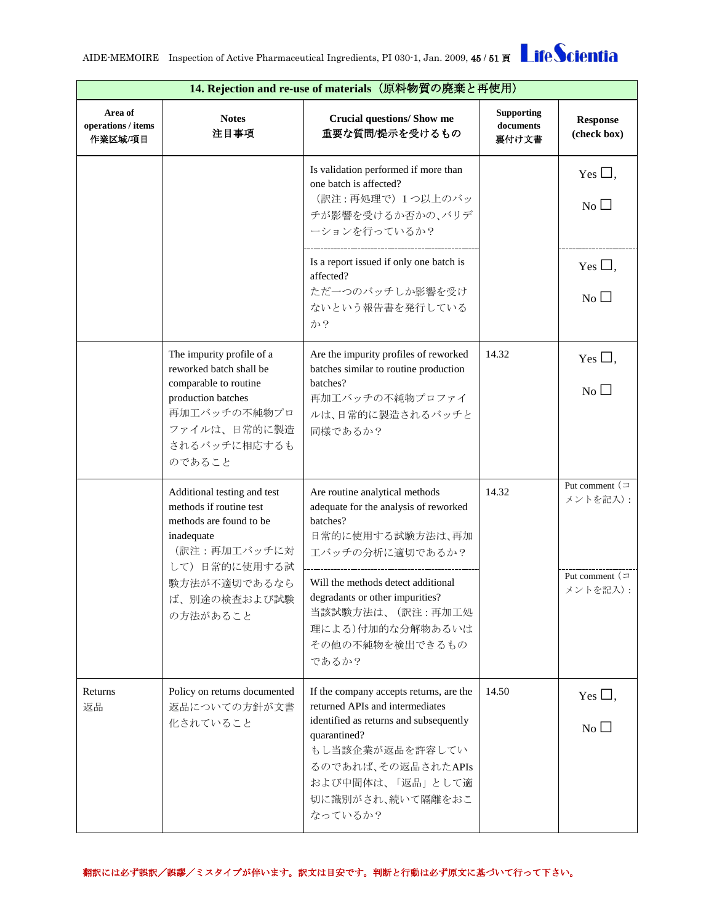| 14. Rejection and re-use of materials (原料物質の廃棄と再使用) |                                                                                                                                                                              |                                                                                                                                                                                                                                                                         |                                         |                                                            |
|-----------------------------------------------------|------------------------------------------------------------------------------------------------------------------------------------------------------------------------------|-------------------------------------------------------------------------------------------------------------------------------------------------------------------------------------------------------------------------------------------------------------------------|-----------------------------------------|------------------------------------------------------------|
| Area of<br>operations / items<br>作業区域/項目            | <b>Notes</b><br>注目事項                                                                                                                                                         | <b>Crucial questions/ Show me</b><br>重要な質問/提示を受けるもの                                                                                                                                                                                                                     | <b>Supporting</b><br>documents<br>裏付け文書 | <b>Response</b><br>(check box)                             |
|                                                     |                                                                                                                                                                              | Is validation performed if more than<br>one batch is affected?<br>(訳注:再処理で) 1つ以上のバッ<br>チが影響を受けるか否かの、バリデ<br>ーションを行っているか?                                                                                                                                                 |                                         | Yes $\square$ ,<br>No                                      |
|                                                     |                                                                                                                                                                              | Is a report issued if only one batch is<br>affected?<br>ただ一つのバッチしか影響を受け<br>ないという報告書を発行している<br>か?                                                                                                                                                                        |                                         | Yes $\Box$ ,<br>No                                         |
|                                                     | The impurity profile of a<br>reworked batch shall be<br>comparable to routine<br>production batches<br>再加工バッチの不純物プロ<br>ファイルは、日常的に製造<br>されるバッチに相応するも<br>のであること                | Are the impurity profiles of reworked<br>batches similar to routine production<br>batches?<br>再加工バッチの不純物プロファイ<br>ルは、日常的に製造されるバッチと<br>同様であるか?                                                                                                                            | 14.32                                   | Yes $\square$ ,<br>No                                      |
|                                                     | Additional testing and test<br>methods if routine test<br>methods are found to be<br>inadequate<br>(訳注:再加工バッチに対<br>して) 日常的に使用する試<br>験方法が不適切であるなら<br>ば、別途の検査および試験<br>の方法があること | Are routine analytical methods<br>adequate for the analysis of reworked<br>batches?<br>日常的に使用する試験方法は、再加<br>エバッチの分析に適切であるか?<br>Will the methods detect additional<br>degradants or other impurities?<br>当該試験方法は、(訳注:再加工処<br>理による)付加的な分解物あるいは<br>その他の不純物を検出できるもの<br>であるか? | 14.32                                   | Put comment $($<br>メントを記入):<br>Put comment $($<br>メントを記入): |
| Returns<br>返品                                       | Policy on returns documented<br>返品についての方針が文書<br>化されていること                                                                                                                     | If the company accepts returns, are the<br>returned APIs and intermediates<br>identified as returns and subsequently<br>quarantined?<br>もし当該企業が返品を許容してい<br>るのであれば、その返品されたAPIs<br>および中間体は、「返品」として適<br>切に識別がされ、続いて隔離をおこ<br>なっているか?                                        | 14.50                                   | Yes $\Box$ ,<br>$\overline{N_{0}}$                         |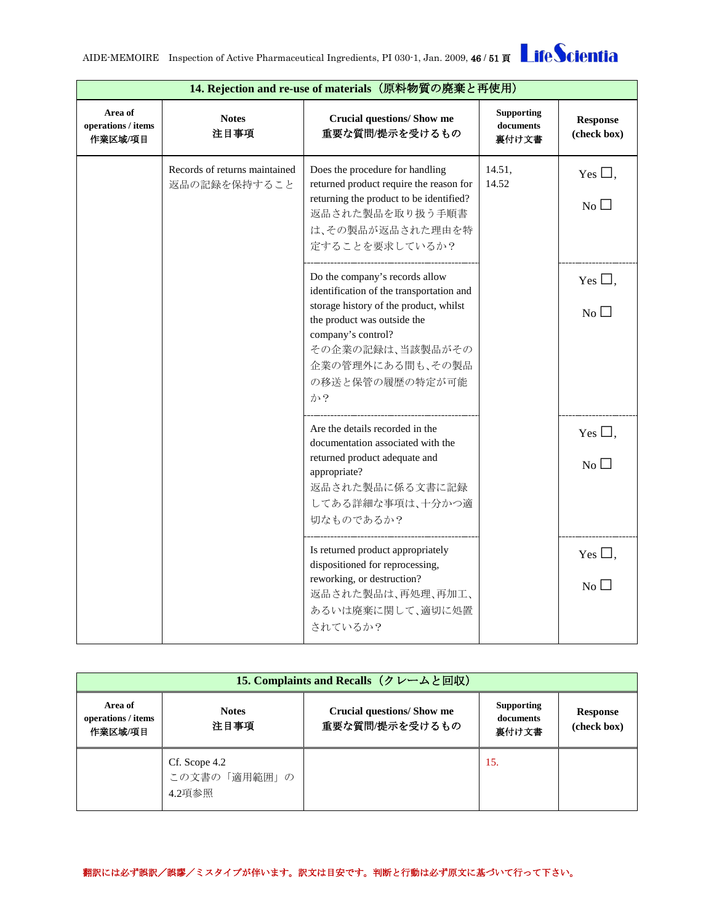| <b>LifeScientia</b> |
|---------------------|
|---------------------|

|                                          | 14. Rejection and re-use of materials (原料物質の廃棄と再使用) |                                                                                                                                                                                                                                            |                                         |                                   |
|------------------------------------------|-----------------------------------------------------|--------------------------------------------------------------------------------------------------------------------------------------------------------------------------------------------------------------------------------------------|-----------------------------------------|-----------------------------------|
| Area of<br>operations / items<br>作業区域/項目 | <b>Notes</b><br>注目事項                                | <b>Crucial questions/ Show me</b><br>重要な質問/提示を受けるもの                                                                                                                                                                                        | <b>Supporting</b><br>documents<br>裏付け文書 | <b>Response</b><br>(check box)    |
|                                          | Records of returns maintained<br>返品の記録を保持すること       | Does the procedure for handling<br>returned product require the reason for<br>returning the product to be identified?<br>返品された製品を取り扱う手順書<br>は、その製品が返品された理由を特<br>定することを要求しているか?                                                             | 14.51,<br>14.52                         | Yes $\square$ ,<br>N <sub>0</sub> |
|                                          |                                                     | Do the company's records allow<br>identification of the transportation and<br>storage history of the product, whilst<br>the product was outside the<br>company's control?<br>その企業の記録は、当該製品がその<br>企業の管理外にある間も、その製品<br>の移送と保管の履歴の特定が可能<br>か? |                                         | Yes $\Box$ ,<br>$No$ $\Box$       |
|                                          |                                                     | Are the details recorded in the<br>documentation associated with the<br>returned product adequate and<br>appropriate?<br>返品された製品に係る文書に記録<br>してある詳細な事項は、十分かつ適<br>切なものであるか?                                                                  |                                         | Yes $\square$ ,<br>No             |
|                                          |                                                     | Is returned product appropriately<br>dispositioned for reprocessing,<br>reworking, or destruction?<br>返品された製品は、再処理、再加工、<br>あるいは廃棄に関して、適切に処置<br>されているか?                                                                                     |                                         | Yes $\Box$ ,<br>N <sub>0</sub>    |

<span id="page-45-0"></span>

| 15. Complaints and Recalls (クレームと回収)     |                                         |                                                    |                                         |                                |  |
|------------------------------------------|-----------------------------------------|----------------------------------------------------|-----------------------------------------|--------------------------------|--|
| Area of<br>operations / items<br>作業区域/項目 | <b>Notes</b><br>注目事項                    | <b>Crucial questions/Show me</b><br>重要な質問/提示を受けるもの | <b>Supporting</b><br>documents<br>裏付け文書 | <b>Response</b><br>(check box) |  |
|                                          | Cf. Scope 4.2<br>この文書の「適用範囲」の<br>4.2項参照 |                                                    | 15.                                     |                                |  |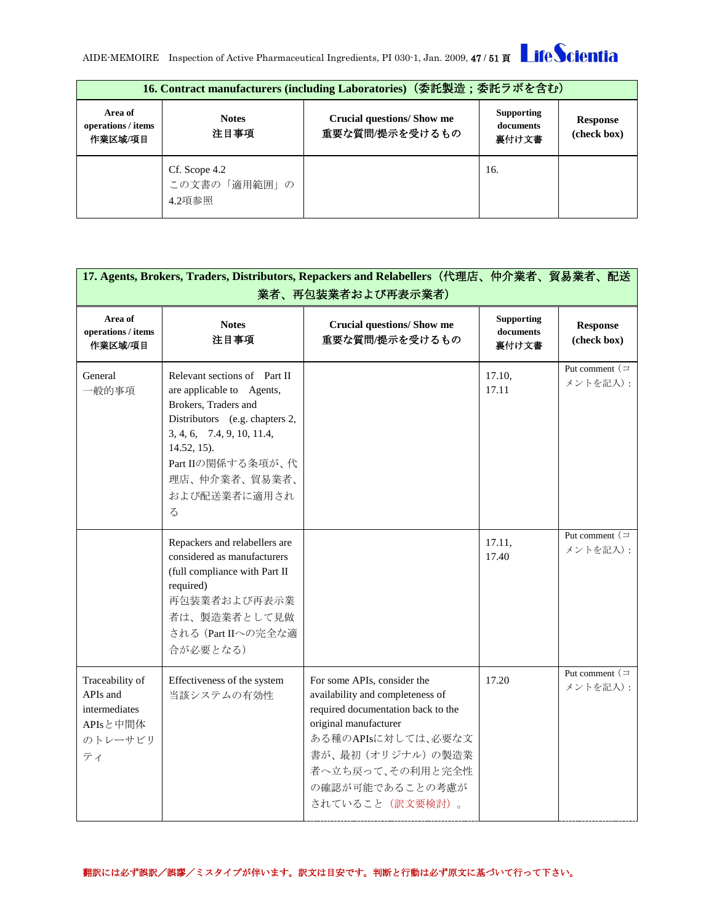

<span id="page-46-0"></span>

| 16. Contract manufacturers (including Laboratories) (委託製造;委託ラボを含む) |                                         |                                                     |                                         |                         |  |
|--------------------------------------------------------------------|-----------------------------------------|-----------------------------------------------------|-----------------------------------------|-------------------------|--|
| Area of<br>operations / items<br>作業区域/項目                           | <b>Notes</b><br>注目事項                    | <b>Crucial questions/ Show me</b><br>重要な質問/提示を受けるもの | <b>Supporting</b><br>documents<br>裏付け文書 | Response<br>(check box) |  |
|                                                                    | Cf. Scope 4.2<br>この文書の「適用範囲」の<br>4.2項参照 |                                                     | 16.                                     |                         |  |

<span id="page-46-1"></span>

| 17. Agents, Brokers, Traders, Distributors, Repackers and Relabellers (代理店、仲介業者、貿易業者、配送<br>業者、再包装業者および再表示業者) |                                                                                                                                                                                                                                |                                                                                                                                                                                                                                      |                                         |                                |  |
|--------------------------------------------------------------------------------------------------------------|--------------------------------------------------------------------------------------------------------------------------------------------------------------------------------------------------------------------------------|--------------------------------------------------------------------------------------------------------------------------------------------------------------------------------------------------------------------------------------|-----------------------------------------|--------------------------------|--|
| Area of<br>operations / items<br>作業区域/項目                                                                     | <b>Notes</b><br>注目事項                                                                                                                                                                                                           | <b>Crucial questions/ Show me</b><br>重要な質問/提示を受けるもの                                                                                                                                                                                  | <b>Supporting</b><br>documents<br>裏付け文書 | <b>Response</b><br>(check box) |  |
| General<br>一般的事項                                                                                             | Relevant sections of Part II<br>are applicable to Agents,<br>Brokers, Traders and<br>Distributors (e.g. chapters 2,<br>3, 4, 6, 7.4, 9, 10, 11.4,<br>$14.52, 15$ ).<br>Part IIの関係する条項が、代<br>理店、仲介業者、貿易業者、<br>および配送業者に適用され<br>る |                                                                                                                                                                                                                                      | 17.10,<br>17.11                         | Put comment $($<br>メントを記入):    |  |
|                                                                                                              | Repackers and relabellers are<br>considered as manufacturers<br>(full compliance with Part II<br>required)<br>再包装業者および再表示業<br>者は、製造業者として見做<br>される (Part IIへの完全な適<br>合が必要となる)                                                   |                                                                                                                                                                                                                                      | 17.11,<br>17.40                         | Put comment $($<br>メントを記入):    |  |
| Traceability of<br>APIs and<br>intermediates<br>APIsと中間体<br>のトレーサビリ<br>ティ                                    | Effectiveness of the system<br>当該システムの有効性                                                                                                                                                                                      | For some APIs, consider the<br>availability and completeness of<br>required documentation back to the<br>original manufacturer<br>ある種のAPIsに対しては、必要な文<br>書が、最初 (オリジナル)の製造業<br>者へ立ち戻って、その利用と完全性<br>の確認が可能であることの考慮が<br>されていること (訳文要検討)。 | 17.20                                   | Put comment $($<br>メントを記入):    |  |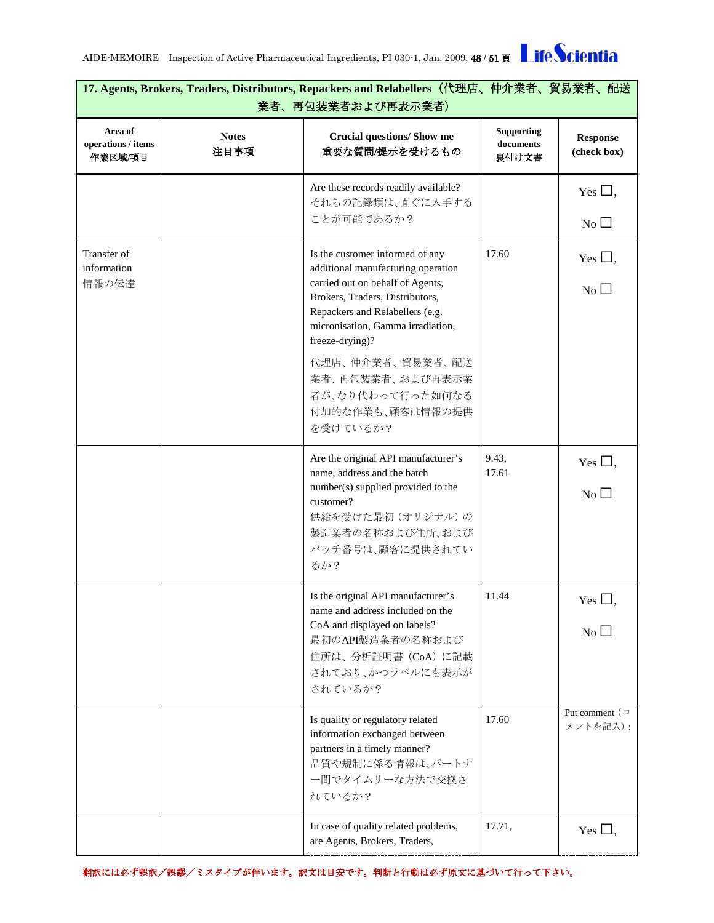| 17. Agents, Brokers, Traders, Distributors, Repackers and Relabellers (代理店、仲介業者、貿易業者、配送<br>業者、再包装業者および再表示業者) |                      |                                                                                                                                                                                                                                                                                                                                     |                                              |                                       |
|--------------------------------------------------------------------------------------------------------------|----------------------|-------------------------------------------------------------------------------------------------------------------------------------------------------------------------------------------------------------------------------------------------------------------------------------------------------------------------------------|----------------------------------------------|---------------------------------------|
| Area of<br>operations / items<br>作業区域/項目                                                                     | <b>Notes</b><br>注目事項 | <b>Crucial questions/ Show me</b><br>重要な質問/提示を受けるもの                                                                                                                                                                                                                                                                                 | <b>Supporting</b><br>$\,$ documents<br>裏付け文書 | <b>Response</b><br>(check box)        |
|                                                                                                              |                      | Are these records readily available?<br>それらの記録類は、直ぐに入手する<br>ことが可能であるか?                                                                                                                                                                                                                                                              |                                              | Yes $\Box$ ,<br>No                    |
| Transfer of<br>information<br>情報の伝達                                                                          |                      | Is the customer informed of any<br>additional manufacturing operation<br>carried out on behalf of Agents,<br>Brokers, Traders, Distributors,<br>Repackers and Relabellers (e.g.<br>micronisation, Gamma irradiation,<br>freeze-drying)?<br>代理店、仲介業者、貿易業者、配送<br>業者、再包装業者、および再表示業<br>者が、なり代わって行った如何なる<br>付加的な作業も、顧客は情報の提供<br>を受けているか? | 17.60                                        | Yes $\square$ ,<br>No                 |
|                                                                                                              |                      | Are the original API manufacturer's<br>name, address and the batch<br>number(s) supplied provided to the<br>customer?<br>供給を受けた最初 (オリジナル)の<br>製造業者の名称および住所、および<br>バッチ番号は、顧客に提供されてい<br>るか?                                                                                                                                           | 9.43,<br>17.61                               | Yes $\square$ ,<br>$\overline{N_{0}}$ |
|                                                                                                              |                      | Is the original API manufacturer's<br>name and address included on the<br>CoA and displayed on labels?<br>最初のAPI製造業者の名称および<br>住所は、分析証明書 (CoA) に記載<br>されており、かつラベルにも表示が<br>されているか?                                                                                                                                                    | 11.44                                        | Yes $\Box$ ,<br>$No$ $\square$        |
|                                                                                                              |                      | Is quality or regulatory related<br>information exchanged between<br>partners in a timely manner?<br>品質や規制に係る情報は、パートナ<br>一間でタイムリーな方法で交換さ<br>れているか?                                                                                                                                                                                  | 17.60                                        | Put comment $($<br>メントを記入):           |
|                                                                                                              |                      | In case of quality related problems,<br>are Agents, Brokers, Traders,                                                                                                                                                                                                                                                               | 17.71,                                       | Yes $\Box$ ,                          |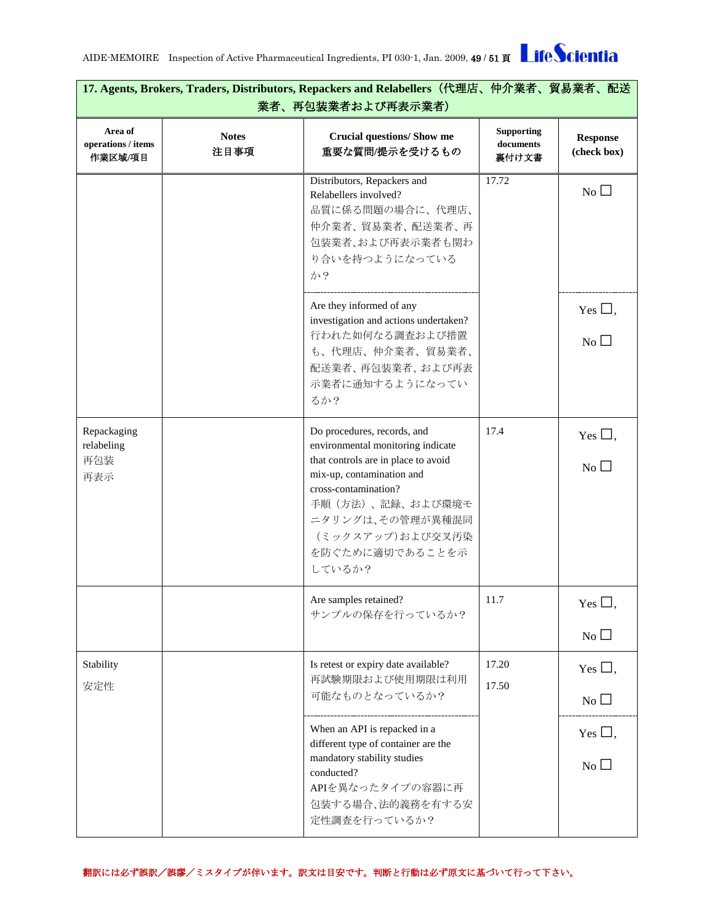| 17. Agents, Brokers, Traders, Distributors, Repackers and Relabellers(代理店、仲介業者、貿易業者、配送<br>業者、再包装業者および再表示業者) |                      |                                                                                                                                                                                                                                                       |                                         |                                    |
|-------------------------------------------------------------------------------------------------------------|----------------------|-------------------------------------------------------------------------------------------------------------------------------------------------------------------------------------------------------------------------------------------------------|-----------------------------------------|------------------------------------|
| Area of<br>operations / items<br>作業区域/項目                                                                    | <b>Notes</b><br>注目事項 | <b>Crucial questions/ Show me</b><br>重要な質問/提示を受けるもの                                                                                                                                                                                                   | <b>Supporting</b><br>documents<br>裏付け文書 | <b>Response</b><br>(check box)     |
|                                                                                                             |                      | Distributors, Repackers and<br>Relabellers involved?<br>品質に係る問題の場合に、代理店、<br>仲介業者、貿易業者、配送業者、再<br>包装業者、および再表示業者も関わ<br>り合いを持つようになっている<br>か?                                                                                                              | 17.72                                   | $\overline{N_{0}}$                 |
|                                                                                                             |                      | Are they informed of any<br>investigation and actions undertaken?<br>行われた如何なる調査および措置<br>も、代理店、仲介業者、貿易業者、<br>配送業者、再包装業者、および再表<br>示業者に通知するようになってい<br>るか?                                                                                                |                                         | Yes $\Box$ ,<br>$\overline{N_{0}}$ |
| Repackaging<br>relabeling<br>再包装<br>再表示                                                                     |                      | Do procedures, records, and<br>environmental monitoring indicate<br>that controls are in place to avoid<br>mix-up, contamination and<br>cross-contamination?<br>手順(方法)、記録、および環境モ<br>ニタリングは、その管理が異種混同<br>(ミックスアップ)および交叉汚染<br>を防ぐために適切であることを示<br>しているか? | 17.4                                    | Yes $\Box$ ,<br>No                 |
|                                                                                                             |                      | Are samples retained?<br>サンプルの保存を行っているか?                                                                                                                                                                                                              | 11.7                                    | Yes $\Box$ ,<br>No $\square$       |
| Stability<br>安定性                                                                                            |                      | Is retest or expiry date available?<br>再試験期限および使用期限は利用<br>可能なものとなっているか?                                                                                                                                                                               | 17.20<br>17.50                          | Yes $\Box$ ,<br>No $\Box$          |
|                                                                                                             |                      | When an API is repacked in a<br>different type of container are the<br>mandatory stability studies<br>conducted?<br>APIを異なったタイプの容器に再<br>包装する場合、法的義務を有する安<br>定性調査を行っているか?                                                                              |                                         | Yes $\Box$ ,<br>$No$ $\Box$        |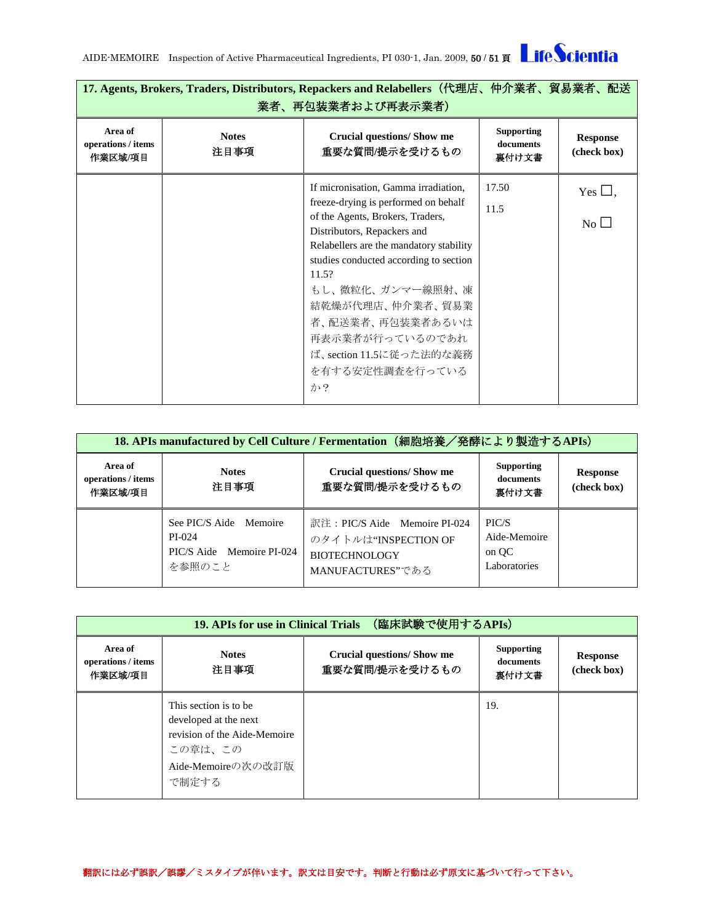AIDE-MEMOIRE Inspection of Active Pharmaceutical Ingredients, PI 030-1, Jan. 2009, 50 / 51 頁 Life Scientia

| 17. Agents, Brokers, Traders, Distributors, Repackers and Relabellers(代理店、仲介業者、貿易業者、配送<br>業者、再包装業者および再表示業者) |                      |                                                                          |                                         |                                |
|-------------------------------------------------------------------------------------------------------------|----------------------|--------------------------------------------------------------------------|-----------------------------------------|--------------------------------|
| Area of<br>operations / items<br>作業区域/項目                                                                    | <b>Notes</b><br>注目事項 | <b>Crucial questions/Show me</b><br>重要な質問/提示を受けるもの                       | <b>Supporting</b><br>documents<br>裏付け文書 | <b>Response</b><br>(check box) |
|                                                                                                             |                      | If micronisation, Gamma irradiation,                                     | 17.50                                   | Yes $\Box$ ,                   |
|                                                                                                             |                      | freeze-drying is performed on behalf<br>of the Agents, Brokers, Traders, | 11.5                                    | No                             |
|                                                                                                             |                      | Distributors, Repackers and                                              |                                         |                                |
|                                                                                                             |                      | Relabellers are the mandatory stability                                  |                                         |                                |
|                                                                                                             |                      | studies conducted according to section                                   |                                         |                                |
|                                                                                                             |                      | 11.5?                                                                    |                                         |                                |
|                                                                                                             |                      | もし、微粒化、ガンマー線照射、凍                                                         |                                         |                                |
|                                                                                                             |                      | 結乾燥が代理店、仲介業者、貿易業                                                         |                                         |                                |
|                                                                                                             |                      | 者、配送業者、再包装業者あるいは                                                         |                                         |                                |
|                                                                                                             |                      | 再表示業者が行っているのであれ                                                          |                                         |                                |
|                                                                                                             |                      | ば、section 11.5に従った法的な義務                                                  |                                         |                                |
|                                                                                                             |                      | を有する安定性調査を行っている                                                          |                                         |                                |
|                                                                                                             |                      | か?                                                                       |                                         |                                |
|                                                                                                             |                      |                                                                          |                                         |                                |

<span id="page-49-0"></span>

| (細胞培養/発酵により製造するAPIs)<br>18. APIs manufactured by Cell Culture / Fermentation |                                                                         |                                                                                                   |                                                |                                |
|------------------------------------------------------------------------------|-------------------------------------------------------------------------|---------------------------------------------------------------------------------------------------|------------------------------------------------|--------------------------------|
| Area of<br>operations / items<br>作業区域/項目                                     | <b>Notes</b><br>注目事項                                                    | <b>Crucial questions/Show me</b><br>重要な質問/提示を受けるもの                                                | <b>Supporting</b><br>documents<br>裏付け文書        | <b>Response</b><br>(check box) |
|                                                                              | See PIC/S Aide Memoire<br>PI-024<br>PIC/S Aide Memoire PI-024<br>を参照のこと | 訳注: PIC/S Aide Memoire PI-024<br>のタイトルは"INSPECTION OF<br><b>BIOTECHNOLOGY</b><br>MANUFACTURES"である | PIC/S<br>Aide-Memoire<br>on OC<br>Laboratories |                                |

<span id="page-49-1"></span>

| (臨床試験で使用するAPIs)<br>19. APIs for use in Clinical Trials |                                                                                                                           |                                                    |                                         |                                |
|--------------------------------------------------------|---------------------------------------------------------------------------------------------------------------------------|----------------------------------------------------|-----------------------------------------|--------------------------------|
| Area of<br>operations / items<br>作業区域/項目               | <b>Notes</b><br>注目事項                                                                                                      | <b>Crucial questions/Show me</b><br>重要な質問/提示を受けるもの | <b>Supporting</b><br>documents<br>裏付け文書 | <b>Response</b><br>(check box) |
|                                                        | This section is to be.<br>developed at the next<br>revision of the Aide-Memoire<br>この章は、この<br>Aide-Memoireの次の改訂版<br>で制定する |                                                    | 19.                                     |                                |